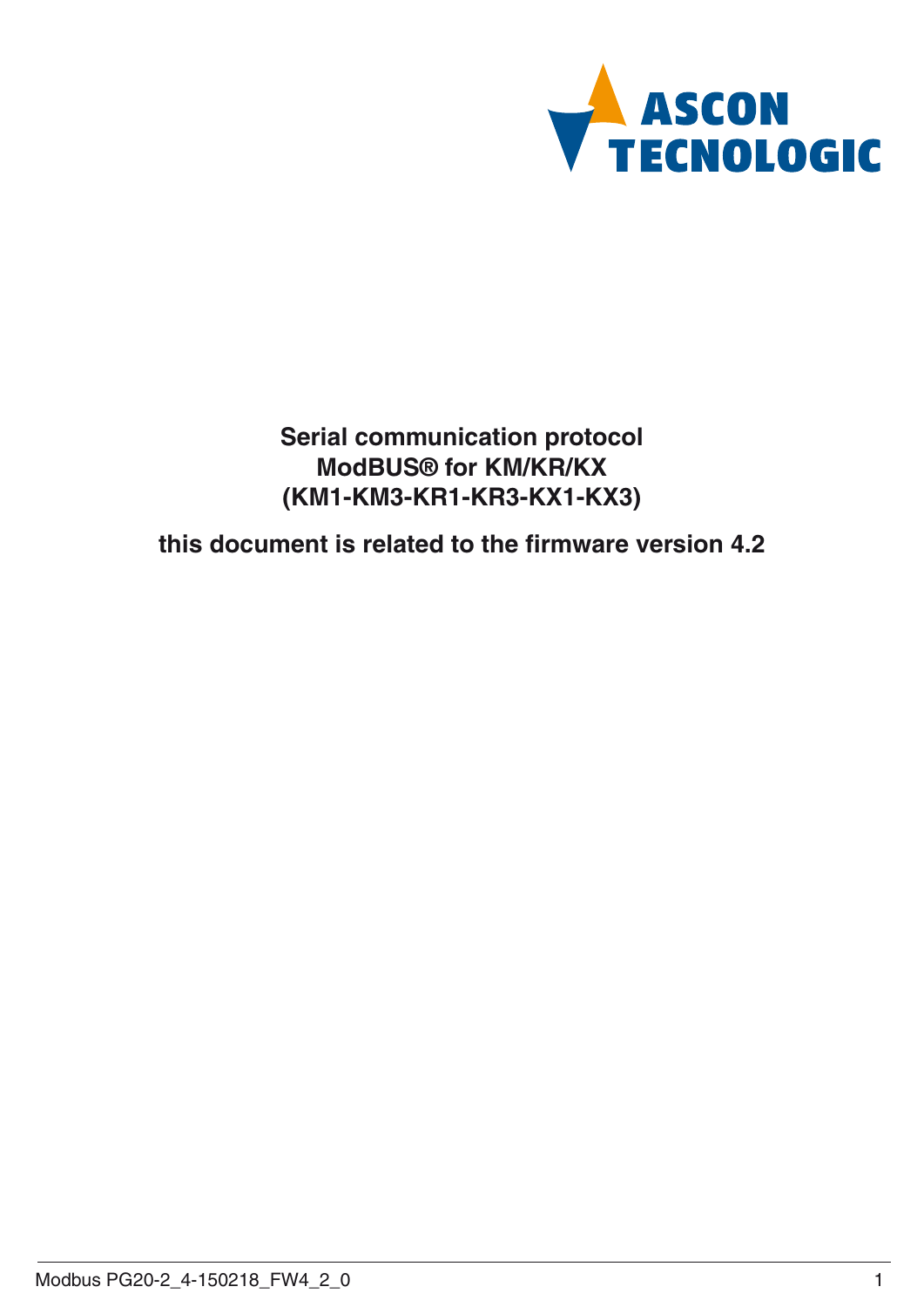

**Serial communication protocol ModBUS® for KM/KR/KX (KM1-KM3-KR1-KR3-KX1-KX3)**

**this document is related to the firmware version 4.2**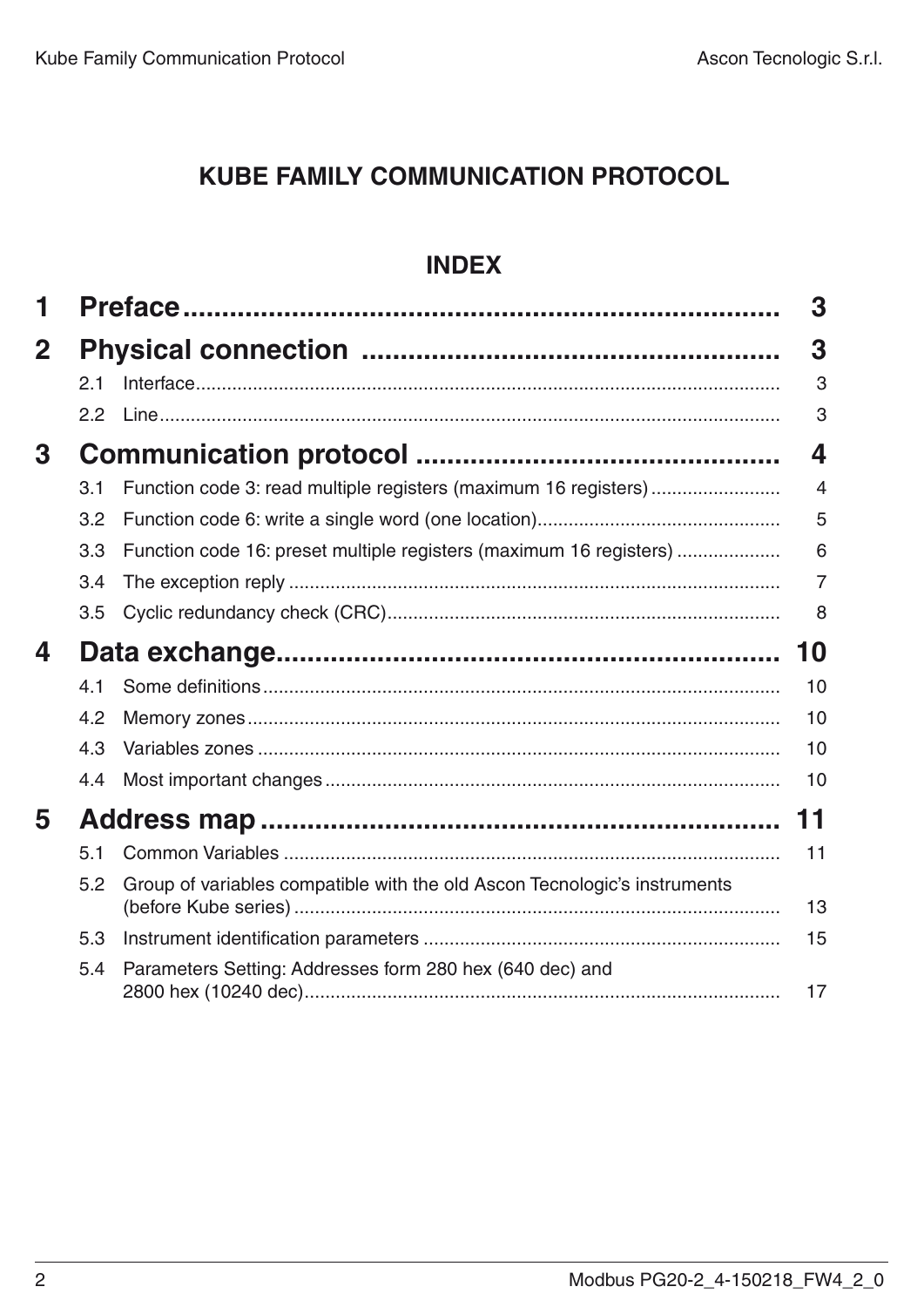# **KUBE Family Communication protocol**

# **Index**

| 1           |     |                                                                           | 3              |
|-------------|-----|---------------------------------------------------------------------------|----------------|
| $\mathbf 2$ |     |                                                                           | 3              |
|             | 2.1 |                                                                           | 3              |
|             | 2.2 |                                                                           | 3              |
| 3           |     |                                                                           | 4              |
|             | 3.1 | Function code 3: read multiple registers (maximum 16 registers)           | $\overline{4}$ |
|             | 3.2 |                                                                           | 5              |
|             | 3.3 | Function code 16: preset multiple registers (maximum 16 registers)        | 6              |
|             | 3.4 |                                                                           | 7              |
|             | 3.5 |                                                                           | 8              |
| 4           |     |                                                                           | 10             |
|             | 4.1 |                                                                           | 10             |
|             | 4.2 |                                                                           | 10             |
|             | 4.3 |                                                                           | 10             |
|             | 4.4 |                                                                           | 10             |
| 5           |     |                                                                           | 11             |
|             | 5.1 |                                                                           | 11             |
|             | 5.2 | Group of variables compatible with the old Ascon Tecnologic's instruments | 13             |
|             | 5.3 |                                                                           | 15             |
|             | 5.4 | Parameters Setting: Addresses form 280 hex (640 dec) and                  | 17             |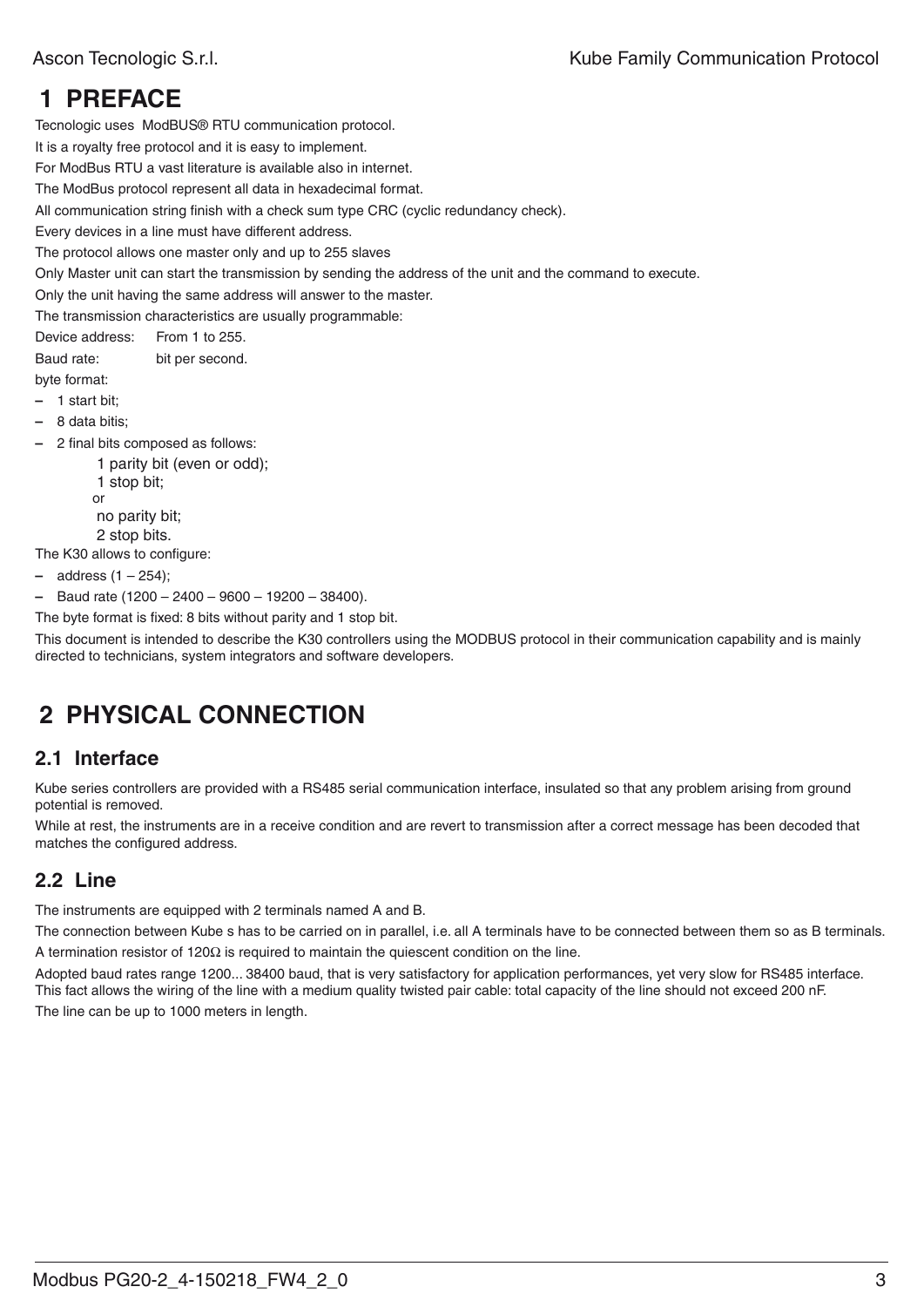# **1 Preface**

Tecnologic uses ModBUS® RTU communication protocol.

It is a royalty free protocol and it is easy to implement.

For ModBus RTU a vast literature is available also in internet.

The ModBus protocol represent all data in hexadecimal format.

All communication string finish with a check sum type CRC (cyclic redundancy check).

Every devices in a line must have different address.

The protocol allows one master only and up to 255 slaves

Only Master unit can start the transmission by sending the address of the unit and the command to execute.

Only the unit having the same address will answer to the master.

The transmission characteristics are usually programmable:

Device address: From 1 to 255. Baud rate: bit per second.

byte format:

**–** 1 start bit;

- **–** 8 data bitis;
- **–** 2 final bits composed as follows:
	- 1 parity bit (even or odd); 1 stop bit; or

no parity bit; 2 stop bits.

The K30 allows to configure:

- **–** address (1 254);
- **–** Baud rate (1200 2400 9600 19200 38400).
- The byte format is fixed: 8 bits without parity and 1 stop bit.

This document is intended to describe the K30 controllers using the MODBUS protocol in their communication capability and is mainly directed to technicians, system integrators and software developers.

# **2 Physical connection**

#### **2.1 Interface**

Kube series controllers are provided with a RS485 serial communication interface, insulated so that any problem arising from ground potential is removed.

While at rest, the instruments are in a receive condition and are revert to transmission after a correct message has been decoded that matches the configured address.

# **2.2 Line**

The instruments are equipped with 2 terminals named A and B.

The connection between Kube s has to be carried on in parallel, i.e. all A terminals have to be connected between them so as B terminals. A termination resistor of  $120\Omega$  is required to maintain the quiescent condition on the line.

Adopted baud rates range 1200... 38400 baud, that is very satisfactory for application performances, yet very slow for RS485 interface. This fact allows the wiring of the line with a medium quality twisted pair cable: total capacity of the line should not exceed 200 nF. The line can be up to 1000 meters in length.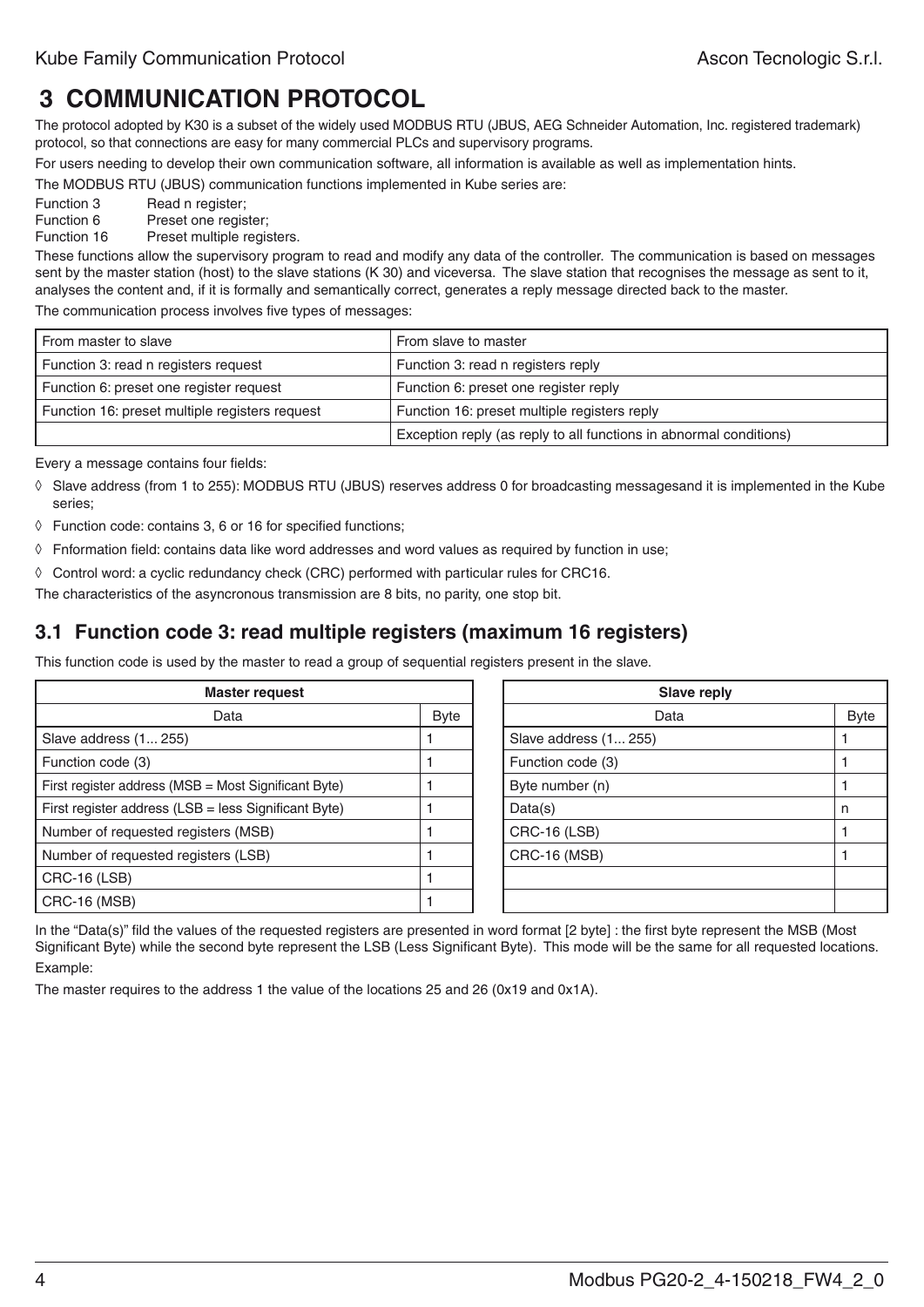# **3 Communication protocol**

The protocol adopted by K30 is a subset of the widely used MODBUS RTU (JBUS, AEG Schneider Automation, Inc. registered trademark) protocol, so that connections are easy for many commercial PLCs and supervisory programs.

For users needing to develop their own communication software, all information is available as well as implementation hints.

The MODBUS RTU (JBUS) communication functions implemented in Kube series are:

Function 3 Read n register;

Function 6 Preset one register;<br>Function 16 Preset multiple regis

Preset multiple registers.

These functions allow the supervisory program to read and modify any data of the controller. The communication is based on messages sent by the master station (host) to the slave stations (K 30) and viceversa. The slave station that recognises the message as sent to it, analyses the content and, if it is formally and semantically correct, generates a reply message directed back to the master.

The communication process involves five types of messages:

| From master to slave                           | From slave to master                                               |
|------------------------------------------------|--------------------------------------------------------------------|
| Function 3: read n registers request           | Function 3: read n registers reply                                 |
| Function 6: preset one register request        | Function 6: preset one register reply                              |
| Function 16: preset multiple registers request | Function 16: preset multiple registers reply                       |
|                                                | Exception reply (as reply to all functions in abnormal conditions) |

Every a message contains four fields:

- ◊ Slave address (from 1 to 255): MODBUS RTU (JBUS) reserves address 0 for broadcasting messagesand it is implemented in the Kube series;
- ◊ Function code: contains 3, 6 or 16 for specified functions;
- ◊ Fnformation field: contains data like word addresses and word values as required by function in use;

◊ Control word: a cyclic redundancy check (CRC) performed with particular rules for CRC16.

The characteristics of the asyncronous transmission are 8 bits, no parity, one stop bit.

### **3.1 Function code 3: read multiple registers (maximum 16 registers)**

This function code is used by the master to read a group of sequential registers present in the slave.

| <b>Master request</b>                                |  | Slave reply           |             |
|------------------------------------------------------|--|-----------------------|-------------|
| <b>Byte</b><br>Data                                  |  | Data                  | <b>Byte</b> |
| Slave address (1 255)                                |  | Slave address (1 255) |             |
| Function code (3)                                    |  | Function code (3)     |             |
| First register address (MSB = Most Significant Byte) |  | Byte number (n)       |             |
| First register address (LSB = less Significant Byte) |  | Data(s)               |             |
| Number of requested registers (MSB)                  |  | CRC-16 (LSB)          |             |
| Number of requested registers (LSB)                  |  | <b>CRC-16 (MSB)</b>   |             |
| CRC-16 (LSB)                                         |  |                       |             |
| CRC-16 (MSB)                                         |  |                       |             |

In the "Data(s)" fild the values of the requested registers are presented in word format [2 byte] : the first byte represent the MSB (Most Significant Byte) while the second byte represent the LSB (Less Significant Byte). This mode will be the same for all requested locations. Example:

The master requires to the address 1 the value of the locations 25 and 26 (0x19 and 0x1A).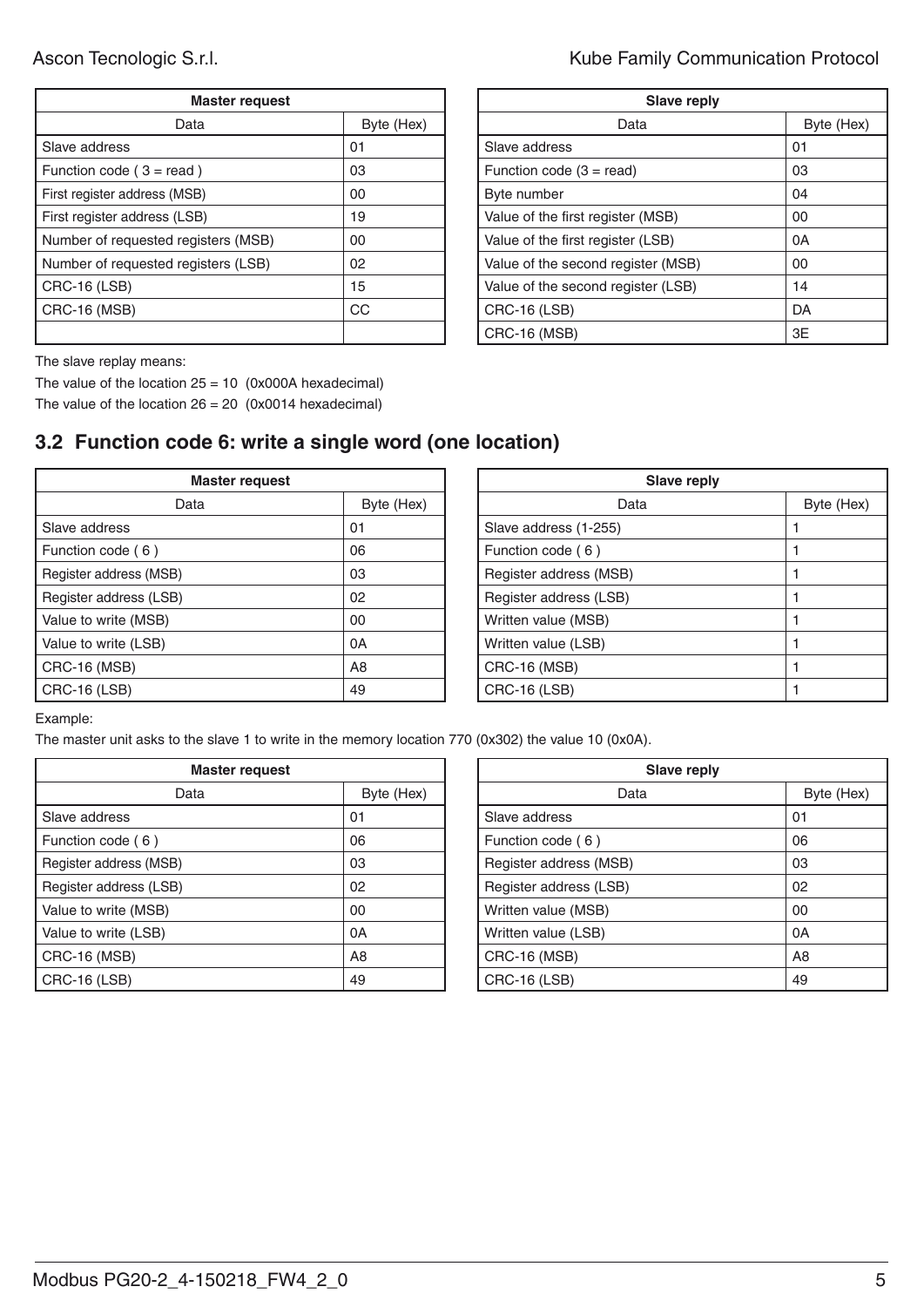| <b>Master request</b>               |            | <b>Slave reply</b>                 |         |
|-------------------------------------|------------|------------------------------------|---------|
| Data                                | Byte (Hex) | Data                               | B       |
| Slave address                       | 01         | Slave address                      | 01      |
| Function code $(3 = read)$          | 03         | Function code $(3 = read)$         | 03      |
| First register address (MSB)        | 00         | Byte number                        | 04      |
| First register address (LSB)        | 19         | Value of the first register (MSB)  | $00\,$  |
| Number of requested registers (MSB) | 00         | Value of the first register (LSB)  | 0A      |
| Number of requested registers (LSB) | 02         | Value of the second register (MSB) | $00 \,$ |
| <b>CRC-16 (LSB)</b>                 | 15         | Value of the second register (LSB) | 14      |
| <b>CRC-16 (MSB)</b>                 | <b>CC</b>  | CRC-16 (LSB)                       | DA      |
|                                     |            | $CRC-16$ (MSR)                     | 3F      |

Ascon Tecnologic S.r.l. **Ascon Tecnologic S.r.l. Kube Family Communication Protocol** 

| <b>Master request</b> |            | <b>Slave reply</b>                 |            |  |
|-----------------------|------------|------------------------------------|------------|--|
| Data                  | Byte (Hex) | Data                               | Byte (Hex) |  |
|                       | 01         | Slave address                      | 01         |  |
| ead)                  | 03         | Function code $(3 = read)$         | 03         |  |
| MSB)                  | 00         | Byte number                        | 04         |  |
| (LSB)                 | 19         | Value of the first register (MSB)  | 00         |  |
| registers (MSB)       | 00         | Value of the first register (LSB)  | 0A         |  |
| registers (LSB)       | 02         | Value of the second register (MSB) | 00         |  |
|                       | 15         | Value of the second register (LSB) | 14         |  |
|                       | CC         | CRC-16 (LSB)                       | DA         |  |
|                       |            | <b>CRC-16 (MSB)</b>                | 3E         |  |
|                       |            |                                    |            |  |

The slave replay means:

The value of the location  $25 = 10$  (0x000A hexadecimal) The value of the location  $26 = 20$  (0x0014 hexadecimal)

# **3.2 Function code 6: write a single word (one location)**

| Master request         |                | <b>Slave reply</b>     |  |
|------------------------|----------------|------------------------|--|
| Data                   | Byte (Hex)     | Data                   |  |
| Slave address          | 01             | Slave address (1-255)  |  |
| Function code (6)      | 06             | Function code (6)      |  |
| Register address (MSB) | 03             | Register address (MSB) |  |
| Register address (LSB) | 02             | Register address (LSB) |  |
| Value to write (MSB)   | 00             | Written value (MSB)    |  |
| Value to write (LSB)   | 0A             | Written value (LSB)    |  |
| CRC-16 (MSB)           | A <sub>8</sub> | CRC-16 (MSB)           |  |
| <b>CRC-16 (LSB)</b>    | 49             | <b>CRC-16 (LSB)</b>    |  |

| <b>Master request</b> |                | <b>Slave reply</b>     |            |
|-----------------------|----------------|------------------------|------------|
| Data                  | Byte (Hex)     | Data                   | Byte (Hex) |
|                       | 01             | Slave address (1-255)  |            |
|                       | 06             | Function code (6)      |            |
|                       | 03             | Register address (MSB) |            |
|                       | 02             | Register address (LSB) |            |
|                       | 00             | Written value (MSB)    |            |
|                       | 0A             | Written value (LSB)    |            |
|                       | A <sub>8</sub> | <b>CRC-16 (MSB)</b>    |            |
|                       | 49             | <b>CRC-16 (LSB)</b>    |            |

Example:

The master unit asks to the slave 1 to write in the memory location 770 (0x302) the value 10 (0x0A).

| <b>Master request</b>  |                |  | Slave reply            |                |
|------------------------|----------------|--|------------------------|----------------|
| Data                   | Byte (Hex)     |  | Data                   | B              |
| Slave address          | 01             |  | Slave address          | 01             |
| Function code (6)      | 06             |  | Function code (6)      | 06             |
| Register address (MSB) | 03             |  | Register address (MSB) | 03             |
| Register address (LSB) | 02             |  | Register address (LSB) | 02             |
| Value to write (MSB)   | 00             |  | Written value (MSB)    | 00             |
| Value to write (LSB)   | 0A             |  | Written value (LSB)    | 0A             |
| CRC-16 (MSB)           | A <sub>8</sub> |  | CRC-16 (MSB)           | A <sub>8</sub> |
| <b>CRC-16 (LSB)</b>    | 49             |  | CRC-16 (LSB)           | 49             |

| <b>Master request</b> |                | <b>Slave reply</b>     |                |
|-----------------------|----------------|------------------------|----------------|
| Data<br>Byte (Hex)    |                | Data                   | Byte (Hex)     |
|                       | 01             | Slave address          | 01             |
|                       | 06             | Function code (6)      | 06             |
|                       | 03             | Register address (MSB) | 03             |
|                       | 02             | Register address (LSB) | 02             |
|                       | 00             | Written value (MSB)    | 00             |
|                       | 0A             | Written value (LSB)    | 0A             |
|                       | A <sub>8</sub> | <b>CRC-16 (MSB)</b>    | A <sub>8</sub> |
|                       | 49             | <b>CRC-16 (LSB)</b>    | 49             |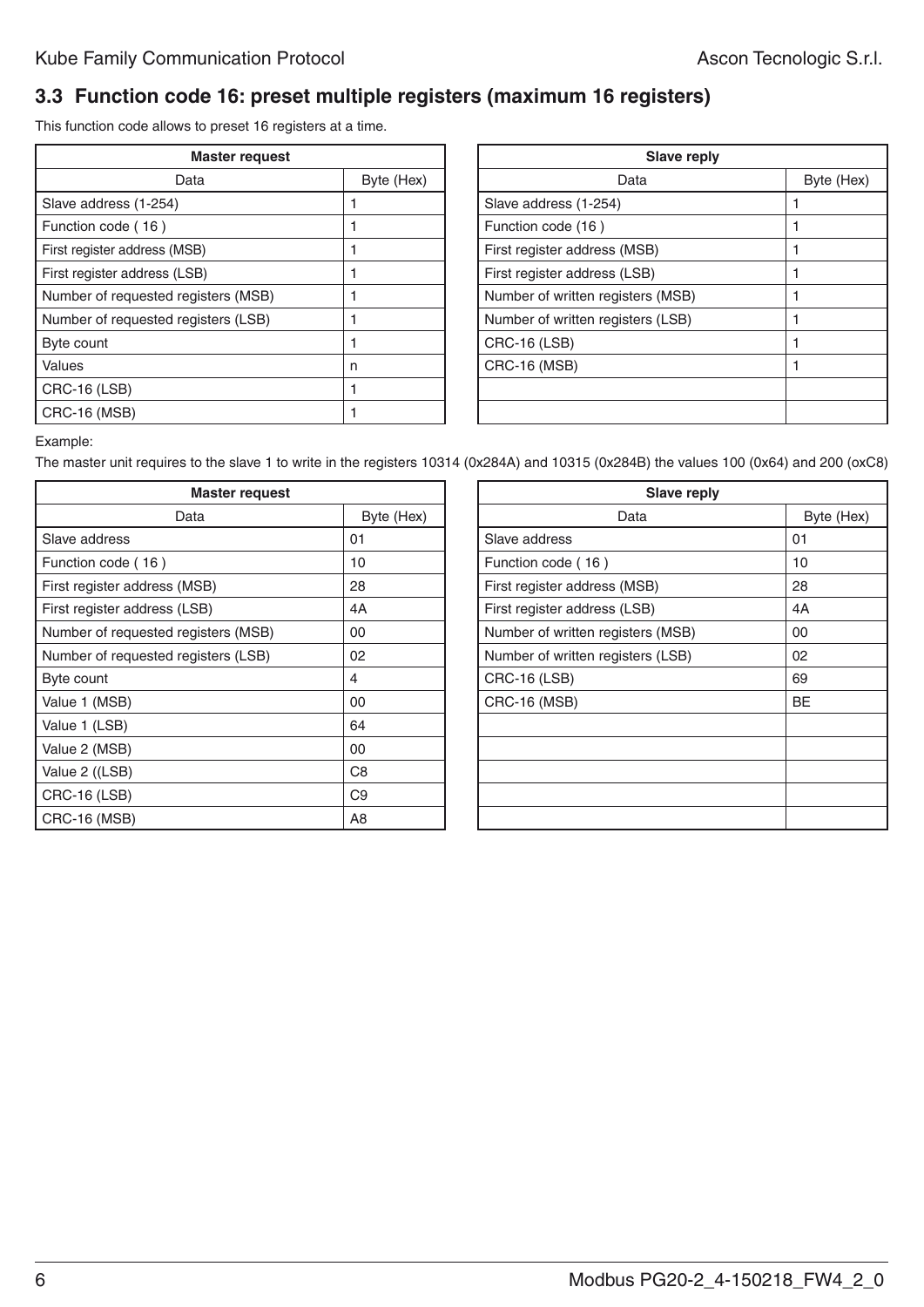#### **3.3 Function code 16: preset multiple registers (maximum 16 registers)**

This function code allows to preset 16 registers at a time.

| <b>Master request</b>               | <b>Slave reply</b> |                                   |  |
|-------------------------------------|--------------------|-----------------------------------|--|
| Data                                | Byte (Hex)         | Data                              |  |
| Slave address (1-254)               |                    | Slave address (1-254)             |  |
| Function code (16)                  |                    | Function code (16)                |  |
| First register address (MSB)        |                    | First register address (MSB)      |  |
| First register address (LSB)        |                    | First register address (LSB)      |  |
| Number of requested registers (MSB) |                    | Number of written registers (MSB) |  |
| Number of requested registers (LSB) |                    | Number of written registers (LSB) |  |
| Byte count                          |                    | <b>CRC-16 (LSB)</b>               |  |
| <b>Values</b>                       | n                  | <b>CRC-16 (MSB)</b>               |  |
| <b>CRC-16 (LSB)</b>                 |                    |                                   |  |
| <b>CRC-16 (MSB)</b>                 |                    |                                   |  |

| Byte (Hex) |
|------------|
|            |
|            |
|            |
|            |
|            |
|            |
|            |
|            |
|            |
|            |
|            |
|            |
|            |

Example:

The master unit requires to the slave 1 to write in the registers 10314 (0x284A) and 10315 (0x284B) the values 100 (0x64) and 200 (oxC8)

| <b>Master request</b>               |                |  | <b>Slave reply</b>                |           |
|-------------------------------------|----------------|--|-----------------------------------|-----------|
| Data                                | Byte (Hex)     |  | Data                              | B         |
| Slave address                       | 01             |  | Slave address                     | 01        |
| Function code (16)                  | 10             |  | Function code (16)                | 10        |
| First register address (MSB)        | 28             |  | First register address (MSB)      | 28        |
| First register address (LSB)        | 4A             |  | First register address (LSB)      | 4A        |
| Number of requested registers (MSB) | 00             |  | Number of written registers (MSB) | 00        |
| Number of requested registers (LSB) | 02             |  | Number of written registers (LSB) | 02        |
| Byte count                          | 4              |  | <b>CRC-16 (LSB)</b>               | 69        |
| Value 1 (MSB)                       | 00             |  | <b>CRC-16 (MSB)</b>               | <b>BE</b> |
| Value 1 (LSB)                       | 64             |  |                                   |           |
| Value 2 (MSB)                       | 00             |  |                                   |           |
| Value 2 ((LSB)                      | C <sub>8</sub> |  |                                   |           |
| <b>CRC-16 (LSB)</b>                 | C <sub>9</sub> |  |                                   |           |
| <b>CRC-16 (MSB)</b>                 | A8             |  |                                   |           |

| <b>Master request</b> |                | <b>Slave reply</b>                |            |
|-----------------------|----------------|-----------------------------------|------------|
| Data                  | Byte (Hex)     | Data                              | Byte (Hex) |
|                       | 01             | Slave address                     | 01         |
|                       | 10             | Function code (16)                | 10         |
| (MSB)                 | 28             | First register address (MSB)      | 28         |
| (LSB)                 | 4A             | First register address (LSB)      | 4A         |
| registers (MSB)       | 00             | Number of written registers (MSB) | 00         |
| registers (LSB)       | 02             | Number of written registers (LSB) | 02         |
|                       | 4              | CRC-16 (LSB)                      | 69         |
|                       | 00             | <b>CRC-16 (MSB)</b>               | <b>BE</b>  |
|                       | 64             |                                   |            |
|                       | 00             |                                   |            |
|                       | C <sub>8</sub> |                                   |            |
|                       | C <sub>9</sub> |                                   |            |
|                       | A8             |                                   |            |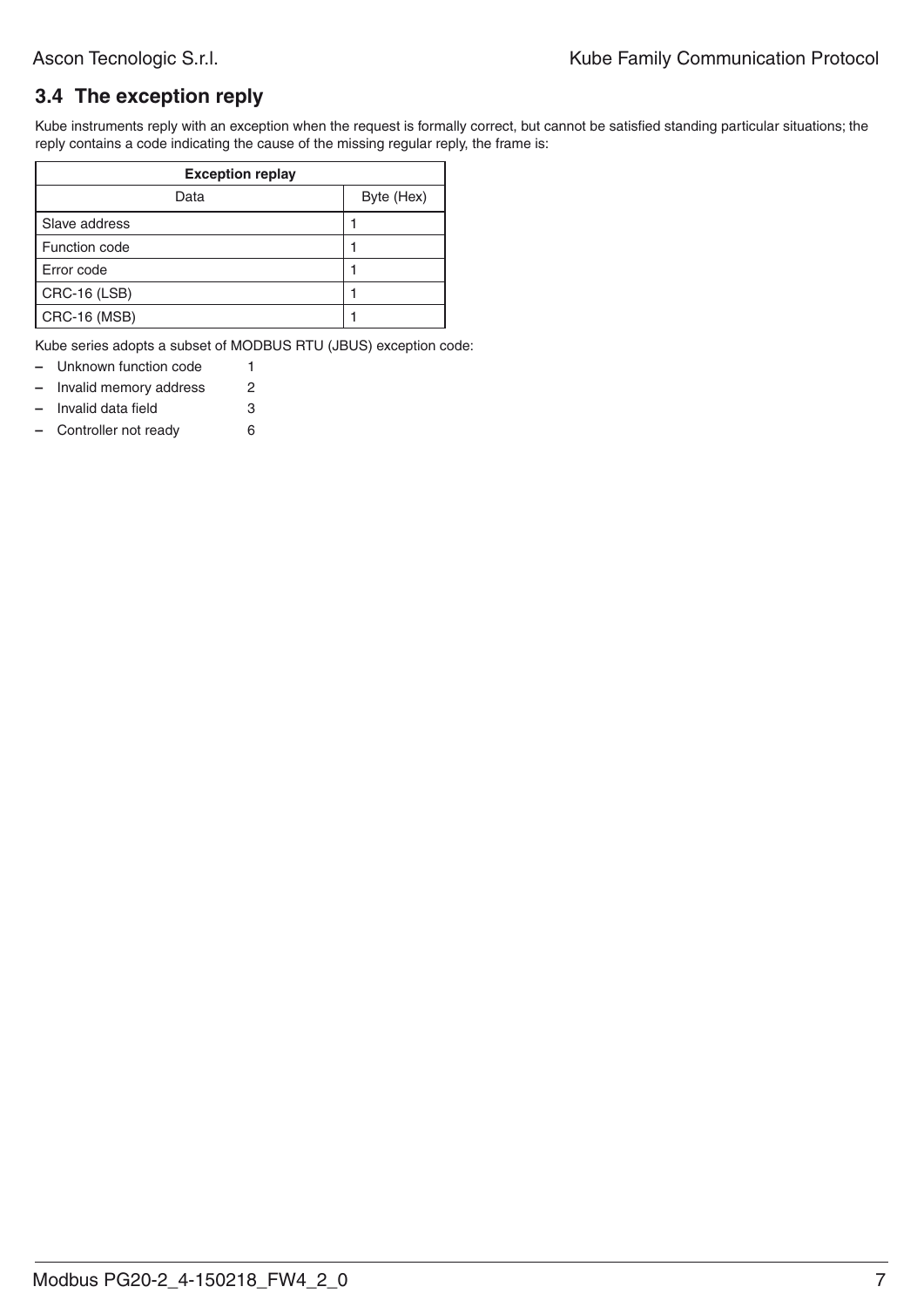### **3.4 The exception reply**

Kube instruments reply with an exception when the request is formally correct, but cannot be satisfied standing particular situations; the reply contains a code indicating the cause of the missing regular reply, the frame is:

| <b>Exception replay</b> |            |  |  |  |  |  |
|-------------------------|------------|--|--|--|--|--|
| Data                    | Byte (Hex) |  |  |  |  |  |
| Slave address           |            |  |  |  |  |  |
| Function code           |            |  |  |  |  |  |
| Error code              |            |  |  |  |  |  |
| <b>CRC-16 (LSB)</b>     |            |  |  |  |  |  |
| <b>CRC-16 (MSB)</b>     |            |  |  |  |  |  |

Kube series adopts a subset of MODBUS RTU (JBUS) exception code:

| $\equiv$                 | Unknown function code  |   |
|--------------------------|------------------------|---|
| $\overline{\phantom{0}}$ | Invalid memory address | 2 |

- **–** Invalid data field 3
- **–** Controller not ready 6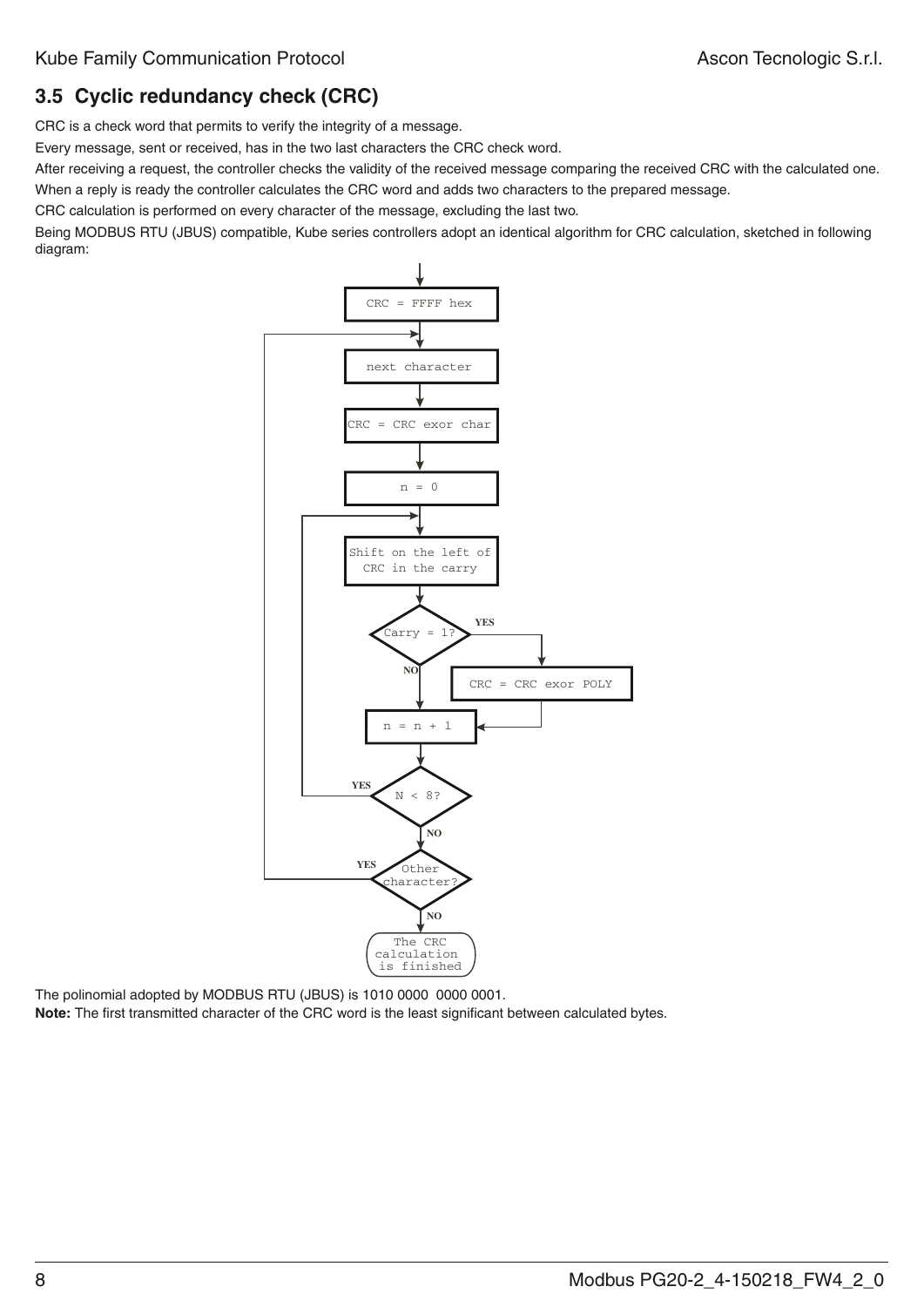# **3.5 Cyclic redundancy check (CRC)**

CRC is a check word that permits to verify the integrity of a message.

Every message, sent or received, has in the two last characters the CRC check word.

After receiving a request, the controller checks the validity of the received message comparing the received CRC with the calculated one. When a reply is ready the controller calculates the CRC word and adds two characters to the prepared message.

CRC calculation is performed on every character of the message, excluding the last two.

Being MODBUS RTU (JBUS) compatible, Kube series controllers adopt an identical algorithm for CRC calculation, sketched in following diagram:



The polinomial adopted by MODBUS RTU (JBUS) is 1010 0000 0000 0001.

**Note:** The first transmitted character of the CRC word is the least significant between calculated bytes.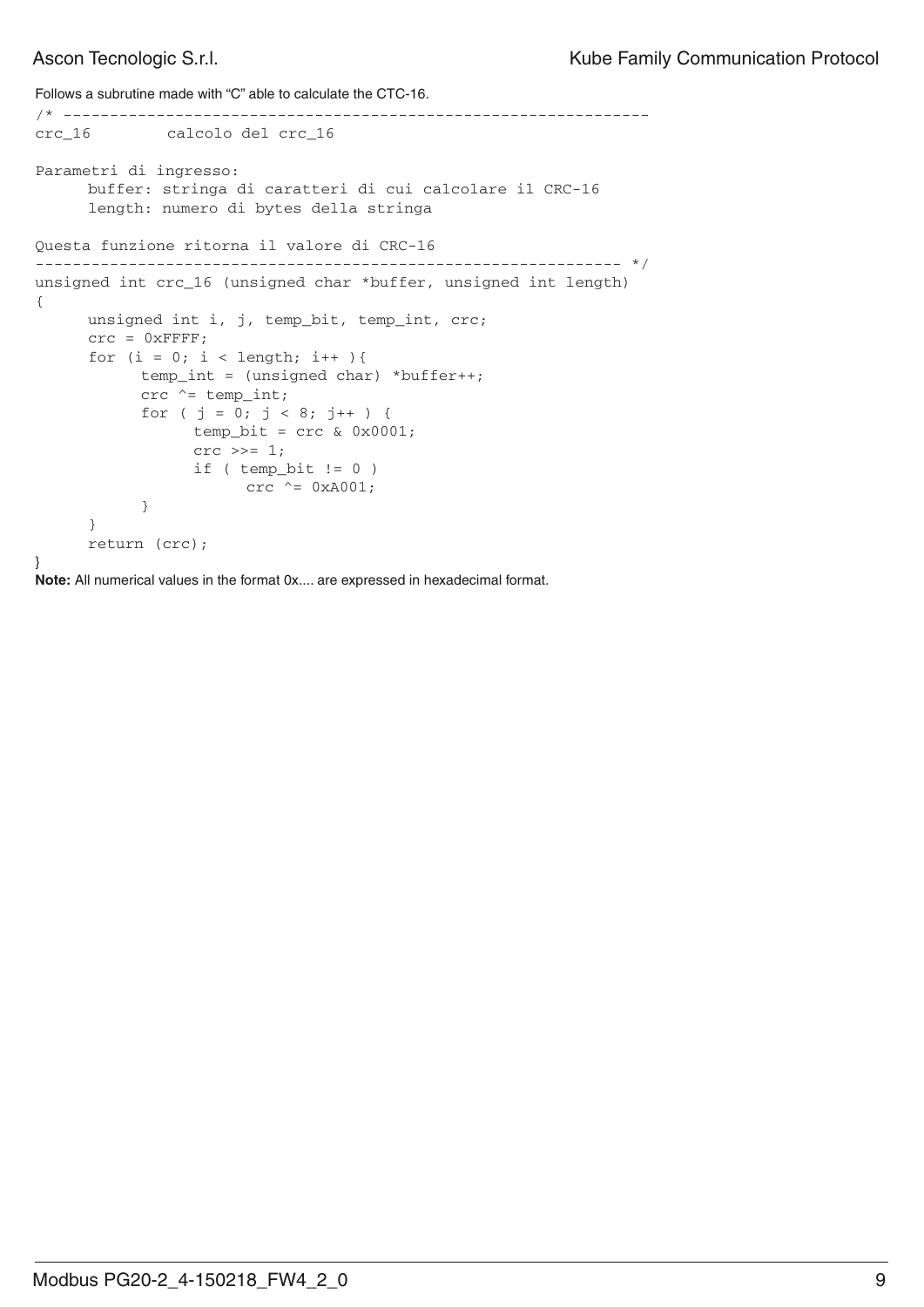```
Follows a subrutine made with "C" able to calculate the CTC-16.
/* ---------------------------------------------------------------
crc_16 calcolo del crc_16 
Parametri di ingresso:
       buffer: stringa di caratteri di cui calcolare il CRC-16
       length: numero di bytes della stringa
Questa funzione ritorna il valore di CRC-16
--------------------------------------------------------------- */
unsigned int crc_16 (unsigned char *buffer, unsigned int length)
{
       unsigned int i, j, temp_bit, temp_int, crc;
      \text{crc} = 0 \text{xFFFF};
      for (i = 0; i < length; i++ ) {
             temp_int = (unsigned char) *buffer++;
            \text{crc} ^= temp_int;
            for ( j = 0; j < 8; j++) {
                   temp\_bit = crc & 0x0001;
                   \text{crc} \text{ } \text{>>} = 1;if ( temp\_bit != 0 )
                        crc ^{\wedge} = 0xA001;
 }
       }
       return (crc);
}
```
**Note:** All numerical values in the format 0x.... are expressed in hexadecimal format.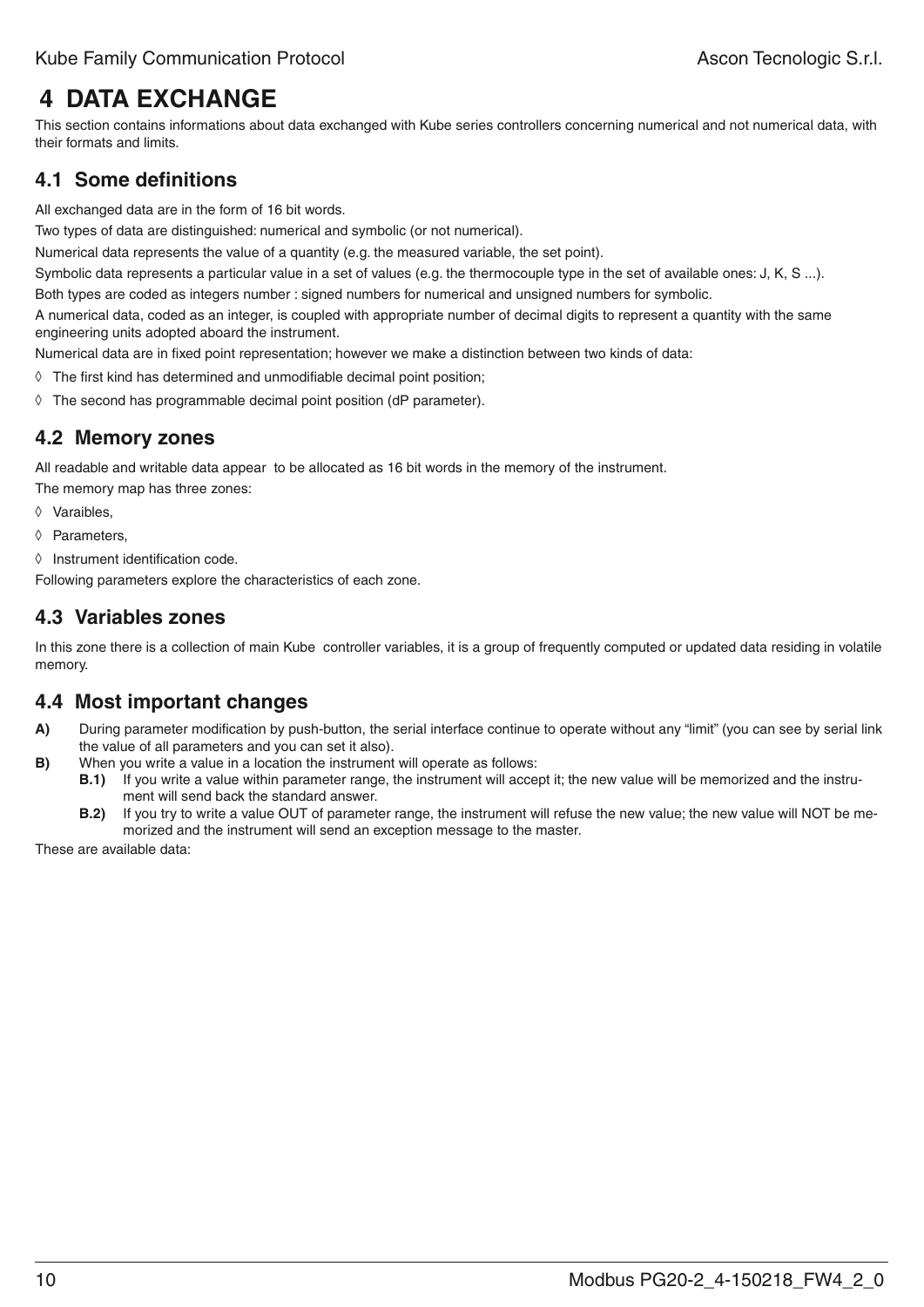# **4 Data exchange**

This section contains informations about data exchanged with Kube series controllers concerning numerical and not numerical data, with their formats and limits.

### **4.1 Some definitions**

All exchanged data are in the form of 16 bit words.

Two types of data are distinguished: numerical and symbolic (or not numerical).

Numerical data represents the value of a quantity (e.g. the measured variable, the set point).

Symbolic data represents a particular value in a set of values (e.g. the thermocouple type in the set of available ones: J, K, S ...).

Both types are coded as integers number : signed numbers for numerical and unsigned numbers for symbolic.

A numerical data, coded as an integer, is coupled with appropriate number of decimal digits to represent a quantity with the same engineering units adopted aboard the instrument.

Numerical data are in fixed point representation; however we make a distinction between two kinds of data:

- ◊ The first kind has determined and unmodifiable decimal point position;
- ◊ The second has programmable decimal point position (dP parameter).

#### **4.2 Memory zones**

All readable and writable data appear to be allocated as 16 bit words in the memory of the instrument.

The memory map has three zones:

- ◊ Varaibles,
- ◊ Parameters,
- ◊ Instrument identification code.

Following parameters explore the characteristics of each zone.

#### **4.3 Variables zones**

In this zone there is a collection of main Kube controller variables, it is a group of frequently computed or updated data residing in volatile memory.

# **4.4 Most important changes**

- **A)** During parameter modification by push-button, the serial interface continue to operate without any "limit" (you can see by serial link the value of all parameters and you can set it also).
- **B)** When you write a value in a location the instrument will operate as follows:
	- **B.1)** If you write a value within parameter range, the instrument will accept it; the new value will be memorized and the instrument will send back the standard answer.
	- **B.2)** If you try to write a value OUT of parameter range, the instrument will refuse the new value; the new value will NOT be memorized and the instrument will send an exception message to the master.

These are available data: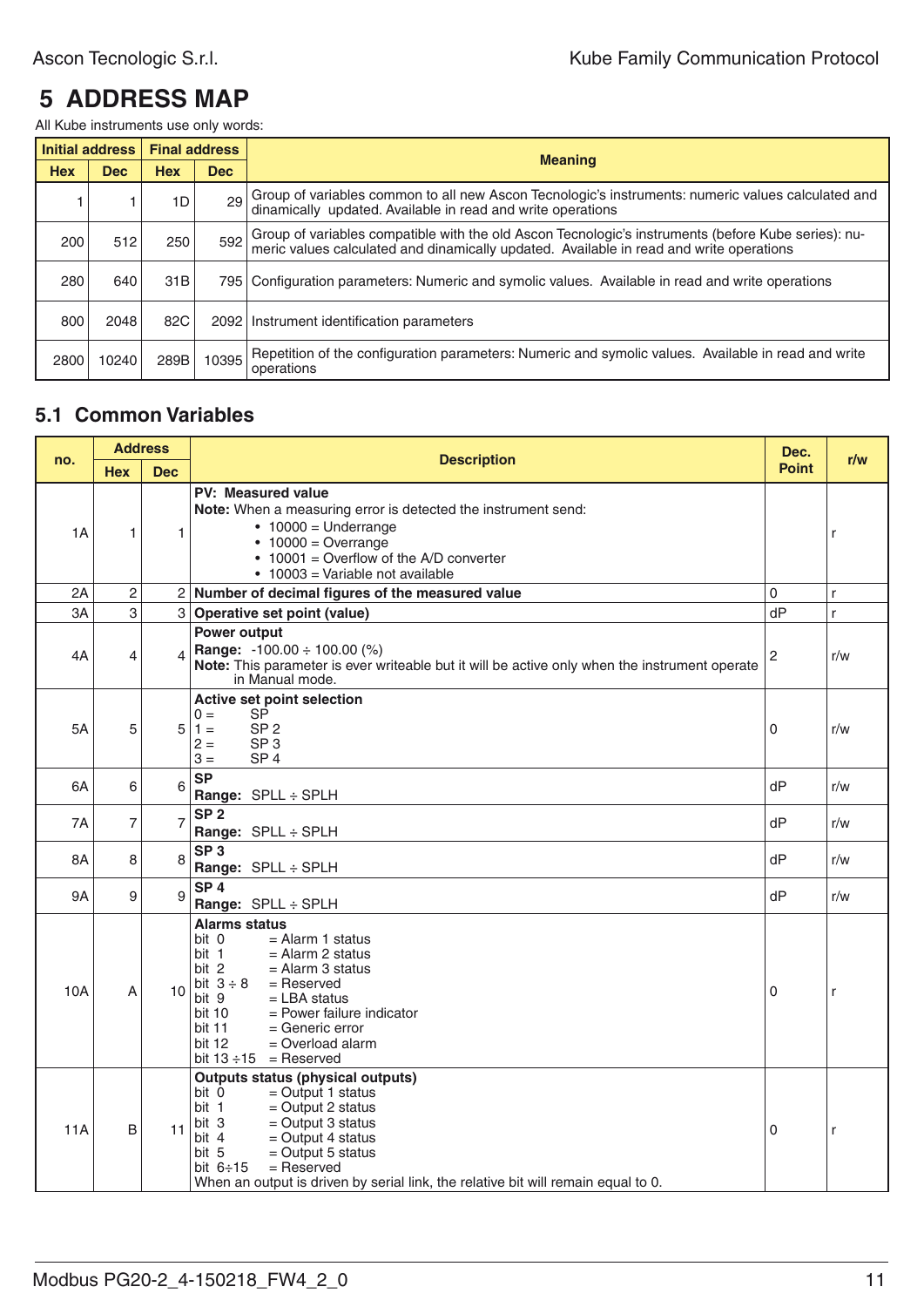# **5 Address map**

All Kube instruments use only words:

|            | Initial address | <b>Final address</b> |       |                                                                                                                                                                                                |
|------------|-----------------|----------------------|-------|------------------------------------------------------------------------------------------------------------------------------------------------------------------------------------------------|
| <b>Hex</b> | <b>Dec</b>      | <b>Hex</b>           | Dec   | <b>Meaning</b>                                                                                                                                                                                 |
|            |                 | 1D                   | 29    | Group of variables common to all new Ascon Tecnologic's instruments: numeric values calculated and<br>dinamically updated. Available in read and write operations                              |
| 200        | 512             | 250                  | 592   | Group of variables compatible with the old Ascon Tecnologic's instruments (before Kube series): nu-<br>meric values calculated and dinamically updated. Available in read and write operations |
| 280        | 640             | 31 <sub>B</sub>      |       | 795   Configuration parameters: Numeric and symolic values. Available in read and write operations                                                                                             |
| 800        | 2048            | 82C                  |       | 2092   Instrument identification parameters                                                                                                                                                    |
| 2800       | 10240           | 289B                 | 10395 | Repetition of the configuration parameters: Numeric and symolic values. Available in read and write<br>operations                                                                              |

#### **5.1 Common Variables**

|     | <b>Address</b><br>no. |                | <b>Description</b>                                                                                                                                                                                                                                                                                                               |              | r/w          |
|-----|-----------------------|----------------|----------------------------------------------------------------------------------------------------------------------------------------------------------------------------------------------------------------------------------------------------------------------------------------------------------------------------------|--------------|--------------|
|     | <b>Hex</b>            | <b>Dec</b>     |                                                                                                                                                                                                                                                                                                                                  | <b>Point</b> |              |
| 1A  | 1                     | 1              | PV: Measured value<br>Note: When a measuring error is detected the instrument send:<br>$\bullet$ 10000 = Underrange<br>$\cdot$ 10000 = Overrange<br>• 10001 = Overflow of the A/D converter<br>• 10003 = Variable not available                                                                                                  |              | r            |
| 2A  | $\overline{c}$        |                | 2 Number of decimal figures of the measured value                                                                                                                                                                                                                                                                                | 0            | $\mathsf{r}$ |
| 3A  | 3                     | 3              | Operative set point (value)                                                                                                                                                                                                                                                                                                      | dP           | r.           |
| 4A  | 4                     |                | Power output<br><b>Range:</b> $-100.00 \div 100.00$ (%)<br>Note: This parameter is ever writeable but it will be active only when the instrument operate<br>in Manual mode.                                                                                                                                                      | 2            | r/w          |
| 5A  | 5                     | 5              | Active set point selection<br>SP<br>$0 =$<br>$1 =$<br>SP <sub>2</sub><br>$2 =$<br>SP <sub>3</sub><br>$3 =$<br>SP <sub>4</sub>                                                                                                                                                                                                    | 0            | r/w          |
| 6A  | 6                     | 6              | <b>SP</b><br>Range: SPLL ÷ SPLH                                                                                                                                                                                                                                                                                                  | dP           | r/w          |
| 7Α  | 7                     | $\overline{7}$ | SP <sub>2</sub><br>Range: SPLL ÷ SPLH                                                                                                                                                                                                                                                                                            | dP           | r/w          |
| 8A  | 8                     | 8              | SP <sub>3</sub><br>Range: SPLL : SPLH                                                                                                                                                                                                                                                                                            | dP           | r/w          |
| 9A  | 9                     | 9              | SP <sub>4</sub><br>Range: SPLL ÷ SPLH                                                                                                                                                                                                                                                                                            | dP           | r/w          |
| 10A | A                     | 10             | <b>Alarms status</b><br>$=$ Alarm 1 status<br>bit 0<br>bit 1<br>$=$ Alarm 2 status<br>bit 2<br>$=$ Alarm 3 status<br>bit $3 \div 8$<br>$=$ Reserved<br>bit 9<br>$=$ LBA status<br>bit 10<br>$=$ Power failure indicator<br><b>bit 11</b><br>$=$ Generic error<br>bit 12<br>$=$ Overload alarm<br>bit $13 \div 15$ = Reserved     | 0            | r            |
| 11A | B                     | 11             | <b>Outputs status (physical outputs)</b><br>bit 0<br>$=$ Output 1 status<br>bit 1<br>$=$ Output 2 status<br>bit 3<br>$=$ Output 3 status<br>bit 4<br>$=$ Output 4 status<br>bit 5<br>$=$ Output 5 status<br>bit $6 \div 15$<br>$=$ Reserved<br>When an output is driven by serial link, the relative bit will remain equal to 0. | 0            | r            |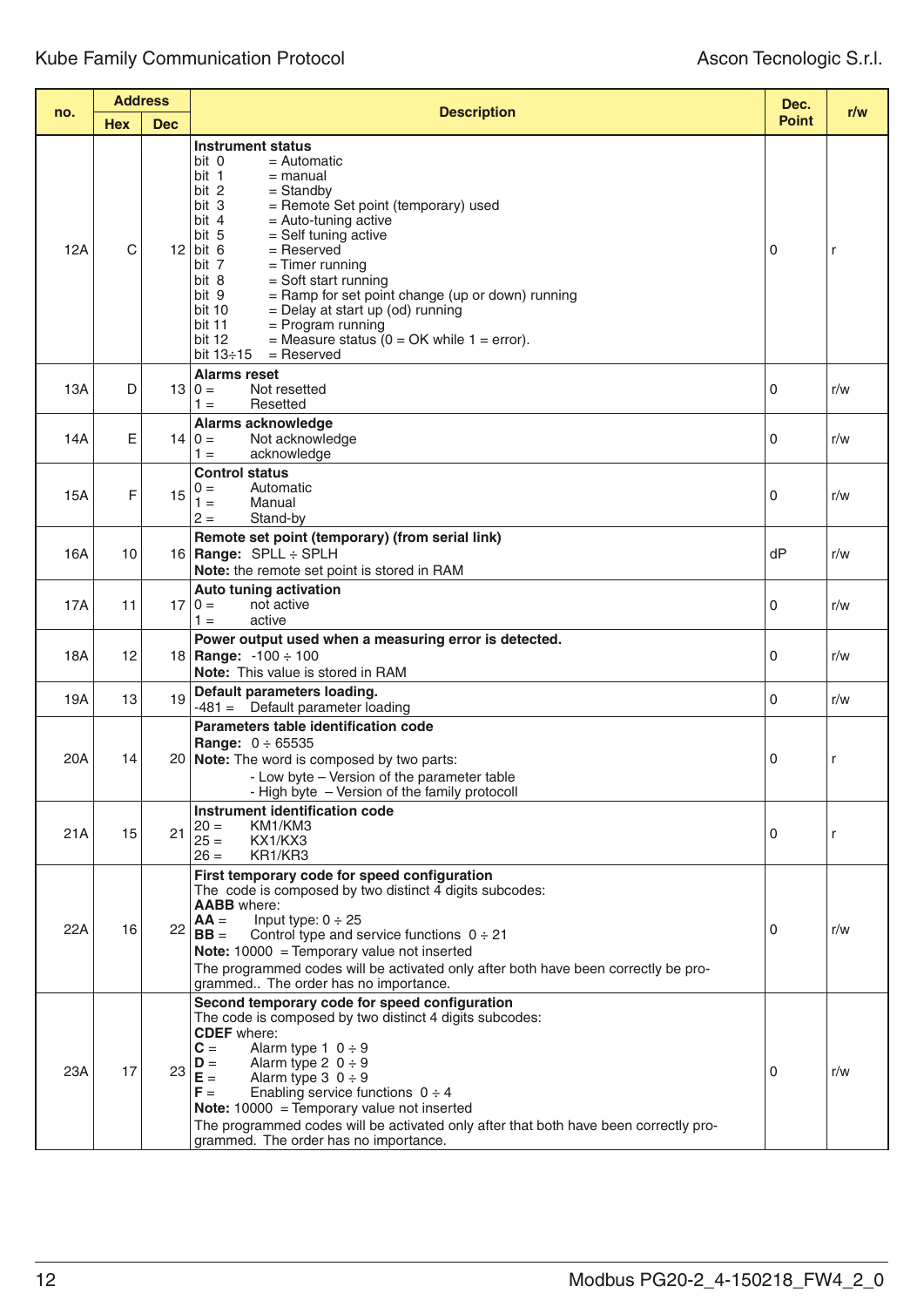|     | <b>Address</b> |            |                                                                                                                                                                                                                                                                                                                                                                                                                                                                                                                                                              |              |     |
|-----|----------------|------------|--------------------------------------------------------------------------------------------------------------------------------------------------------------------------------------------------------------------------------------------------------------------------------------------------------------------------------------------------------------------------------------------------------------------------------------------------------------------------------------------------------------------------------------------------------------|--------------|-----|
| no. | <b>Hex</b>     | <b>Dec</b> | <b>Description</b>                                                                                                                                                                                                                                                                                                                                                                                                                                                                                                                                           | <b>Point</b> | r/w |
| 12A | C              | 12         | <b>Instrument status</b><br>bit 0<br>$=$ Automatic<br>bit 1<br>$=$ manual<br>bit 2<br>$=$ Standby<br>bit 3<br>= Remote Set point (temporary) used<br>bit 4<br>$=$ Auto-tuning active<br>bit 5<br>= Self tuning active<br>bit 6<br>$=$ Reserved<br>$=$ Timer running<br>bit 7<br>bit 8<br>$=$ Soft start running<br>bit 9<br>= Ramp for set point change (up or down) running<br>bit 10<br>= Delay at start up (od) running<br>$=$ Program running<br>bit 11<br>= Measure status $(0 = OK$ while $1 = error$ ).<br>bit 12<br>bit $13 \div 15$<br>$=$ Reserved | 0            | r   |
| 13A | D              |            | <b>Alarms reset</b><br>$13 0=$<br>Not resetted<br>Resetted<br>$1 =$                                                                                                                                                                                                                                                                                                                                                                                                                                                                                          | $\Omega$     | r/w |
| 14A | E              |            | <b>Alarms acknowledge</b><br>$14 0=$<br>Not acknowledge<br>$1 =$<br>acknowledge                                                                                                                                                                                                                                                                                                                                                                                                                                                                              | 0            | r/w |
| 15A | F              | 15         | <b>Control status</b><br>$0 =$<br>Automatic<br>$1 =$<br>Manual<br>$2 =$<br>Stand-by                                                                                                                                                                                                                                                                                                                                                                                                                                                                          | 0            | r/w |
| 16A | 10             |            | Remote set point (temporary) (from serial link)<br>16   Range: $SPLL \div SPLH$<br>Note: the remote set point is stored in RAM                                                                                                                                                                                                                                                                                                                                                                                                                               | dP           | r/w |
| 17A | 11             |            | <b>Auto tuning activation</b><br>$17 0=$<br>not active<br>$1 =$<br>active                                                                                                                                                                                                                                                                                                                                                                                                                                                                                    | 0            | r/w |
| 18A | 12             |            | Power output used when a measuring error is detected.<br>18   Range: $-100 \div 100$<br><b>Note:</b> This value is stored in RAM                                                                                                                                                                                                                                                                                                                                                                                                                             | $\Omega$     | r/w |
| 19A | 13             | 19         | Default parameters loading.<br>$-481 =$ Default parameter loading                                                                                                                                                                                                                                                                                                                                                                                                                                                                                            | 0            | r/w |
| 20A | 14             |            | Parameters table identification code<br><b>Range:</b> $0 \div 65535$<br>20 <b>Note:</b> The word is composed by two parts:<br>- Low byte - Version of the parameter table<br>- High byte - Version of the family protocoll                                                                                                                                                                                                                                                                                                                                   | 0            | r   |
| 21A | 15             | 21         | Instrument identification code<br>KM1/KM3<br>$20 =$<br>$25 =$<br>KX1/KX3<br>KR1/KR3<br>$26 =$                                                                                                                                                                                                                                                                                                                                                                                                                                                                | 0            | r   |
| 22A | 16             | 22         | First temporary code for speed configuration<br>The code is composed by two distinct 4 digits subcodes:<br><b>AABB</b> where:<br>Input type: $0 \div 25$<br>$AA =$<br>$BB =$<br>Control type and service functions $0 \div 21$<br><b>Note:</b> $10000 =$ Temporary value not inserted<br>The programmed codes will be activated only after both have been correctly be pro-<br>grammed The order has no importance.                                                                                                                                          | $\mathbf{0}$ | r/w |
| 23A | 17             | 23         | Second temporary code for speed configuration<br>The code is composed by two distinct 4 digits subcodes:<br><b>CDEF</b> where:<br>$C =$<br>Alarm type $1 \t0 \div 9$<br>Alarm type 2 $0 \div 9$<br>$D =$<br>$E =$<br>Alarm type $3 \t0 \div 9$<br>Enabling service functions $0 \div 4$<br>$F =$<br><b>Note:</b> $10000 =$ Temporary value not inserted<br>The programmed codes will be activated only after that both have been correctly pro-<br>grammed. The order has no importance.                                                                     | 0            | r/w |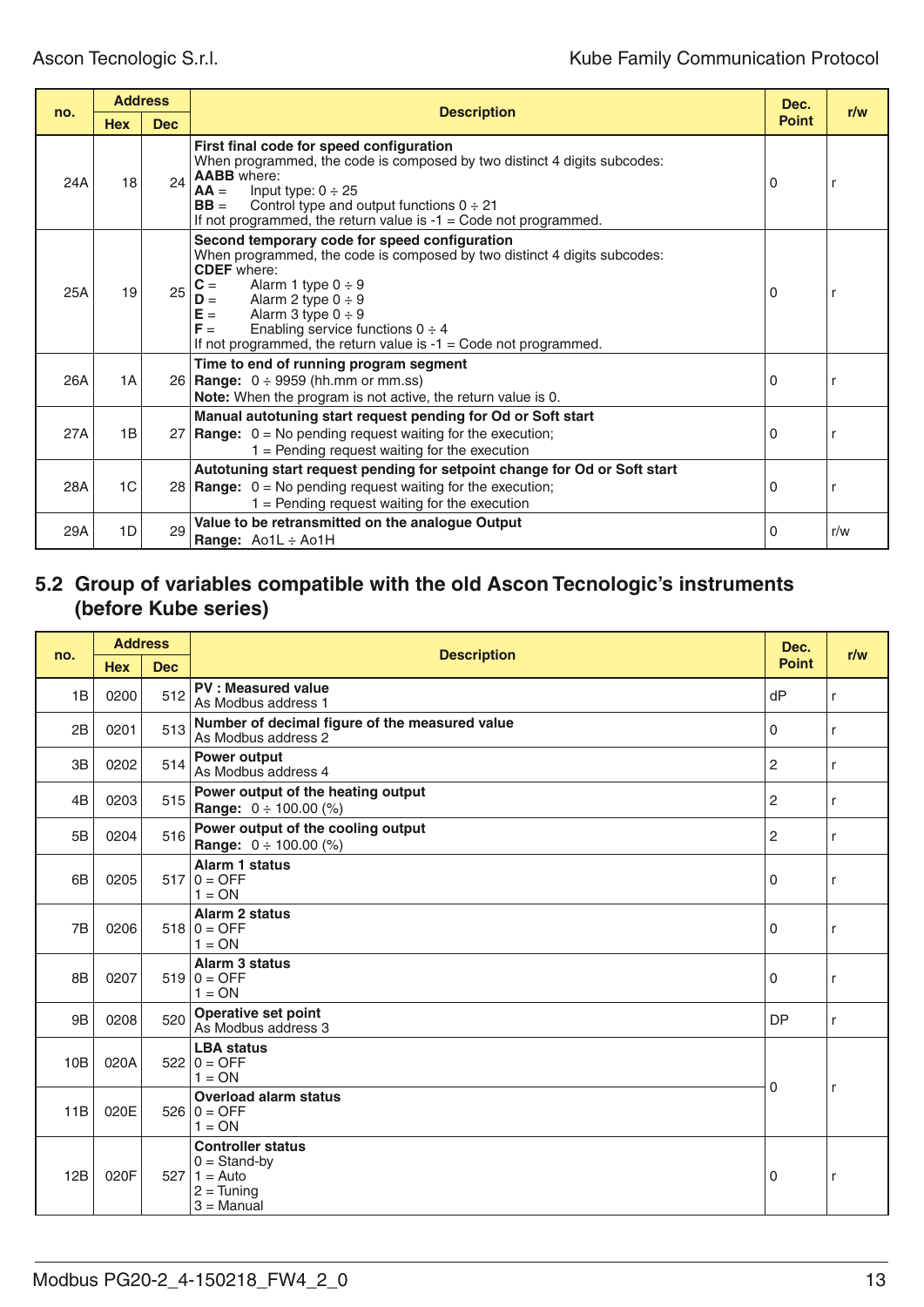|     | <b>Address</b> |            |                                                                                                                                                                                                                                                                                                                                                                                     | Dec.         |     |
|-----|----------------|------------|-------------------------------------------------------------------------------------------------------------------------------------------------------------------------------------------------------------------------------------------------------------------------------------------------------------------------------------------------------------------------------------|--------------|-----|
| no. | <b>Hex</b>     | <b>Dec</b> | <b>Description</b>                                                                                                                                                                                                                                                                                                                                                                  | <b>Point</b> | r/w |
| 24A | 18             | 24         | First final code for speed configuration<br>When programmed, the code is composed by two distinct 4 digits subcodes:<br><b>AABB</b> where:<br>Input type: $0 \div 25$<br>$AA =$<br>$BB =$<br>Control type and output functions $0 \div 21$<br>If not programmed, the return value is $-1 =$ Code not programmed.                                                                    | 0            |     |
| 25A | 19             | 25         | Second temporary code for speed configuration<br>When programmed, the code is composed by two distinct 4 digits subcodes:<br><b>CDEF</b> where:<br>$C =$<br>Alarm 1 type $0 \div 9$<br>Alarm 2 type $0 \div 9$<br>$D =$<br>$E =$<br>Alarm 3 type $0 \div 9$<br>$F =$<br>Enabling service functions $0 \div 4$<br>If not programmed, the return value is $-1 =$ Code not programmed. | 0            |     |
| 26A | 1A             |            | Time to end of running program segment<br>26   Range: $0 \div 9959$ (hh.mm or mm.ss)<br>Note: When the program is not active, the return value is 0.                                                                                                                                                                                                                                | $\Omega$     |     |
| 27A | 1B             |            | Manual autotuning start request pending for Od or Soft start<br>27   Range: $0 = No$ pending request waiting for the execution;<br>$1 =$ Pending request waiting for the execution                                                                                                                                                                                                  | 0            |     |
| 28A | 1C             |            | Autotuning start request pending for setpoint change for Od or Soft start<br>28   Range: $0 = No$ pending request waiting for the execution;<br>$1 =$ Pending request waiting for the execution                                                                                                                                                                                     | 0            |     |
| 29A | 1D             | 29         | Value to be retransmitted on the analogue Output<br>Range: Ao1L : Ao1H                                                                                                                                                                                                                                                                                                              | 0            | r/w |

### **5.2 Group of variables compatible with the old Ascon Tecnologic's instruments (before Kube series)**

|                | <b>Address</b> |            |                                                                                                |                | r/w |
|----------------|----------------|------------|------------------------------------------------------------------------------------------------|----------------|-----|
| no.            | <b>Hex</b>     | <b>Dec</b> | <b>Description</b>                                                                             | <b>Point</b>   |     |
| 1B             | 0200           | 512        | <b>PV: Measured value</b><br>As Modbus address 1                                               | dP             | r   |
| 2B             | 0201           | 513        | Number of decimal figure of the measured value<br>As Modbus address 2                          | 0              | r   |
| 3B             | 0202           | 514        | Power output<br>As Modbus address 4                                                            | $\overline{c}$ | r   |
| 4 <sub>B</sub> | 0203           | 515        | Power output of the heating output<br><b>Range:</b> $0 \div 100.00$ (%)                        | $\overline{2}$ | r   |
| 5B             | 0204           | 516        | Power output of the cooling output<br><b>Range:</b> $0 \div 100.00$ (%)                        | 2              | r   |
| 6 <sub>B</sub> | 0205           |            | <b>Alarm 1 status</b><br>$517 0 =$ OFF<br>$1 = ON$                                             | 0              | r   |
| 7B             | 0206           |            | Alarm 2 status<br>$518   0 = OFF$<br>$1 = ON$                                                  | 0              | r   |
| 8B             | 0207           |            | <b>Alarm 3 status</b><br>$519   0 = OFF$<br>$1 = ON$                                           | 0              | r   |
| 9B             | 0208           | 520        | <b>Operative set point</b><br>As Modbus address 3                                              | <b>DP</b>      | r   |
| 10B            | 020A           |            | <b>LBA</b> status<br>$522   0 = OFF$<br>$1 = ON$                                               |                |     |
| 11B            | 020E           |            | <b>Overload alarm status</b><br>$526   0 = OFF$<br>$1 = ON$                                    | 0              | r   |
| 12B            | 020F           |            | <b>Controller status</b><br>$0 =$ Stand-by<br>$527   1 =$ Auto<br>$2 =$ Tuning<br>$3 =$ Manual | 0              | r   |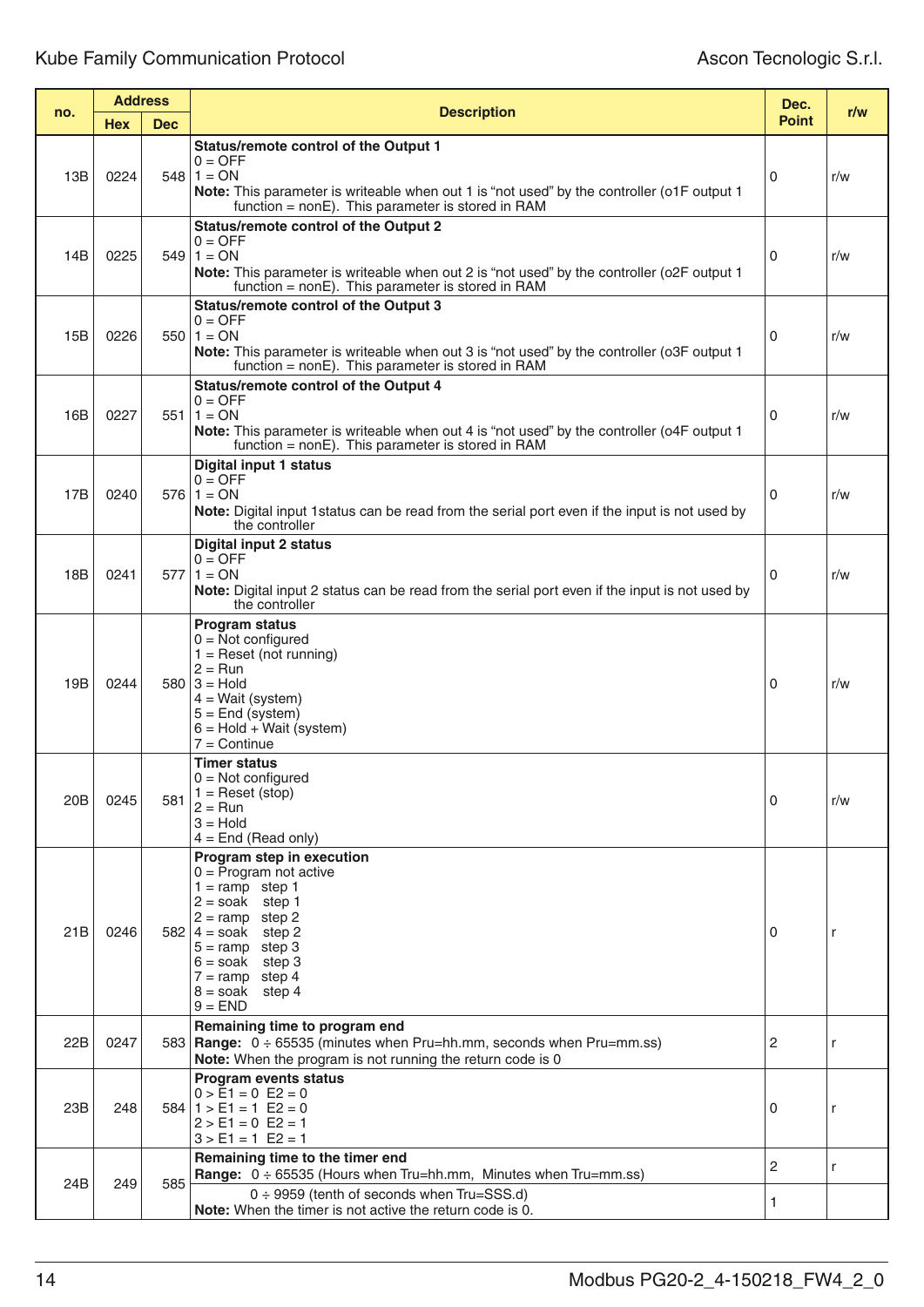|     | <b>Address</b> |            |                                                                                                                                                                                                                                                                                                              | Dec.           | r/w |
|-----|----------------|------------|--------------------------------------------------------------------------------------------------------------------------------------------------------------------------------------------------------------------------------------------------------------------------------------------------------------|----------------|-----|
| no. | <b>Hex</b>     | <b>Dec</b> | <b>Description</b>                                                                                                                                                                                                                                                                                           | <b>Point</b>   |     |
| 13B | 0224           |            | <b>Status/remote control of the Output 1</b><br>$0 = OFF$<br>$548$   1 = ON<br>Note: This parameter is writeable when out 1 is "not used" by the controller (o1F output 1<br>$function = nonE$ ). This parameter is stored in RAM                                                                            | 0              | r/w |
| 14B | 0225           |            | <b>Status/remote control of the Output 2</b><br>$0 = OFF$<br>$549 \mid 1 = ON$<br>Note: This parameter is writeable when out 2 is "not used" by the controller (o2F output 1<br>function = $nonE$ ). This parameter is stored in RAM                                                                         | 0              | r/w |
| 15B | 0226           |            | <b>Status/remote control of the Output 3</b><br>$0 = OFF$<br>$550 1 = ON$<br>Note: This parameter is writeable when out 3 is "not used" by the controller (o3F output 1<br>function = $nonE$ ). This parameter is stored in RAM                                                                              | 0              | r/w |
| 16B | 0227           |            | <b>Status/remote control of the Output 4</b><br>$0 = OFF$<br>$551 1 = ON$<br>Note: This parameter is writeable when out 4 is "not used" by the controller (o4F output 1<br>function = $nonE$ ). This parameter is stored in RAM                                                                              | 0              | r/w |
| 17B | 0240           |            | <b>Digital input 1 status</b><br>$0 = OFF$<br>$576$   1 = ON<br>Note: Digital input 1 status can be read from the serial port even if the input is not used by<br>the controller                                                                                                                             | 0              | r/w |
| 18B | 0241           |            | Digital input 2 status<br>$0 = OFF$<br>$577$   1 = ON<br><b>Note:</b> Digital input 2 status can be read from the serial port even if the input is not used by<br>the controller                                                                                                                             | 0              | r/w |
| 19B | 0244           |            | <b>Program status</b><br>$0 = Not$ configured<br>$1 =$ Reset (not running)<br>$2 = Run$<br>$580   3 =$ Hold<br>$4 = Wait$ (system)<br>$5 =$ End (system)<br>$6 =$ Hold + Wait (system)<br>$7 =$ Continue                                                                                                     | 0              | r/w |
| 20B | 0245           | 581        | <b>Timer status</b><br>$0 = Not$ configured<br>$1 =$ Reset (stop)<br>$2 = Run$<br>$3 =$ Hold<br>$4 =$ End (Read only)                                                                                                                                                                                        | 0              | r/w |
| 21B | 0246           |            | Program step in execution<br>$0 = \overline{P}$ rogram not active<br>$1 = \text{ramp}$ step 1<br>$2 =$ soak step 1<br>$2 = \text{ramp} \text{ step } 2$<br>$582 \mid 4 = \text{soak}$ step 2<br>$5 = \text{ramp}$ step 3<br>$6 =$ soak step 3<br>$7 = \text{ramp}$ step 4<br>8 = soak<br>step 4<br>$9 = END$ | 0              | r   |
| 22B | 0247           |            | Remaining time to program end<br>583   Range: $0 \div 65535$ (minutes when Pru=hh.mm, seconds when Pru=mm.ss)<br>Note: When the program is not running the return code is 0                                                                                                                                  | $\overline{c}$ | r   |
| 23B | 248            |            | <b>Program events status</b><br>$0 > \tilde{E}1 = 0$ E2 = 0<br>$584 \mid 1$ > E1 = 1 E2 = 0<br>$2 > E1 = 0$ E2 = 1<br>$3 > E1 = 1$ E2 = 1                                                                                                                                                                    | 0              | r   |
| 24B | 249            | 585        | Remaining time to the timer end<br><b>Range:</b> $0 \div 65535$ (Hours when Tru=hh.mm, Minutes when Tru=mm.ss)<br>$0 \div 9959$ (tenth of seconds when Tru=SSS.d)<br>Note: When the timer is not active the return code is 0.                                                                                | 2<br>1         | r   |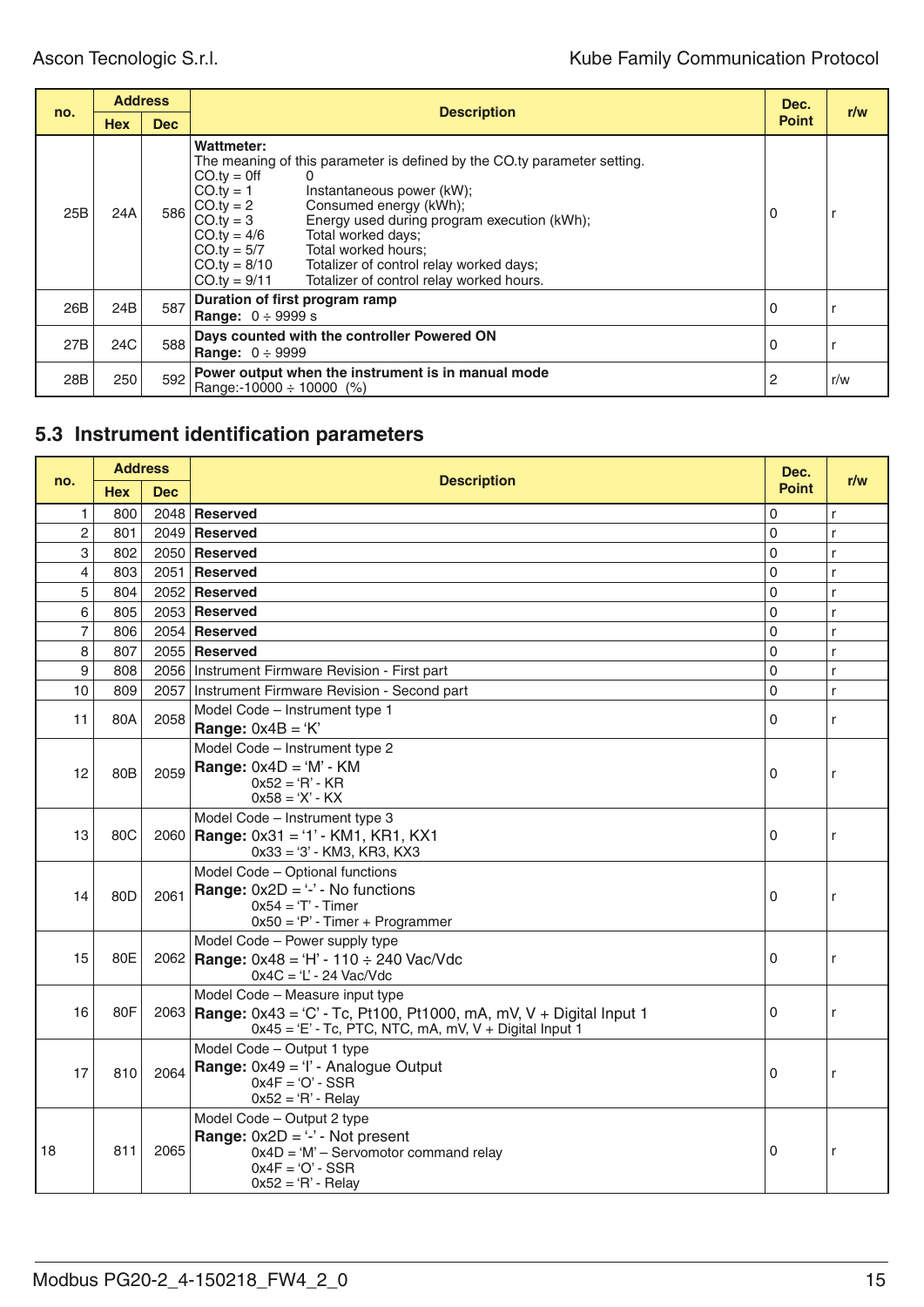| no. | <b>Address</b> |            |                                                                                                                                                                                                                                                                                                                                                                                                                                                                       |              |     |
|-----|----------------|------------|-----------------------------------------------------------------------------------------------------------------------------------------------------------------------------------------------------------------------------------------------------------------------------------------------------------------------------------------------------------------------------------------------------------------------------------------------------------------------|--------------|-----|
|     | <b>Hex</b>     | <b>Dec</b> | <b>Description</b>                                                                                                                                                                                                                                                                                                                                                                                                                                                    | <b>Point</b> | r/w |
| 25B | 24A            | 586        | Wattmeter:<br>The meaning of this parameter is defined by the CO.ty parameter setting.<br>$CO.tv = 0$ ff<br>$CO.tv = 1$<br>Instantaneous power (kW);<br>$CO.ty = 2$<br>Consumed energy (kWh);<br>Energy used during program execution (kWh);<br>$CO.tv = 3$<br>$CO.ty = 4/6$<br>Total worked days;<br>Total worked hours;<br>$CO.ty = 5/7$<br>$CO.ty = 8/10$<br>Totalizer of control relay worked days;<br>$CO.ty = 9/11$<br>Totalizer of control relay worked hours. | 0            |     |
| 26B | 24B            | 587        | Duration of first program ramp<br><b>Range:</b> $0 \div 9999 s$                                                                                                                                                                                                                                                                                                                                                                                                       | 0            |     |
| 27B | 24C            | 588        | Days counted with the controller Powered ON<br><b>Range:</b> $0 \div 9999$                                                                                                                                                                                                                                                                                                                                                                                            | 0            |     |
| 28B | 250            | 592        | Power output when the instrument is in manual mode<br>Range:-10000 $\div$ 10000 (%)                                                                                                                                                                                                                                                                                                                                                                                   | 2            | r/w |

# **5.3 Instrument identification parameters**

| no.            | <b>Address</b>  |      | <b>Description</b>                                                                                                                                                        | Dec.         | r/w          |
|----------------|-----------------|------|---------------------------------------------------------------------------------------------------------------------------------------------------------------------------|--------------|--------------|
|                | <b>Hex</b>      | Dec  |                                                                                                                                                                           | <b>Point</b> |              |
| 1              | 800             |      | 2048 Reserved                                                                                                                                                             | 0            | r            |
| $\overline{c}$ | 801             |      | 2049 Reserved                                                                                                                                                             | 0            | $\mathsf{r}$ |
| 3              | 802             |      | 2050 Reserved                                                                                                                                                             | 0            | r            |
| 4              | 803             |      | 2051   Reserved                                                                                                                                                           | 0            | r            |
| 5              | 804             |      | 2052 Reserved                                                                                                                                                             | 0            | r            |
| 6              | 805             |      | 2053 Reserved                                                                                                                                                             | 0            | r            |
| 7              | 806             |      | $2054$ Reserved                                                                                                                                                           | 0            | r            |
| 8              | 807             |      | 2055 Reserved                                                                                                                                                             | 0            | r            |
| 9              | 808             |      | 2056   Instrument Firmware Revision - First part                                                                                                                          | 0            | r            |
| 10             | 809             | 2057 | Instrument Firmware Revision - Second part                                                                                                                                | 0            | r            |
| 11             | 80A             | 2058 | Model Code - Instrument type 1<br><b>Range:</b> $0x4B = 'K'$                                                                                                              | 0            | r            |
| 12             | 80 <sub>B</sub> | 2059 | Model Code - Instrument type 2<br><b>Range:</b> $0x4D = 'M' - KM$<br>$0x52 = 'R' - KR$<br>$0x58 = 'X' - KX$                                                               | 0            | r            |
| 13             | 80C             |      | Model Code - Instrument type 3<br>$2060$ Range: 0x31 = '1' - KM1, KR1, KX1<br>$0x33 = '3' - KM3$ , KR3, KX3                                                               | 0            | r            |
| 14             | 80D             | 2061 | Model Code - Optional functions<br><b>Range:</b> $0x2D = 4$ - No functions<br>$0x54 = T - Timer$<br>$0x50 = 'P'$ - Timer + Programmer                                     | 0            | r            |
| 15             | 80E             |      | Model Code - Power supply type<br>$2062$ Range: 0x48 = 'H' - 110 $\div$ 240 Vac/Vdc<br>$0x4C = 'L' - 24$ Vac/Vdc                                                          | 0            | r            |
| 16             | 80F             |      | Model Code - Measure input type<br>2063 Range: $0x43 = C' - Tc$ , Pt100, Pt1000, mA, mV, V + Digital Input 1<br>$0x45 = 'E' - Tc$ , PTC, NTC, mA, mV, V + Digital Input 1 | 0            | r            |
| 17             | 810             | 2064 | Model Code - Output 1 type<br>Range: $0x49 = 'l'$ - Analogue Output<br>$0x4F = 'O' - SSR$<br>$0x52 = 'R' - Relay$                                                         | 0            | r            |
| 18             | 811             | 2065 | Model Code - Output 2 type<br><b>Range:</b> $0x2D = -2$ - Not present<br>$0x4D = 'M' -$ Servomotor command relay<br>$0x4F = 'O' - SSR$<br>$0x52 = 'R' - Relay$            | 0            | r            |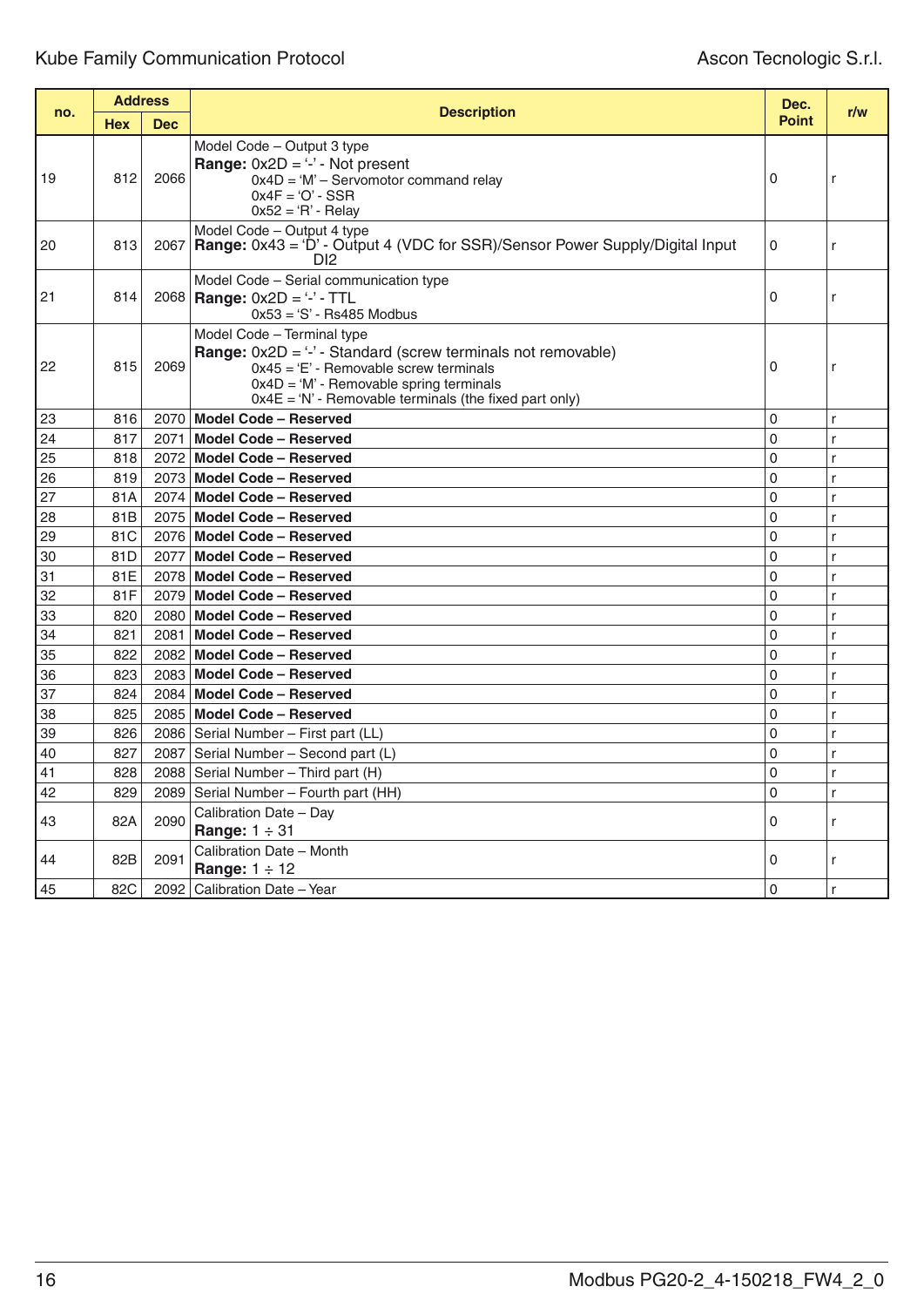| no. | <b>Address</b> |            |                                                                                                                                                                                                                                                         |              | r/w |
|-----|----------------|------------|---------------------------------------------------------------------------------------------------------------------------------------------------------------------------------------------------------------------------------------------------------|--------------|-----|
|     | <b>Hex</b>     | <b>Dec</b> | <b>Description</b>                                                                                                                                                                                                                                      | <b>Point</b> |     |
| 19  | 812            | 2066       | Model Code - Output 3 type<br><b>Range:</b> $0x2D = -2$ - Not present<br>$0x4D = 'M' -$ Servomotor command relay<br>$0x4F = 'O' - SSR$<br>$0x52 = 'R' - Relay$                                                                                          | 0            | r   |
| 20  | 813            |            | Model Code - Output 4 type<br>2067 Range: 0x43 = 'D' - Output 4 (VDC for SSR)/Sensor Power Supply/Digital Input<br>D <sub>12</sub>                                                                                                                      | 0            | r   |
| 21  | 814            |            | Model Code - Serial communication type<br>2068   Range: $0x2D = '-'$ - TTL<br>$0x53 = 'S' - Rs485$ Modbus                                                                                                                                               | 0            | r   |
| 22  | 815            | 2069       | Model Code - Terminal type<br><b>Range:</b> $0x2D = -2$ - Standard (screw terminals not removable)<br>$0x45 = 'E'$ - Removable screw terminals<br>$0x4D = 'M'$ - Removable spring terminals<br>$0x4E = 'N'$ - Removable terminals (the fixed part only) | $\Omega$     | r   |
| 23  | 816            |            | 2070 Model Code - Reserved                                                                                                                                                                                                                              | 0            | r   |
| 24  | 817            | 2071       | Model Code - Reserved                                                                                                                                                                                                                                   | $\mathbf{0}$ | r   |
| 25  | 818            |            | 2072 Model Code - Reserved                                                                                                                                                                                                                              | $\mathbf 0$  | r   |
| 26  | 819            |            | 2073 Model Code - Reserved                                                                                                                                                                                                                              | $\mathbf 0$  | r   |
| 27  | 81A            |            | 2074 Model Code - Reserved                                                                                                                                                                                                                              | $\mathbf{0}$ | r   |
| 28  | 81B            |            | 2075 Model Code - Reserved                                                                                                                                                                                                                              | $\mathbf 0$  | r   |
| 29  | 81C            |            | 2076 Model Code - Reserved                                                                                                                                                                                                                              | 0            | r   |
| 30  | 81D            |            | 2077 Model Code - Reserved                                                                                                                                                                                                                              | $\mathbf 0$  | r   |
| 31  | 81E            |            | 2078 Model Code - Reserved                                                                                                                                                                                                                              | $\mathbf 0$  | r   |
| 32  | 81F            |            | 2079 Model Code - Reserved                                                                                                                                                                                                                              | $\mathbf 0$  | r   |
| 33  | 820            |            | 2080   Model Code - Reserved                                                                                                                                                                                                                            | $\mathbf{0}$ | r   |
| 34  | 821            |            | 2081 Model Code - Reserved                                                                                                                                                                                                                              | 0            | r   |
| 35  | 822            |            | 2082 Model Code - Reserved                                                                                                                                                                                                                              | $\mathbf{0}$ | r   |
| 36  | 823            |            | 2083 Model Code - Reserved                                                                                                                                                                                                                              | $\mathbf 0$  | r   |
| 37  | 824            |            | 2084 Model Code - Reserved                                                                                                                                                                                                                              | 0            | r   |
| 38  | 825            |            | 2085 Model Code - Reserved                                                                                                                                                                                                                              | $\mathbf 0$  | r   |
| 39  | 826            |            | 2086   Serial Number - First part (LL)                                                                                                                                                                                                                  | $\mathbf 0$  | r   |
| 40  | 827            | 2087       | Serial Number - Second part (L)                                                                                                                                                                                                                         | $\mathbf 0$  | r   |
| 41  | 828            |            | 2088 Serial Number - Third part (H)                                                                                                                                                                                                                     | $\mathbf{0}$ | r   |
| 42  | 829            |            | 2089 Serial Number - Fourth part (HH)                                                                                                                                                                                                                   | 0            | r   |
| 43  | 82A            | 2090       | Calibration Date - Day<br>Range: $1 \div 31$                                                                                                                                                                                                            | 0            | r   |
| 44  | 82B            | 2091       | Calibration Date - Month<br>Range: $1 \div 12$                                                                                                                                                                                                          | 0            | r   |
| 45  | 82C            |            | 2092   Calibration Date - Year                                                                                                                                                                                                                          | 0            | r   |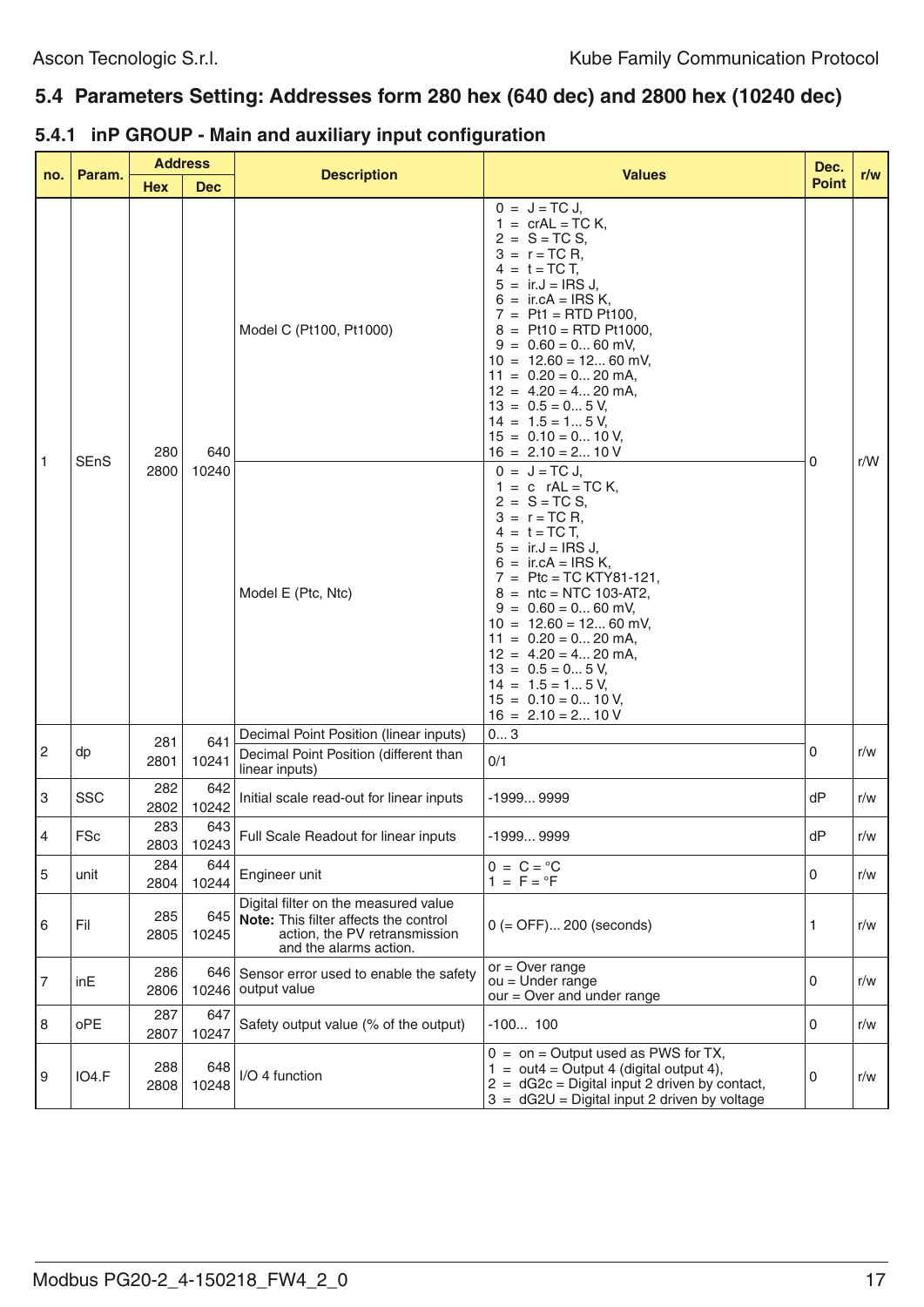# **5.4 Parameters Setting: Addresses form 280 hex (640 dec) and 2800 hex (10240 dec)**

|  | 5.4.1 inP GROUP - Main and auxiliary input configuration |  |  |  |  |
|--|----------------------------------------------------------|--|--|--|--|
|--|----------------------------------------------------------|--|--|--|--|

|                           | Param.      | <b>Address</b> |              | <b>Description</b>                                                                                                                           | <b>Values</b>                                                                                                                                                                                                                                                                                                                                                                                                                       | Dec.         | r/w |
|---------------------------|-------------|----------------|--------------|----------------------------------------------------------------------------------------------------------------------------------------------|-------------------------------------------------------------------------------------------------------------------------------------------------------------------------------------------------------------------------------------------------------------------------------------------------------------------------------------------------------------------------------------------------------------------------------------|--------------|-----|
| no.                       |             | <b>Hex</b>     | <b>Dec</b>   |                                                                                                                                              |                                                                                                                                                                                                                                                                                                                                                                                                                                     | <b>Point</b> |     |
| $\mathbf{1}$              | <b>SEnS</b> | 280            | 640          | Model C (Pt100, Pt1000)                                                                                                                      | $0 = J = TC J,$<br>$1 = crAL = TC K,$<br>$2 = S = TC S,$<br>$3 = r = TCR,$<br>$4 = t = TCT$ ,<br>$=$ ir.J = IRS J,<br>$=$ ir.cA = IRS K,<br>$7 = Pt1 = RTD Pt100,$<br>$=$ Pt10 = RTD Pt1000,<br>$= 0.60 = 060$ mV,<br>9<br>$10 = 12.60 = 1260$ mV,<br>$11 = 0.20 = 0 20$ mA,<br>$12 = 4.20 = 420$ mA,<br>$13 = 0.5 = 05$ V,<br>$14 = 1.5 = 15$ V,<br>$15 = 0.10 = 010$ V,<br>$16 = 2.10 = 210$ V                                    | 0            | r/W |
|                           |             | 2800           | 10240        | Model E (Ptc, Ntc)                                                                                                                           | $0 = J = TC J,$<br>$1 = c$ rAL = TC K,<br>$2 = S = TC S,$<br>$3 = r = TCR$ .<br>$4 = t = TCT$ ,<br>$5 = ir.J = IRS J,$<br>$=$ ir.cA = IRS K,<br>6<br>$7 =$ Ptc = TC KTY81-121,<br>$8 = \text{ntc} = \text{NTC} 103 - \text{AT2}$ ,<br>$9 = 0.60 = 060$ mV,<br>$10 = 12.60 = 1260$ mV,<br>$11 = 0.20 = 0 20$ mA,<br>$12 = 4.20 = 420$ mA,<br>$13 = 0.5 = 05$ V,<br>$14 = 1.5 = 15$ V,<br>$15 = 0.10 = 010$ V,<br>$16 = 2.10 = 210$ V |              |     |
| $\sqrt{2}$                | dp          | 281<br>2801    | 641<br>10241 | Decimal Point Position (linear inputs)<br>Decimal Point Position (different than<br>linear inputs)                                           | 03<br>0/1                                                                                                                                                                                                                                                                                                                                                                                                                           | 0            | r/w |
| $\ensuremath{\mathsf{3}}$ | <b>SSC</b>  | 282<br>2802    | 642<br>10242 | Initial scale read-out for linear inputs                                                                                                     | $-19999999$                                                                                                                                                                                                                                                                                                                                                                                                                         | dP           | r/w |
| 4                         | <b>FSc</b>  | 283<br>2803    | 643<br>10243 | Full Scale Readout for linear inputs                                                                                                         | $-19999999$                                                                                                                                                                                                                                                                                                                                                                                                                         | dP           | r/w |
| 5                         | unit        | 284<br>2804    | 644<br>10244 | Engineer unit                                                                                                                                | $0 = C = \degree C$<br>$1 = F = P$                                                                                                                                                                                                                                                                                                                                                                                                  | 0            | r/w |
| 6                         | Fil         | 285<br>2805    | 10245        | Digital filter on the measured value<br>645 Note: This filter affects the control<br>action, the PV retransmission<br>and the alarms action. | $0 (=$ OFF $)$ 200 (seconds)                                                                                                                                                                                                                                                                                                                                                                                                        | 1            | r/w |
| $\overline{7}$            | inE         | 286<br>2806    |              | 646 Sensor error used to enable the safety<br>10246 output value                                                                             | $or = Over range$<br>$ou =$ Under range<br>$our = Over$ and under range                                                                                                                                                                                                                                                                                                                                                             | 0            | r/w |
| 8                         | oPE         | 287<br>2807    | 647<br>10247 | Safety output value (% of the output)                                                                                                        | $-100100$                                                                                                                                                                                                                                                                                                                                                                                                                           | 0            | r/w |
| 9                         | IO4.F       | 288<br>2808    | 648<br>10248 | I/O 4 function                                                                                                                               | $0 =$ on = Output used as PWS for TX,<br>$1 = out4 = Output4$ (digital output 4),<br>$2 = dG2c = Digital input 2 driven by contact,$<br>$3 = dG2U = Digital input 2 driven by voltage$                                                                                                                                                                                                                                              | 0            | r/w |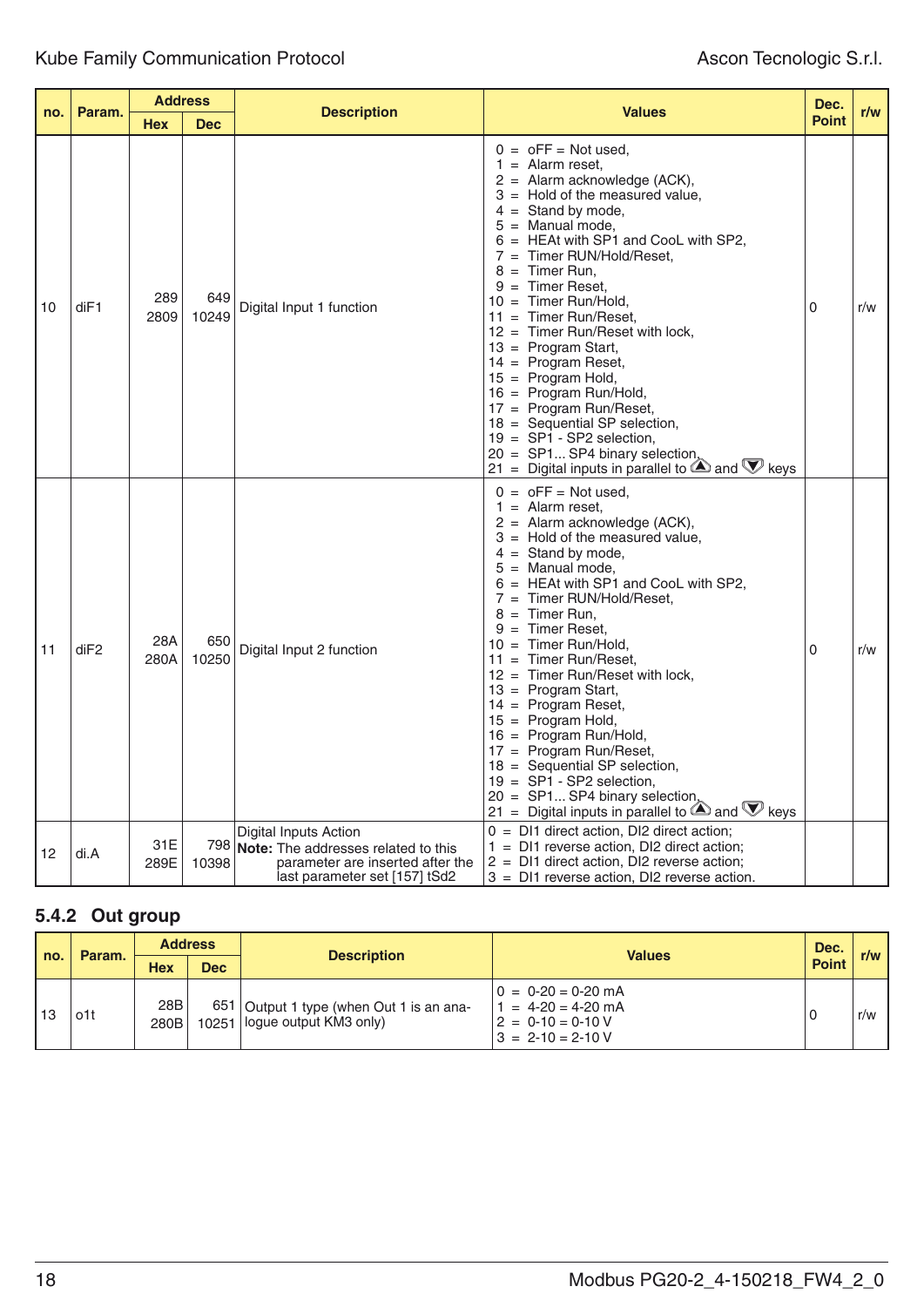| no. |                  |             | <b>Address</b> |                                                                                                                                          |                                                                                                                                                                                                                                                                                                                                                                                                                                                                                                                                                                                                                                                                                                                 | Dec.         |     |
|-----|------------------|-------------|----------------|------------------------------------------------------------------------------------------------------------------------------------------|-----------------------------------------------------------------------------------------------------------------------------------------------------------------------------------------------------------------------------------------------------------------------------------------------------------------------------------------------------------------------------------------------------------------------------------------------------------------------------------------------------------------------------------------------------------------------------------------------------------------------------------------------------------------------------------------------------------------|--------------|-----|
|     | Param.           | <b>Hex</b>  | <b>Dec</b>     | <b>Description</b>                                                                                                                       | <b>Values</b>                                                                                                                                                                                                                                                                                                                                                                                                                                                                                                                                                                                                                                                                                                   | <b>Point</b> | r/w |
| 10  | diF1             | 289<br>2809 | 649<br>10249   | Digital Input 1 function                                                                                                                 | $0 = 0$ FF = Not used,<br>$=$ Alarm reset,<br>1.<br>2 = Alarm acknowledge (ACK),<br>$=$ Hold of the measured value,<br>$4 =$ Stand by mode,<br>5<br>$=$ Manual mode,<br>$=$ HEAt with SP1 and CooL with SP2,<br>Timer RUN/Hold/Reset,<br>$7 =$<br>Timer Run,<br>8<br>$\equiv$<br>Timer Reset.<br>$=$<br>Timer Run/Hold.<br>10<br>$=$<br>$11 =$ Timer Run/Reset,<br>$=$ Timer Run/Reset with lock,<br>12<br>$13 = Program Start,$<br>$14$ = Program Reset,<br>$15 = Program Hold,$<br>16 = Program Run/Hold,<br>17 = Program Run/Reset,<br>$18 =$ Sequential SP selection,<br>$19 = SP1 - SP2$ selection,<br>$20 = SP1 SP4$ binary selection,<br>21 = Digital inputs in parallel to $\bigcirc$ and $\nabla$ keys | $\Omega$     | r/w |
| 11  | di <sub>F2</sub> | 28A<br>280A | 650<br>10250   | Digital Input 2 function                                                                                                                 | $0 = 0FF = Not used,$<br>$=$ Alarm reset,<br>1.<br>2 = Alarm acknowledge (ACK),<br>$=$ Hold of the measured value,<br>$4 =$ Stand by mode,<br>$=$ Manual mode,<br>5<br>= HEAt with SP1 and CooL with SP2,<br>$7 =$ Timer RUN/Hold/Reset,<br>$=$ Timer Run,<br>8<br>$=$ Timer Reset.<br>9<br>$=$ Timer Run/Hold,<br>10<br>$11 =$ Timer Run/Reset,<br>= Timer Run/Reset with lock,<br>12 <sup>°</sup><br>$13 = Program Start$ ,<br>14 = Program Reset,<br>$15 = Program Hold,$<br>16 = Program Run/Hold,<br>$17$ = Program Run/Reset,<br>$18 =$ Sequential SP selection,<br>$19 = SP1 - SP2$ selection,<br>20 = SP1 SP4 binary selection,<br>21 = Digital inputs in parallel to $\bigcirc$ and $\nabla$ keys      | $\Omega$     | r/w |
| 12  | di.A             | 31E<br>289E | 798<br>10398   | Digital Inputs Action<br><b>Note:</b> The addresses related to this<br>parameter are inserted after the<br>last parameter set [157] tSd2 | $0 =$ DI1 direct action, DI2 direct action;<br>$1 =$ DI1 reverse action, DI2 direct action;<br>$2 =$ DI1 direct action, DI2 reverse action;<br>3 = DI1 reverse action, DI2 reverse action.                                                                                                                                                                                                                                                                                                                                                                                                                                                                                                                      |              |     |

# **5.4.2 Out group**

| no. |        |             |            | <b>Address</b>                                                             |                                                                                              |     | <b>Values</b> | Dec. |  |
|-----|--------|-------------|------------|----------------------------------------------------------------------------|----------------------------------------------------------------------------------------------|-----|---------------|------|--|
|     | Param. | Hex         | <b>Dec</b> | <b>Description</b>                                                         | <b>Point</b>                                                                                 | r/w |               |      |  |
| 13  | o1t    | 28B<br>280B |            | 651 Output 1 type (when Out 1 is an ana-<br>10251   logue output KM3 only) | $0 = 0-20 = 0-20$ mA<br>$= 4-20 = 4-20$ mA<br>$2 = 0.10 = 0.10 V$<br>$3 = 2 - 10 = 2 - 10$ V |     | r/w           |      |  |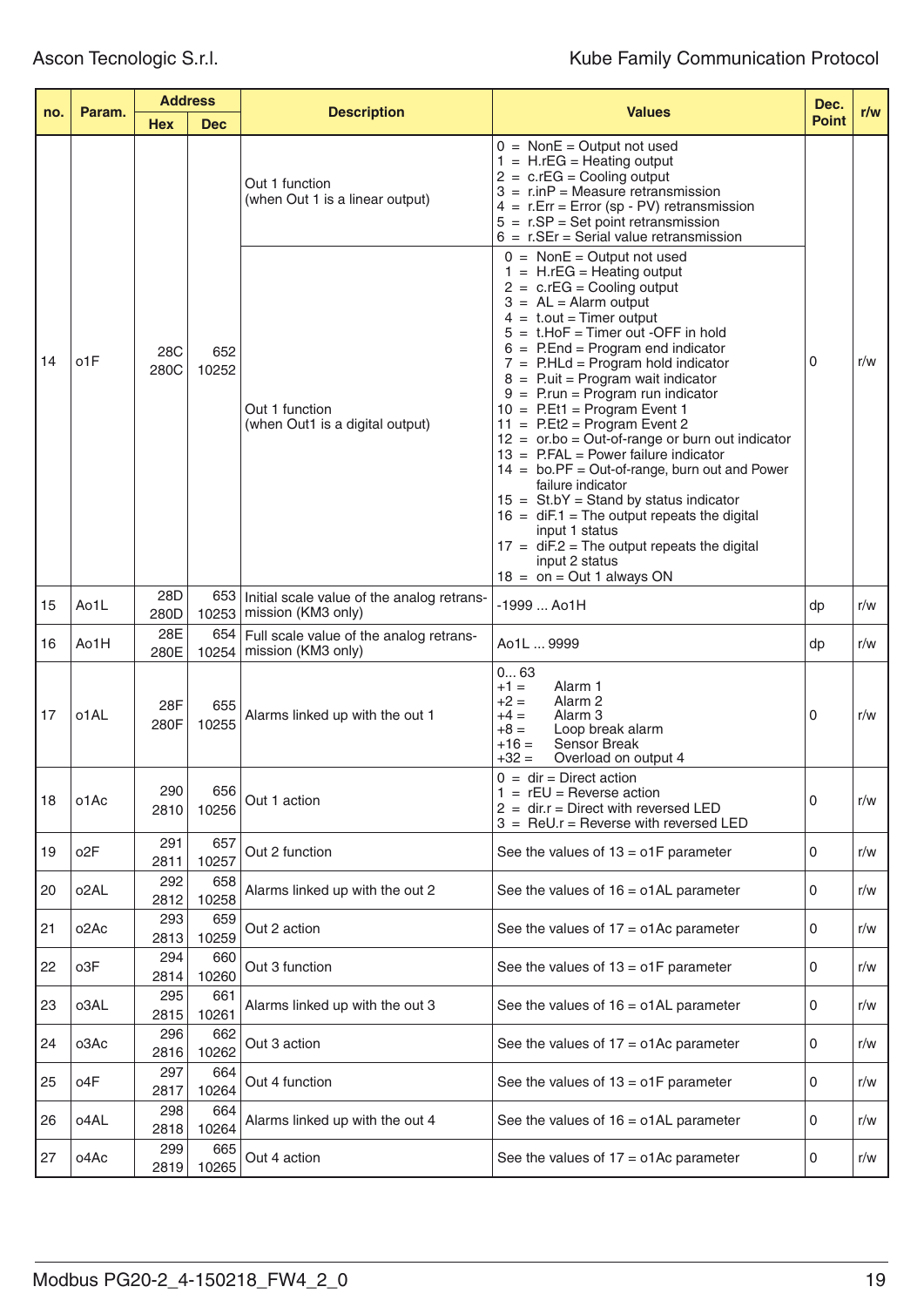| Param.<br>no. | <b>Address</b>    |             |              | <b>Values</b>                                                                | Dec.                                                                                                                                                                                                                                                                                                                                                                                                                                                                                                                                                                                                                                                                                                                                                                                                                                                                     |              |     |
|---------------|-------------------|-------------|--------------|------------------------------------------------------------------------------|--------------------------------------------------------------------------------------------------------------------------------------------------------------------------------------------------------------------------------------------------------------------------------------------------------------------------------------------------------------------------------------------------------------------------------------------------------------------------------------------------------------------------------------------------------------------------------------------------------------------------------------------------------------------------------------------------------------------------------------------------------------------------------------------------------------------------------------------------------------------------|--------------|-----|
|               |                   | <b>Hex</b>  | <b>Dec</b>   | <b>Description</b>                                                           |                                                                                                                                                                                                                                                                                                                                                                                                                                                                                                                                                                                                                                                                                                                                                                                                                                                                          | <b>Point</b> | r/w |
|               |                   |             |              | Out 1 function<br>(when Out 1 is a linear output)                            | $0 = \text{NonE} = \text{Output not used}$<br>$1 = H.rEG = Heating output$<br>$2 = c.FG = Cooling$ output<br>$3 = r.inP = Measure retransmission$<br>$4 = r.Err = Error (sp - PV) retransmission$<br>$5 = r.SP = Set point retransmission$<br>$6 = r.SEr = Serial value retransmission$                                                                                                                                                                                                                                                                                                                                                                                                                                                                                                                                                                                  |              |     |
| 14            | o1F               | 28C<br>280C | 652<br>10252 | Out 1 function<br>(when Out1 is a digital output)                            | $0 = \text{NonE} = \text{Output not used}$<br>$1 = H.FG = Heating output$<br>$2 = c.rEG = Cooling output$<br>$3 = AL = Alarm$ output<br>$4 = t.out = Timer output$<br>$5 = t$ .HoF = Timer out -OFF in hold<br>$6 =$ P.End = Program end indicator<br>$7 =$ P.HLd = Program hold indicator<br>$8 =$ P.uit = Program wait indicator<br>$9 =$ P.run = Program run indicator<br>$10 = P.Et1 = Program Event 1$<br>$11 = P.Et2 = Program Event 2$<br>$12 =$ or.bo = Out-of-range or burn out indicator<br>$13$ = P.FAL = Power failure indicator<br>$14 = \text{bo.PF} = \text{Out-of-range}, \text{burn out and Power}$<br>failure indicator<br>$15 = \text{St.bY} = \text{Stand by status indicator}$<br>$16 = diF.1 = The output repeats the digital$<br>input 1 status<br>$17 = diF.2 = The output repeats the digital$<br>input 2 status<br>$18 =$ on = Out 1 always ON | 0            | r/w |
| 15            | Ao1L              | 28D<br>280D |              | 653   Initial scale value of the analog retrans-<br>10253 mission (KM3 only) | $-1999$ Ao1H                                                                                                                                                                                                                                                                                                                                                                                                                                                                                                                                                                                                                                                                                                                                                                                                                                                             | dp           | r/w |
| 16            | Ao1H              | 28E<br>280E | 654<br>10254 | Full scale value of the analog retrans-<br>mission (KM3 only)                | Ao1L  9999                                                                                                                                                                                                                                                                                                                                                                                                                                                                                                                                                                                                                                                                                                                                                                                                                                                               | dp           | r/w |
| 17            | o1AL              | 28F<br>280F | 655<br>10255 | Alarms linked up with the out 1                                              | 063<br>Alarm <sub>1</sub><br>$+1 =$<br>$+2 =$<br>Alarm <sub>2</sub><br>$+4 =$<br>Alarm 3<br>$+8 =$<br>Loop break alarm<br>$+16=$<br>Sensor Break<br>$+32=$<br>Overload on output 4                                                                                                                                                                                                                                                                                                                                                                                                                                                                                                                                                                                                                                                                                       | 0            | r/w |
| 18            | o1Ac              | 290<br>2810 | 656<br>10256 | Out 1 action                                                                 | $0 = dir = Direct action$<br>$=$ rEU = Reverse action<br>$2 = \text{dir.}r = \text{Direct with reversed LED}$<br>$3 =$ ReU.r = Reverse with reversed LED                                                                                                                                                                                                                                                                                                                                                                                                                                                                                                                                                                                                                                                                                                                 | 0            | r/w |
| 19            | o <sub>2</sub> F  | 291<br>2811 | 657<br>10257 | Out 2 function                                                               | See the values of $13 = o1F$ parameter                                                                                                                                                                                                                                                                                                                                                                                                                                                                                                                                                                                                                                                                                                                                                                                                                                   | 0            | r/w |
| 20            | o <sub>2</sub> AL | 292<br>2812 | 658<br>10258 | Alarms linked up with the out 2                                              | See the values of $16 = o1AL$ parameter                                                                                                                                                                                                                                                                                                                                                                                                                                                                                                                                                                                                                                                                                                                                                                                                                                  | 0            | r/w |
| 21            | o <sub>2</sub> Ac | 293<br>2813 | 659<br>10259 | Out 2 action                                                                 | See the values of $17 = o1Ac$ parameter                                                                                                                                                                                                                                                                                                                                                                                                                                                                                                                                                                                                                                                                                                                                                                                                                                  | 0            | r/w |
| 22            | o3F               | 294<br>2814 | 660<br>10260 | Out 3 function                                                               | See the values of $13 = o1F$ parameter                                                                                                                                                                                                                                                                                                                                                                                                                                                                                                                                                                                                                                                                                                                                                                                                                                   | 0            | r/w |
| 23            | o3AL              | 295<br>2815 | 661<br>10261 | Alarms linked up with the out 3                                              | See the values of $16 = o1AL$ parameter                                                                                                                                                                                                                                                                                                                                                                                                                                                                                                                                                                                                                                                                                                                                                                                                                                  | 0            | r/w |
| 24            | o3Ac              | 296<br>2816 | 662<br>10262 | Out 3 action                                                                 | See the values of $17 = o1Ac$ parameter                                                                                                                                                                                                                                                                                                                                                                                                                                                                                                                                                                                                                                                                                                                                                                                                                                  | 0            | r/w |
| 25            | o4F               | 297<br>2817 | 664<br>10264 | Out 4 function                                                               | See the values of $13 = o1F$ parameter                                                                                                                                                                                                                                                                                                                                                                                                                                                                                                                                                                                                                                                                                                                                                                                                                                   | 0            | r/w |
| 26            | o4AL              | 298<br>2818 | 664<br>10264 | Alarms linked up with the out 4                                              | See the values of $16 = o1AL$ parameter                                                                                                                                                                                                                                                                                                                                                                                                                                                                                                                                                                                                                                                                                                                                                                                                                                  | 0            | r/w |
| 27            | o4Ac              | 299<br>2819 | 665<br>10265 | Out 4 action                                                                 | See the values of $17 = 01$ Ac parameter                                                                                                                                                                                                                                                                                                                                                                                                                                                                                                                                                                                                                                                                                                                                                                                                                                 | 0            | r/w |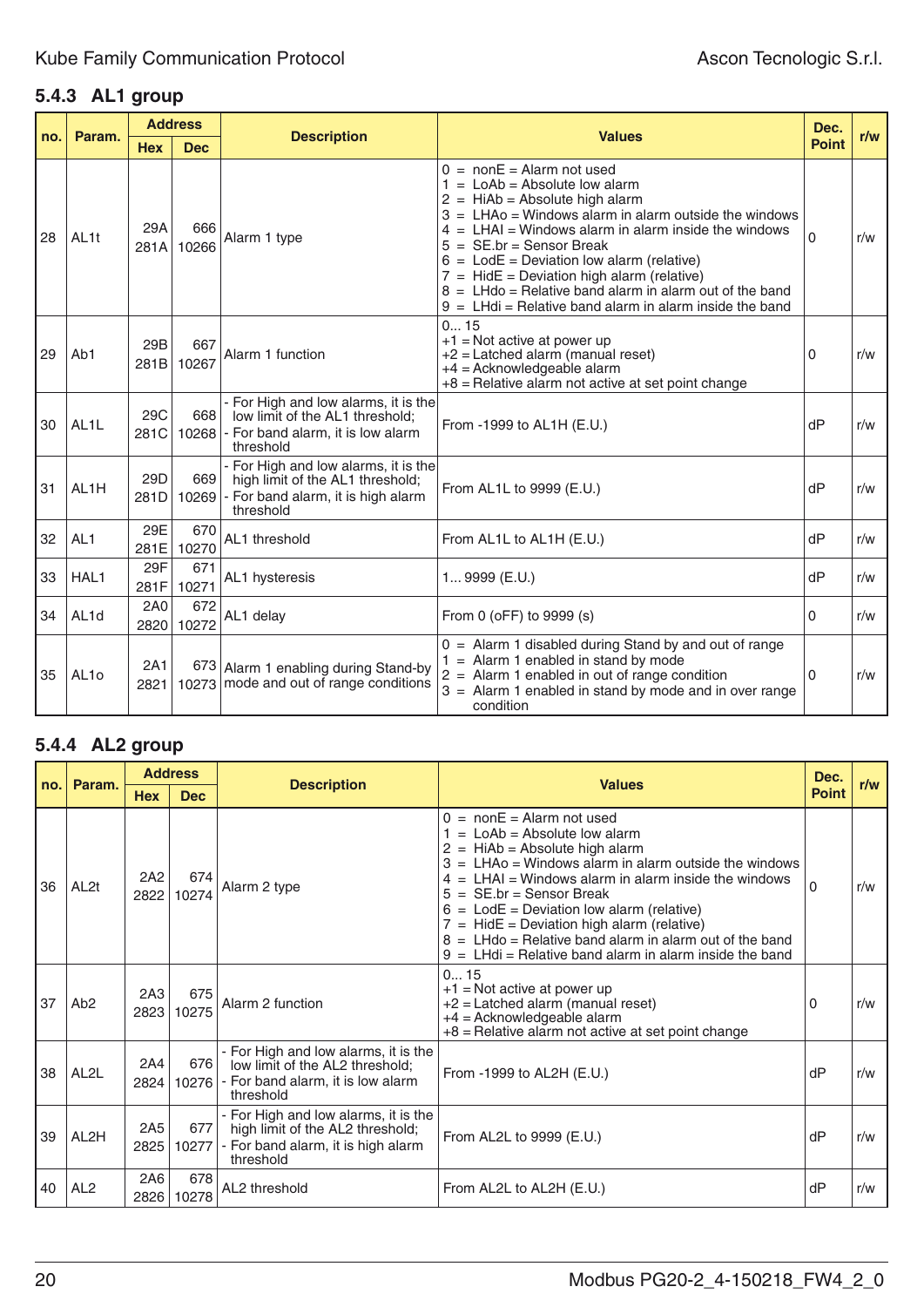# **5.4.3 AL1 group**

| no. | Param.            |             | <b>Address</b> | <b>Description</b>                                                                                                          | <b>Values</b>                                                                                                                                                                                                                                                                                                                                                                                                                                                                                    | Dec.         | r/w |
|-----|-------------------|-------------|----------------|-----------------------------------------------------------------------------------------------------------------------------|--------------------------------------------------------------------------------------------------------------------------------------------------------------------------------------------------------------------------------------------------------------------------------------------------------------------------------------------------------------------------------------------------------------------------------------------------------------------------------------------------|--------------|-----|
|     |                   | <b>Hex</b>  | <b>Dec</b>     |                                                                                                                             |                                                                                                                                                                                                                                                                                                                                                                                                                                                                                                  | <b>Point</b> |     |
| 28  | AL <sub>1t</sub>  | 29A<br>281A | 666<br>10266   | Alarm 1 type                                                                                                                | $0 = \text{non}E = \text{Alarm not used}$<br>$1 =$ LoAb = Absolute low alarm<br>$2 = HiAb = Absolute high alarm$<br>$3 = LHAo = Windows$ alarm in alarm outside the windows<br>$4 = LHAI = Windows alarm in alarm inside the windows$<br>5<br>$=$ SE.br = Sensor Break<br>$6 =$ LodE = Deviation low alarm (relative)<br>$7 = HidE = Deviation high alarm (relative)$<br>$8 = LHd0 = Relative band alarm in alarm out of the band$<br>$9 = L$ Hdi = Relative band alarm in alarm inside the band | $\Omega$     | r/w |
| 29  | Ab1               | 29B<br>281B | 667<br>10267   | Alarm 1 function                                                                                                            | 015<br>$+1$ = Not active at power up<br>$+2$ = Latched alarm (manual reset)<br>$+4$ = Acknowledgeable alarm<br>$+8$ = Relative alarm not active at set point change                                                                                                                                                                                                                                                                                                                              | 0            | r/w |
| 30  | AL <sub>1</sub> L | 29C<br>281C | 668<br>10268   | - For High and low alarms, it is the<br>low limit of the AL1 threshold;<br>- For band alarm, it is low alarm<br>threshold   | From -1999 to AL1H (E.U.)                                                                                                                                                                                                                                                                                                                                                                                                                                                                        | dP           | r/w |
| 31  | AL <sub>1</sub> H | 29D<br>281D | 669<br>10269   | - For High and low alarms, it is the<br>high limit of the AL1 threshold;<br>- For band alarm, it is high alarm<br>threshold | From AL1L to 9999 (E.U.)                                                                                                                                                                                                                                                                                                                                                                                                                                                                         | dP           | r/w |
| 32  | AL <sub>1</sub>   | 29E<br>281E | 670<br>10270   | AL1 threshold                                                                                                               | From AL1L to AL1H (E.U.)                                                                                                                                                                                                                                                                                                                                                                                                                                                                         | dP           | r/w |
| 33  | HAL1              | 29F<br>281F | 671<br>10271   | AL1 hysteresis                                                                                                              | 1 9999 (E.U.)                                                                                                                                                                                                                                                                                                                                                                                                                                                                                    | dP           | r/w |
| 34  | AL <sub>1d</sub>  | 2A0<br>2820 | 672<br>10272   | AL1 delay                                                                                                                   | From 0 (oFF) to 9999 (s)                                                                                                                                                                                                                                                                                                                                                                                                                                                                         | 0            | r/w |
| 35  | AL <sub>10</sub>  | 2A1<br>2821 |                | 673 Alarm 1 enabling during Stand-by<br>10273 mode and out of range conditions                                              | $0 =$ Alarm 1 disabled during Stand by and out of range<br>$=$ Alarm 1 enabled in stand by mode<br>$2 =$ Alarm 1 enabled in out of range condition<br>$3 =$ Alarm 1 enabled in stand by mode and in over range<br>condition                                                                                                                                                                                                                                                                      | 0            | r/w |

# **5.4.4 AL2 group**

|     |                   |                         | <b>Address</b> |                                                                                                                             |                                                                                                                                                                                                                                                                                                                                                                                                                                                                                               | Dec.         |     |
|-----|-------------------|-------------------------|----------------|-----------------------------------------------------------------------------------------------------------------------------|-----------------------------------------------------------------------------------------------------------------------------------------------------------------------------------------------------------------------------------------------------------------------------------------------------------------------------------------------------------------------------------------------------------------------------------------------------------------------------------------------|--------------|-----|
| no. | Param.            | <b>Hex</b>              | <b>Dec</b>     | <b>Description</b>                                                                                                          | <b>Values</b>                                                                                                                                                                                                                                                                                                                                                                                                                                                                                 | <b>Point</b> | r/w |
| 36  | AL <sub>2t</sub>  | 2A2<br>2822             | 674<br>10274   | Alarm 2 type                                                                                                                | $0 = \text{non}E = \text{Alarm not used}$<br>$=$ LoAb = Absolute low alarm<br>$2 = HiAb = Absolute high alarm$<br>$3 = LHAo = Windows$ alarm in alarm outside the windows<br>$= LHAI = Windows$ alarm in alarm inside the windows<br>4<br>5<br>$=$ SE.br = Sensor Break<br>$6 =$ LodE = Deviation low alarm (relative)<br>$=$ HidE = Deviation high alarm (relative)<br>$=$ LHdo = Relative band alarm in alarm out of the band<br>$9 = L$ Hdi = Relative band alarm in alarm inside the band | $\Omega$     | r/w |
| 37  | Ab <sub>2</sub>   | 2A3<br>2823             | 675<br>10275   | Alarm 2 function                                                                                                            | 015<br>$+1$ = Not active at power up<br>$+2$ = Latched alarm (manual reset)<br>$+4$ = Acknowledgeable alarm<br>$+8$ = Relative alarm not active at set point change                                                                                                                                                                                                                                                                                                                           | 0            | r/w |
| 38  | AL <sub>2</sub> L | 2A4<br>2824             | 676<br>10276   | - For High and low alarms, it is the<br>low limit of the AL2 threshold;<br>- For band alarm, it is low alarm<br>threshold   | From -1999 to AL2H $(E.U.)$                                                                                                                                                                                                                                                                                                                                                                                                                                                                   | dP           | r/w |
| 39  | AL <sub>2</sub> H | 2A <sub>5</sub><br>2825 | 677<br>10277   | - For High and low alarms, it is the<br>high limit of the AL2 threshold;<br>- For band alarm, it is high alarm<br>threshold | From AL2L to 9999 (E.U.)                                                                                                                                                                                                                                                                                                                                                                                                                                                                      | dP           | r/w |
| 40  | AL <sub>2</sub>   | 2A6<br>2826             | 678<br>10278   | AL2 threshold                                                                                                               | From AL2L to AL2H (E.U.)                                                                                                                                                                                                                                                                                                                                                                                                                                                                      | dP           | r/w |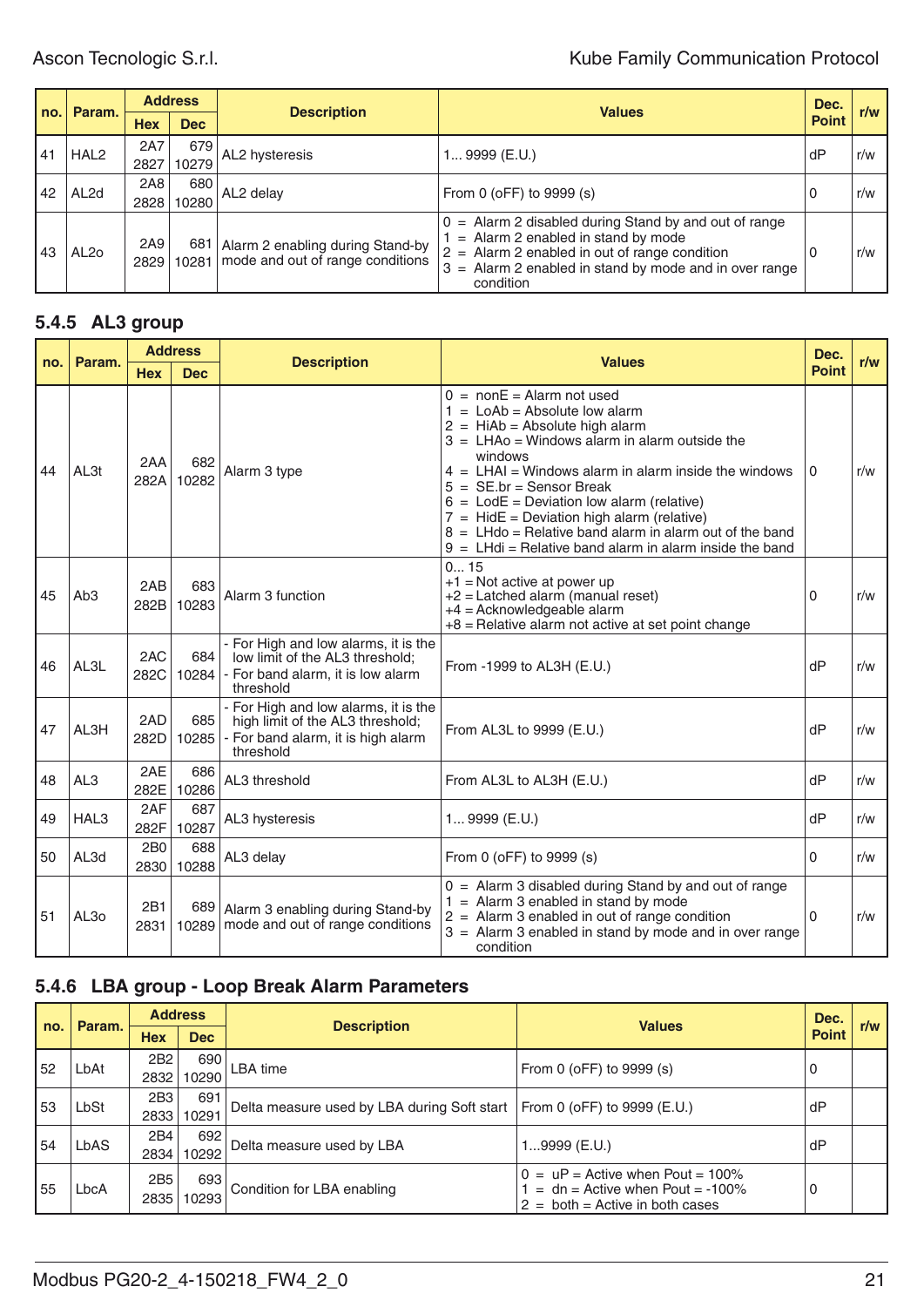# Ascon Tecnologic S.r.l. **Ascon Tecnologic S.r.l. Kube Family Communication Protocol**

|     | Param.           | <b>Address</b> |              |                                                                            |                                                                                                                                                                                                                                | Dec.         | r/w |
|-----|------------------|----------------|--------------|----------------------------------------------------------------------------|--------------------------------------------------------------------------------------------------------------------------------------------------------------------------------------------------------------------------------|--------------|-----|
| no. |                  | <b>Hex</b>     | <b>Dec</b>   | <b>Description</b>                                                         | <b>Values</b>                                                                                                                                                                                                                  | <b>Point</b> |     |
| 41  | HAL <sub>2</sub> | 2A7<br>2827    | 679<br>10279 | AL2 hysteresis                                                             | 1 9999 (E.U.)                                                                                                                                                                                                                  | dP           | r/w |
| 42  | AL <sub>2d</sub> | 2A8<br>2828    | 680<br>10280 | AL2 delay                                                                  | From 0 (oFF) to 9999 (s)                                                                                                                                                                                                       | U            | r/w |
| 43  | AL <sub>20</sub> | 2A9<br>2829    | 681          | Alarm 2 enabling during Stand-by<br>10281 mode and out of range conditions | $0 =$ Alarm 2 disabled during Stand by and out of range<br>$=$ Alarm 2 enabled in stand by mode<br>$2 =$ Alarm 2 enabled in out of range condition<br>$=$ Alarm 2 enabled in stand by mode and in over range<br>3<br>condition | 0            | r/w |

# **5.4.5 AL3 group**

| no. | Param.           |                         | <b>Address</b> | <b>Description</b>                                                                                                          | <b>Values</b>                                                                                                                                                                                                                                                                                                                                                                                                                                                                                                                         | Dec.         | r/w |
|-----|------------------|-------------------------|----------------|-----------------------------------------------------------------------------------------------------------------------------|---------------------------------------------------------------------------------------------------------------------------------------------------------------------------------------------------------------------------------------------------------------------------------------------------------------------------------------------------------------------------------------------------------------------------------------------------------------------------------------------------------------------------------------|--------------|-----|
|     |                  | <b>Hex</b>              | <b>Dec</b>     |                                                                                                                             |                                                                                                                                                                                                                                                                                                                                                                                                                                                                                                                                       | <b>Point</b> |     |
| 44  | AL3t             | 2AA<br>282A             | 682<br>10282   | Alarm 3 type                                                                                                                | $0 = \text{non}E = \text{Alarm not used}$<br>$1 =$ LoAb = Absolute low alarm<br>$2 = HiAb = Absolute high alarm$<br>$3 = LHAo = Windows alarm in alarm outside the$<br>windows<br>$4 = LHAI = Windows alarm in alarm inside the windows$<br>$5 = \mathsf{SE}.\mathsf{br} = \mathsf{Sensor}\,\mathsf{Break}$<br>$6 =$ LodE = Deviation low alarm (relative)<br>$7 = HidE = Deviation high alarm (relative)$<br>$8 = LHd0 = Relative band alarm in alarm out of the band$<br>$9 = L$ Hdi = Relative band alarm in alarm inside the band | 0            | r/w |
| 45  | Ab <sub>3</sub>  | 2AB<br>282B             | 683<br>10283   | Alarm 3 function                                                                                                            | 015<br>$+1$ = Not active at power up<br>$+2$ = Latched alarm (manual reset)<br>$+4$ = Acknowledgeable alarm<br>$+8$ = Relative alarm not active at set point change                                                                                                                                                                                                                                                                                                                                                                   | 0            | r/w |
| 46  | AL3L             | 2AC<br>282C             | 684<br>10284   | - For High and low alarms, it is the<br>low limit of the AL3 threshold;<br>- For band alarm, it is low alarm<br>threshold   | From -1999 to AL3H (E.U.)                                                                                                                                                                                                                                                                                                                                                                                                                                                                                                             | dP           | r/w |
| 47  | AL3H             | 2AD<br>282D             | 685<br>10285   | - For High and low alarms, it is the<br>high limit of the AL3 threshold;<br>- For band alarm, it is high alarm<br>threshold | From AL3L to 9999 (E.U.)                                                                                                                                                                                                                                                                                                                                                                                                                                                                                                              | dP           | r/w |
| 48  | AL <sub>3</sub>  | 2AE<br>282E             | 686<br>10286   | AL3 threshold                                                                                                               | From AL3L to AL3H (E.U.)                                                                                                                                                                                                                                                                                                                                                                                                                                                                                                              | dP           | r/w |
| 49  | HAL <sub>3</sub> | 2AF<br>282F             | 687<br>10287   | AL3 hysteresis                                                                                                              | 1 9999 (E.U.)                                                                                                                                                                                                                                                                                                                                                                                                                                                                                                                         | dP           | r/w |
| 50  | AL3d             | 2B <sub>0</sub><br>2830 | 688<br>10288   | AL3 delay                                                                                                                   | From 0 (oFF) to 9999 (s)                                                                                                                                                                                                                                                                                                                                                                                                                                                                                                              | 0            | r/w |
| 51  | AL <sub>30</sub> | 2B1<br>2831             |                | 689 Alarm 3 enabling during Stand-by<br>10289 mode and out of range conditions                                              | $0 =$ Alarm 3 disabled during Stand by and out of range<br>$1 =$ Alarm 3 enabled in stand by mode<br>$2 =$ Alarm 3 enabled in out of range condition<br>$3 =$ Alarm 3 enabled in stand by mode and in over range<br>condition                                                                                                                                                                                                                                                                                                         | 0            | r/w |

# **5.4.6 LBA group - Loop Break Alarm Parameters**

|     | Param. |                         |              | <b>Address</b><br><b>Description</b>        | <b>Values</b>                                                                                                | Dec.         | r/w |
|-----|--------|-------------------------|--------------|---------------------------------------------|--------------------------------------------------------------------------------------------------------------|--------------|-----|
| no. |        | <b>Hex</b>              | <b>Dec</b>   |                                             |                                                                                                              | <b>Point</b> |     |
| 52  | LbAt   | 2B <sub>2</sub><br>2832 | 690<br>10290 | LBA time                                    | From 0 (oFF) to 9999 (s)                                                                                     | U            |     |
| 53  | LbSt   | 2B3<br>2833             | 691<br>10291 | Delta measure used by LBA during Soft start | From 0 (oFF) to 9999 (E.U.)                                                                                  | dP           |     |
| 54  | LbAS   | 2B4<br>2834             | 692<br>10292 | Delta measure used by LBA                   | 19999 (E.U.)                                                                                                 | dP           |     |
| 55  | LbcA   | 2B <sub>5</sub><br>2835 | 693<br>10293 | Condition for LBA enabling                  | $0 = uP =$ Active when Pout = 100%<br>$=$ dn = Active when Pout = -100%<br>$2 =$ both = Active in both cases |              |     |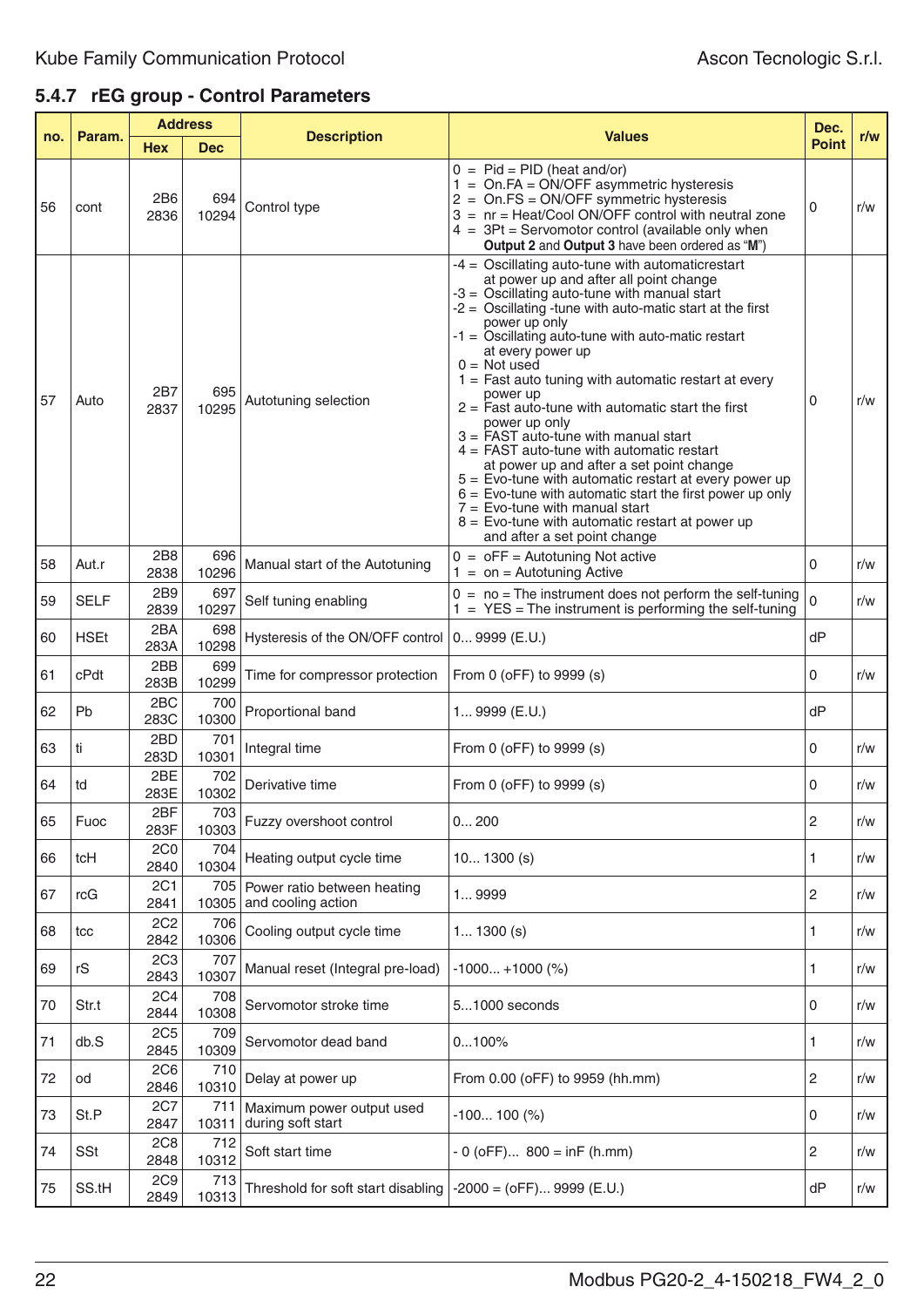# **5.4.7 rEG group - Control Parameters**

|     | Param.      | <b>Address</b>          |              | <b>Description</b>                                | <b>Values</b>                                                                                                                                                                                                                                                                                                                                                                                                                                                                                                                                                                                                                                                                                                                                                                                                                                                 | Dec.           | r/w |
|-----|-------------|-------------------------|--------------|---------------------------------------------------|---------------------------------------------------------------------------------------------------------------------------------------------------------------------------------------------------------------------------------------------------------------------------------------------------------------------------------------------------------------------------------------------------------------------------------------------------------------------------------------------------------------------------------------------------------------------------------------------------------------------------------------------------------------------------------------------------------------------------------------------------------------------------------------------------------------------------------------------------------------|----------------|-----|
| no. |             | <b>Hex</b>              | <b>Dec</b>   |                                                   |                                                                                                                                                                                                                                                                                                                                                                                                                                                                                                                                                                                                                                                                                                                                                                                                                                                               | <b>Point</b>   |     |
| 56  | cont        | 2B6<br>2836             | 694<br>10294 | Control type                                      | $0 =$ Pid = PID (heat and/or)<br>$1 = On.FA = ON/OFF$ asymmetric hysteresis<br>$2 = On.FS = ON/OFF$ symmetric hysteresis<br>3 = nr = Heat/Cool ON/OFF control with neutral zone<br>$4 = 3Pt =$ Servomotor control (available only when<br>Output 2 and Output 3 have been ordered as "M")                                                                                                                                                                                                                                                                                                                                                                                                                                                                                                                                                                     | 0              | r/w |
| 57  | Auto        | 2B7<br>2837             | 695<br>10295 | Autotuning selection                              | -4 = Oscillating auto-tune with automaticrestart<br>at power up and after all point change<br>-3 = Oscillating auto-tune with manual start<br>$-2$ = Oscillating -tune with auto-matic start at the first<br>power up only<br>-1 = Oscillating auto-tune with auto-matic restart<br>at every power up<br>$0 = Not used$<br>$1 =$ Fast auto tuning with automatic restart at every<br>power up<br>$2 =$ Fast auto-tune with automatic start the first<br>power up only<br>$3 = FAST$ auto-tune with manual start<br>$4 = FAST$ auto-tune with automatic restart<br>at power up and after a set point change<br>$5$ = Evo-tune with automatic restart at every power up<br>$6 =$ Evo-tune with automatic start the first power up only<br>$7$ = Evo-tune with manual start<br>$8$ = Evo-tune with automatic restart at power up<br>and after a set point change | 0              | r/w |
| 58  | Aut.r       | 2B8<br>2838             | 696<br>10296 | Manual start of the Autotuning                    | $0 =$ oFF = Autotuning Not active<br>$1 = \text{on} =$ Autotuning Active                                                                                                                                                                                                                                                                                                                                                                                                                                                                                                                                                                                                                                                                                                                                                                                      | 0              | r/w |
| 59  | <b>SELF</b> | 2B9<br>2839             | 697<br>10297 | Self tuning enabling                              | $0 = no$ = The instrument does not perform the self-tuning<br>$1 = \text{YES} = \text{The instrument}$ is performing the self-tuning                                                                                                                                                                                                                                                                                                                                                                                                                                                                                                                                                                                                                                                                                                                          | $\overline{0}$ | r/w |
| 60  | <b>HSEt</b> | 2BA<br>283A             | 698<br>10298 | Hysteresis of the ON/OFF control                  | $09999$ (E.U.)                                                                                                                                                                                                                                                                                                                                                                                                                                                                                                                                                                                                                                                                                                                                                                                                                                                | dP             |     |
| 61  | cPdt        | 2BB<br>283B             | 699<br>10299 | Time for compressor protection                    | From 0 (oFF) to 9999 (s)                                                                                                                                                                                                                                                                                                                                                                                                                                                                                                                                                                                                                                                                                                                                                                                                                                      | 0              | r/w |
| 62  | Pb          | 2BC<br>283C             | 700<br>10300 | Proportional band                                 | $19999$ (E.U.)                                                                                                                                                                                                                                                                                                                                                                                                                                                                                                                                                                                                                                                                                                                                                                                                                                                | dP             |     |
| 63  | ti          | 2BD<br>283D             | 701<br>10301 | Integral time                                     | From 0 (oFF) to 9999 (s)                                                                                                                                                                                                                                                                                                                                                                                                                                                                                                                                                                                                                                                                                                                                                                                                                                      | 0              | r/w |
| 64  | td          | 2BE<br>283E             | 702<br>10302 | Derivative time                                   | From 0 (oFF) to 9999 (s)                                                                                                                                                                                                                                                                                                                                                                                                                                                                                                                                                                                                                                                                                                                                                                                                                                      | 0              | r/w |
| 65  | Fuoc        | 2BF<br>283F             | 703<br>10303 | Fuzzy overshoot control                           | 0200                                                                                                                                                                                                                                                                                                                                                                                                                                                                                                                                                                                                                                                                                                                                                                                                                                                          | 2              | r/w |
| 66  | tcH         | 2C <sub>0</sub><br>2840 | 704<br>10304 | Heating output cycle time                         | $10 1300$ (s)                                                                                                                                                                                                                                                                                                                                                                                                                                                                                                                                                                                                                                                                                                                                                                                                                                                 | 1              | r/w |
| 67  | rcG         | 2C1<br>2841             | 705<br>10305 | Power ratio between heating<br>and cooling action | 19999                                                                                                                                                                                                                                                                                                                                                                                                                                                                                                                                                                                                                                                                                                                                                                                                                                                         | 2              | r/w |
| 68  | tcc         | 2C <sub>2</sub><br>2842 | 706<br>10306 | Cooling output cycle time                         | $1 1300$ (s)                                                                                                                                                                                                                                                                                                                                                                                                                                                                                                                                                                                                                                                                                                                                                                                                                                                  | 1              | r/w |
| 69  | rS          | 2C <sub>3</sub><br>2843 | 707<br>10307 | Manual reset (Integral pre-load)                  | $-1000+1000$ (%)                                                                                                                                                                                                                                                                                                                                                                                                                                                                                                                                                                                                                                                                                                                                                                                                                                              | 1              | r/w |
| 70  | Str.t       | <b>2C4</b><br>2844      | 708<br>10308 | Servomotor stroke time                            | 51000 seconds                                                                                                                                                                                                                                                                                                                                                                                                                                                                                                                                                                                                                                                                                                                                                                                                                                                 | 0              | r/w |
| 71  | db.S        | <b>2C5</b><br>2845      | 709<br>10309 | Servomotor dead band                              | 0100%                                                                                                                                                                                                                                                                                                                                                                                                                                                                                                                                                                                                                                                                                                                                                                                                                                                         | 1              | r/w |
| 72  | od          | 2C6<br>2846             | 710<br>10310 | Delay at power up                                 | From 0.00 (oFF) to 9959 (hh.mm)                                                                                                                                                                                                                                                                                                                                                                                                                                                                                                                                                                                                                                                                                                                                                                                                                               | 2              | r/w |
| 73  | St.P        | <b>2C7</b><br>2847      | 711<br>10311 | Maximum power output used<br>during soft start    | $-100100$ (%)                                                                                                                                                                                                                                                                                                                                                                                                                                                                                                                                                                                                                                                                                                                                                                                                                                                 | 0              | r/w |
| 74  | <b>SSt</b>  | 2C8<br>2848             | 712<br>10312 | Soft start time                                   | $-0$ (oFF) 800 = inF (h.mm)                                                                                                                                                                                                                                                                                                                                                                                                                                                                                                                                                                                                                                                                                                                                                                                                                                   | 2              | r/w |
| 75  | SS.tH       | 2C9<br>2849             | 713<br>10313 | Threshold for soft start disabling                | $-2000 = (oFF)9999 (E.U.)$                                                                                                                                                                                                                                                                                                                                                                                                                                                                                                                                                                                                                                                                                                                                                                                                                                    | dP             | r/w |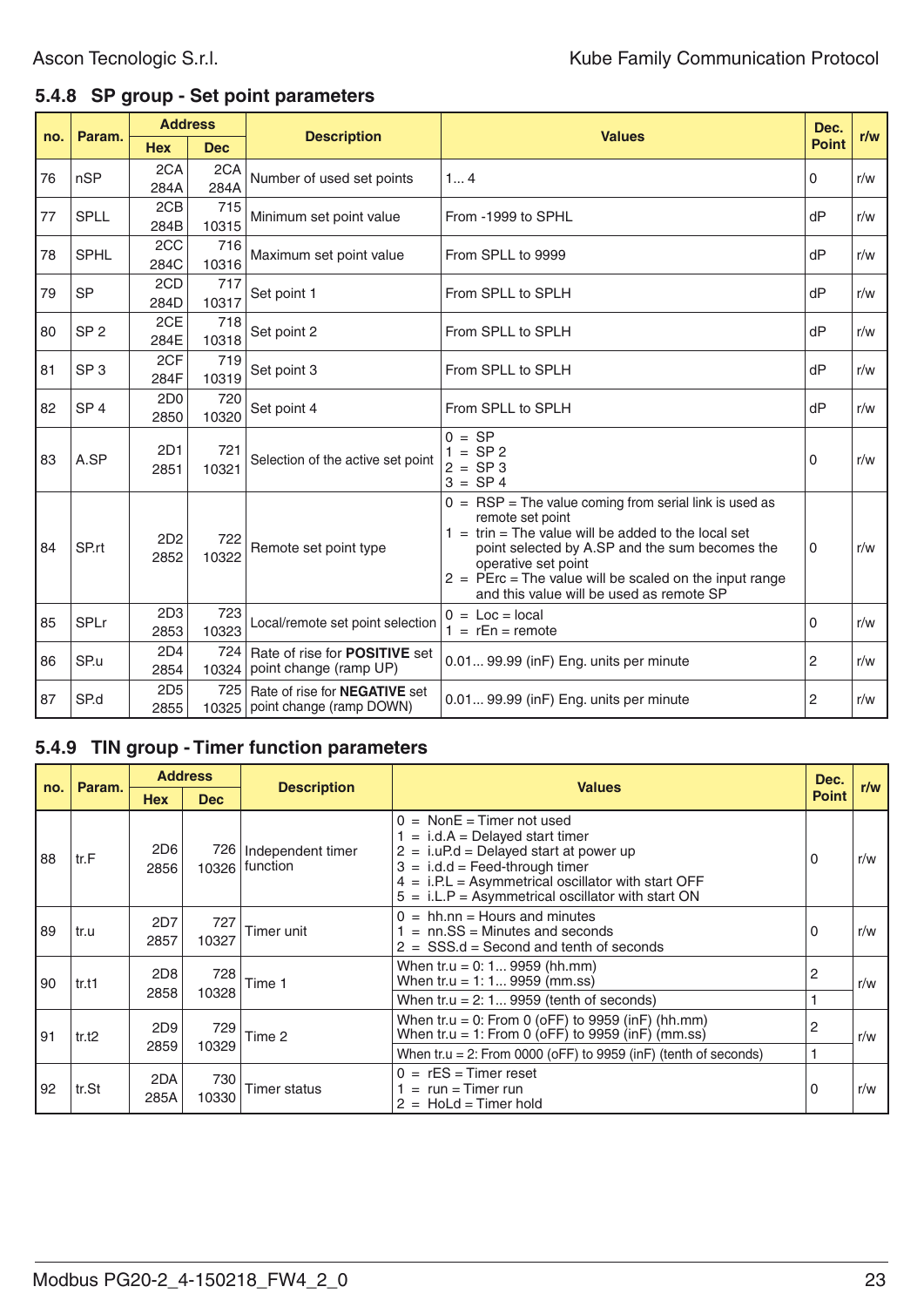### **5.4.8 SP group - Set point parameters**

| no. | Param.          | <b>Address</b>          |              |                                                                  |                                                                                                                                                                                                                                                                                                                                      | Dec.         |     |
|-----|-----------------|-------------------------|--------------|------------------------------------------------------------------|--------------------------------------------------------------------------------------------------------------------------------------------------------------------------------------------------------------------------------------------------------------------------------------------------------------------------------------|--------------|-----|
|     |                 | <b>Hex</b>              | <b>Dec</b>   | <b>Description</b>                                               | <b>Values</b>                                                                                                                                                                                                                                                                                                                        | <b>Point</b> | r/w |
| 76  | nSP             | 2CA<br>284A             | 2CA<br>284A  | Number of used set points                                        | 14                                                                                                                                                                                                                                                                                                                                   | 0            | r/w |
| 77  | <b>SPLL</b>     | 2CB<br>284B             | 715<br>10315 | Minimum set point value                                          | From -1999 to SPHL                                                                                                                                                                                                                                                                                                                   | dP           | r/w |
| 78  | <b>SPHL</b>     | 2CC<br>284C             | 716<br>10316 | Maximum set point value                                          | From SPLL to 9999                                                                                                                                                                                                                                                                                                                    | dP           | r/w |
| 79  | <b>SP</b>       | 2CD<br>284D             | 717<br>10317 | Set point 1                                                      | From SPLL to SPLH                                                                                                                                                                                                                                                                                                                    | dP           | r/w |
| 80  | SP <sub>2</sub> | 2CE<br>284E             | 718<br>10318 | Set point 2                                                      | From SPLL to SPLH                                                                                                                                                                                                                                                                                                                    | dP           | r/w |
| 81  | SP <sub>3</sub> | 2CF<br>284F             | 719<br>10319 | Set point 3                                                      | From SPLL to SPLH                                                                                                                                                                                                                                                                                                                    | dP           | r/w |
| 82  | SP <sub>4</sub> | 2D <sub>0</sub><br>2850 | 720<br>10320 | Set point 4                                                      | From SPLL to SPLH                                                                                                                                                                                                                                                                                                                    | dP           | r/w |
| 83  | A.SP            | 2D1<br>2851             | 721<br>10321 | Selection of the active set point                                | $0 = SP$<br>$1 = SP2$<br>$2 = SP3$<br>$3 = SP4$                                                                                                                                                                                                                                                                                      | 0            | r/w |
| 84  | SP.rt           | 2D2<br>2852             | 722<br>10322 | Remote set point type                                            | $0 = RSP = The value coming from serial link is used as$<br>remote set point<br>$1 = \text{trin} = \text{The value will be added to the local set}$<br>point selected by A.SP and the sum becomes the<br>operative set point<br>$2 =$ PErc = The value will be scaled on the input range<br>and this value will be used as remote SP | 0            | r/w |
| 85  | <b>SPLr</b>     | 2D3<br>2853             | 723<br>10323 | Local/remote set point selection                                 | $0 =$ Loc = local<br>$1 = rEn = remote$                                                                                                                                                                                                                                                                                              | 0            | r/w |
| 86  | SP.u            | 2D4<br>2854             | 724<br>10324 | Rate of rise for <b>POSITIVE</b> set<br>point change (ramp UP)   | 0.01 99.99 (in F) Eng. units per minute                                                                                                                                                                                                                                                                                              | 2            | r/w |
| 87  | SP.d            | 2D <sub>5</sub><br>2855 | 725<br>10325 | Rate of rise for <b>NEGATIVE</b> set<br>point change (ramp DOWN) | 0.01 99.99 (in F) Eng. units per minute                                                                                                                                                                                                                                                                                              | 2            | r/w |

#### **5.4.9 TIN group - Timer function parameters**

|     |        |                         | <b>Address</b>                                                  |                               | <b>Values</b>                                                                                                                                                                                                                                                               | Dec.         |     |
|-----|--------|-------------------------|-----------------------------------------------------------------|-------------------------------|-----------------------------------------------------------------------------------------------------------------------------------------------------------------------------------------------------------------------------------------------------------------------------|--------------|-----|
| no. | Param. | <b>Hex</b>              | <b>Dec</b>                                                      | <b>Description</b>            |                                                                                                                                                                                                                                                                             | <b>Point</b> | r/w |
| 88  | tr.F   | 2D <sub>6</sub><br>2856 | 726  <br>10326                                                  | Independent timer<br>function | $0 = \text{NonE} = \text{Timer not used}$<br>$=$ i.d.A = Delayed start timer<br>$2 = i.uP.d = Delayed start at power up$<br>$3 = i.d.d = Feed-through timer$<br>$4 = i.P.L = Asymmetrical oscillator with start OFF$<br>$5 = i.L.P = Asymmetrical oscillator with start ON$ | 0            | r/w |
| 89  | tr.u   | 2D7<br>2857             | 727<br>10327                                                    | Timer unit                    | $0 = h h.nn =$ Hours and minutes<br>$=$ nn.SS = Minutes and seconds<br>$2 = SSS.d = Second$ and tenth of seconds                                                                                                                                                            | 0            | r/w |
| 90  | tr.t1  | 2D <sub>8</sub>         | 728                                                             | Time 1                        | When tr.u = 0: 1 9959 (hh.mm)<br>When tr.u = 1: 1 9959 (mm.ss)                                                                                                                                                                                                              | 2            | r/w |
|     |        | 2858                    | 10328                                                           |                               | When $tr.u = 2: 19959$ (tenth of seconds)                                                                                                                                                                                                                                   |              |     |
| 91  | tr.t2  | 2D9                     | 729                                                             | Time 2                        | When tr.u = 0: From 0 (oFF) to 9959 (inF) (hh.mm)<br>When tr.u = 1: From 0 (oFF) to 9959 (inF) (mm.ss)                                                                                                                                                                      | 2            | r/w |
|     |        | 2859<br>10329           | When tr.u = 2: From 0000 (oFF) to 9959 (inF) (tenth of seconds) |                               |                                                                                                                                                                                                                                                                             |              |     |
| 92  | tr.St  | 2DA<br>285A             | 730<br>10330                                                    | <b>Timer status</b>           | $0 = rES = Timer reset$<br>$=$ run = Timer run<br>$2 =$ HoLd = Timer hold                                                                                                                                                                                                   | 0            | r/w |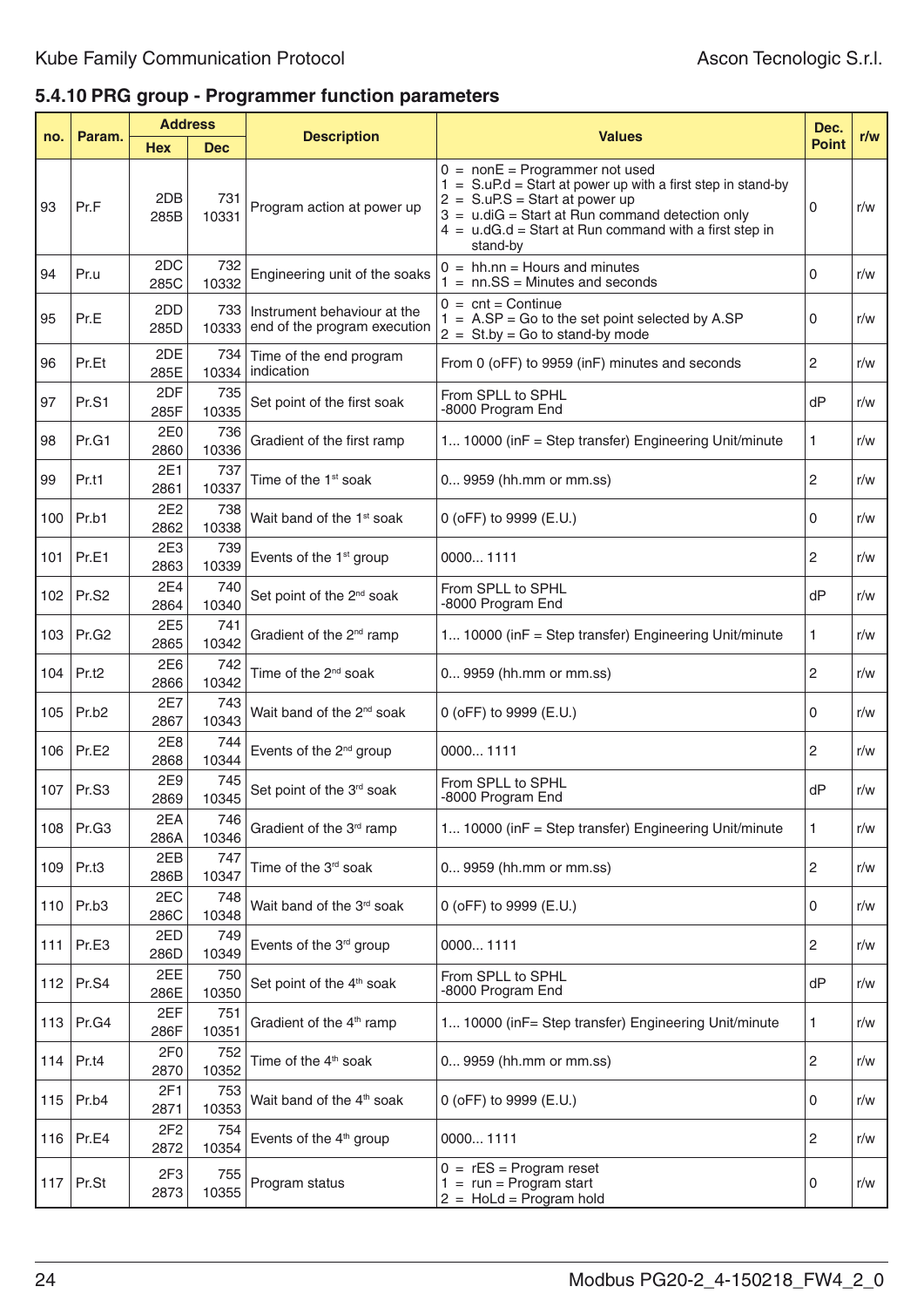# **5.4.10 PRG group - Programmer function parameters**

|     |                   | <b>Address</b><br>Param. |              |                                                             | <b>Values</b>                                                                                                                                                                                                                                                                      |              | r/w |
|-----|-------------------|--------------------------|--------------|-------------------------------------------------------------|------------------------------------------------------------------------------------------------------------------------------------------------------------------------------------------------------------------------------------------------------------------------------------|--------------|-----|
| no. |                   | <b>Hex</b>               | <b>Dec</b>   | <b>Description</b>                                          |                                                                                                                                                                                                                                                                                    | <b>Point</b> |     |
| 93  | Pr.F              | 2DB<br>285B              | 731<br>10331 | Program action at power up                                  | $0 = \text{non}E = \text{Programmer not used}$<br>$1 = S.uP.d = Start at power up with a first step in stand-by$<br>$2 = S.uP.S = Start at power up$<br>$3 = u$ .diG = Start at Run command detection only<br>$4 = u.dG.d = Start at Run command with a first step in$<br>stand-by | 0            | r/w |
| 94  | Pr.u              | 2DC<br>285C              | 732<br>10332 | Engineering unit of the soaks                               | $0 = hh.nn = Hours$ and minutes<br>$1 = nn.SS = Minutes$ and seconds                                                                                                                                                                                                               | 0            | r/w |
| 95  | Pr.E              | 2DD<br>285D              | 733<br>10333 | Instrument behaviour at the<br>end of the program execution | $0 = \text{cnt} = \text{Continue}$<br>$1 = A.SP = Go$ to the set point selected by A.SP<br>$2 = St.by = Go to stand-by mode$                                                                                                                                                       | 0            | r/w |
| 96  | Pr.Et             | 2DE<br>285E              | 734<br>10334 | Time of the end program<br>indication                       | From 0 (oFF) to 9959 (inF) minutes and seconds                                                                                                                                                                                                                                     | 2            | r/w |
| 97  | Pr.S1             | 2DF<br>285F              | 735<br>10335 | Set point of the first soak                                 | From SPLL to SPHL<br>-8000 Program End                                                                                                                                                                                                                                             | dP           | r/w |
| 98  | Pr.G1             | 2E0<br>2860              | 736<br>10336 | Gradient of the first ramp                                  | 1 10000 (inF = Step transfer) Engineering Unit/minute                                                                                                                                                                                                                              | 1            | r/w |
| 99  | Pr.t1             | 2E1<br>2861              | 737<br>10337 | Time of the 1 <sup>st</sup> soak                            | 0 9959 (hh.mm or mm.ss)                                                                                                                                                                                                                                                            | 2            | r/w |
| 100 | Pr.b1             | 2E2<br>2862              | 738<br>10338 | Wait band of the 1 <sup>st</sup> soak                       | 0 (oFF) to 9999 (E.U.)                                                                                                                                                                                                                                                             | 0            | r/w |
| 101 | Pr.E1             | 2E3<br>2863              | 739<br>10339 | Events of the 1 <sup>st</sup> group                         | 00001111                                                                                                                                                                                                                                                                           | 2            | r/w |
| 102 | Pr.S <sub>2</sub> | 2E4<br>2864              | 740<br>10340 | Set point of the 2 <sup>nd</sup> soak                       | From SPLL to SPHL<br>-8000 Program End                                                                                                                                                                                                                                             | dP           | r/w |
| 103 | Pr.G <sub>2</sub> | 2E5<br>2865              | 741<br>10342 | Gradient of the 2 <sup>nd</sup> ramp                        | 1 10000 (inF = Step transfer) Engineering Unit/minute                                                                                                                                                                                                                              | 1            | r/w |
| 104 | Pr.t <sub>2</sub> | 2E6<br>2866              | 742<br>10342 | Time of the 2 <sup>nd</sup> soak                            | 0 9959 (hh.mm or mm.ss)                                                                                                                                                                                                                                                            | 2            | r/w |
| 105 | Pr.b <sub>2</sub> | 2E7<br>2867              | 743<br>10343 | Wait band of the 2 <sup>nd</sup> soak                       | 0 (oFF) to 9999 (E.U.)                                                                                                                                                                                                                                                             | 0            | r/w |
| 106 | Pr.E2             | 2E8<br>2868              | 744<br>10344 | Events of the 2 <sup>nd</sup> group                         | 00001111                                                                                                                                                                                                                                                                           | 2            | r/w |
| 107 | Pr.S <sub>3</sub> | 2E9<br>2869              | 745<br>10345 | Set point of the 3 <sup>rd</sup> soak                       | From SPLL to SPHL<br>-8000 Program End                                                                                                                                                                                                                                             | dP           | r/w |
| 108 | Pr.G3             | 2EA<br>286A              | 746<br>10346 | Gradient of the 3 <sup>rd</sup> ramp                        | 1 10000 (in F = Step transfer) Engineering Unit/minute                                                                                                                                                                                                                             | 1            | r/w |
| 109 | Pr.t3             | 2EB<br>286B              | 747<br>10347 | Time of the 3 <sup>rd</sup> soak                            | 0 9959 (hh.mm or mm.ss)                                                                                                                                                                                                                                                            | 2            | r/w |
|     | 110   $Pr.b3$     | 2EC<br>286C              | 748<br>10348 | Wait band of the 3 <sup>rd</sup> soak                       | 0 (oFF) to 9999 (E.U.)                                                                                                                                                                                                                                                             | 0            | r/w |
| 111 | Pr.E3             | 2ED<br>286D              | 749<br>10349 | Events of the 3rd group                                     | 00001111                                                                                                                                                                                                                                                                           | 2            | r/w |
|     | 112 Pr.S4         | 2EE<br>286E              | 750<br>10350 | Set point of the 4 <sup>th</sup> soak                       | From SPLL to SPHL<br>-8000 Program End                                                                                                                                                                                                                                             | dP           | r/w |
|     | 113   Pr.G4       | 2EF<br>286F              | 751<br>10351 | Gradient of the 4 <sup>th</sup> ramp                        | 1 10000 (in F = Step transfer) Engineering Unit/minute                                                                                                                                                                                                                             | 1            | r/w |
|     | 114   Pr.t4       | 2F <sub>0</sub><br>2870  | 752<br>10352 | Time of the 4 <sup>th</sup> soak                            | 0 9959 (hh.mm or mm.ss)                                                                                                                                                                                                                                                            | 2            | r/w |
|     | 115   $Pr.b4$     | 2F1<br>2871              | 753<br>10353 | Wait band of the 4 <sup>th</sup> soak                       | 0 (oFF) to 9999 (E.U.)                                                                                                                                                                                                                                                             | 0            | r/w |
|     | 116   Pr.E4       | 2F <sub>2</sub><br>2872  | 754<br>10354 | Events of the 4 <sup>th</sup> group                         | 00001111                                                                                                                                                                                                                                                                           | 2            | r/w |
|     | 117 $ Pr.S$ t     | 2F3<br>2873              | 755<br>10355 | Program status                                              | $0 = rES = Program reset$<br>$1 = run = Program start$<br>$2 = Hold = Program hold$                                                                                                                                                                                                | 0            | r/w |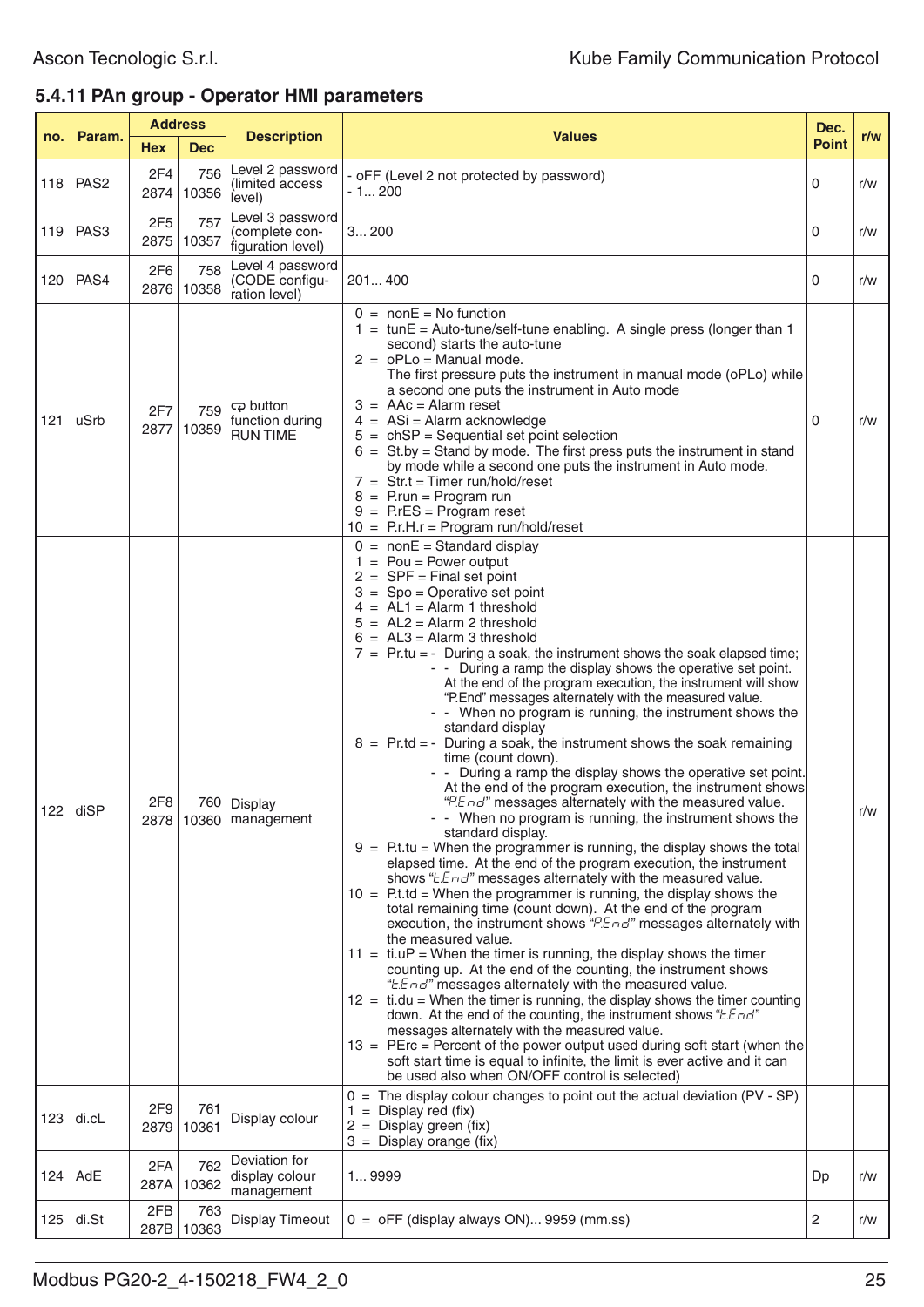# **5.4.11 PAn group - Operator HMI parameters**

|     | <b>Address</b>   |                         |                   |                                                         |                                                                                                                                                                                                                                                                                                                                                                                                                                                                                                                                                                                                                                                                                                                                                                                                                                                                                                                                                                                                                                                                                                                                                                                                                                                                                                                                                                                                                                                                                                                                                                                                                                                                                                                                                                                                                                                                                                                                                                                                                                                                           | Dec.         |     |
|-----|------------------|-------------------------|-------------------|---------------------------------------------------------|---------------------------------------------------------------------------------------------------------------------------------------------------------------------------------------------------------------------------------------------------------------------------------------------------------------------------------------------------------------------------------------------------------------------------------------------------------------------------------------------------------------------------------------------------------------------------------------------------------------------------------------------------------------------------------------------------------------------------------------------------------------------------------------------------------------------------------------------------------------------------------------------------------------------------------------------------------------------------------------------------------------------------------------------------------------------------------------------------------------------------------------------------------------------------------------------------------------------------------------------------------------------------------------------------------------------------------------------------------------------------------------------------------------------------------------------------------------------------------------------------------------------------------------------------------------------------------------------------------------------------------------------------------------------------------------------------------------------------------------------------------------------------------------------------------------------------------------------------------------------------------------------------------------------------------------------------------------------------------------------------------------------------------------------------------------------------|--------------|-----|
| no. | Param.           | <b>Hex</b>              | <b>Dec</b>        | <b>Description</b>                                      | <b>Values</b>                                                                                                                                                                                                                                                                                                                                                                                                                                                                                                                                                                                                                                                                                                                                                                                                                                                                                                                                                                                                                                                                                                                                                                                                                                                                                                                                                                                                                                                                                                                                                                                                                                                                                                                                                                                                                                                                                                                                                                                                                                                             | <b>Point</b> | r/w |
| 118 | PAS <sub>2</sub> | 2F4<br>2874             | 756<br>10356      | Level 2 password<br>(limited access<br>level)           | - oFF (Level 2 not protected by password)<br>- 1 200                                                                                                                                                                                                                                                                                                                                                                                                                                                                                                                                                                                                                                                                                                                                                                                                                                                                                                                                                                                                                                                                                                                                                                                                                                                                                                                                                                                                                                                                                                                                                                                                                                                                                                                                                                                                                                                                                                                                                                                                                      | 0            | r/w |
| 119 | PAS <sub>3</sub> | 2F <sub>5</sub><br>2875 | 757<br>10357      | Level 3 password<br>(complete con-<br>figuration level) | 3200                                                                                                                                                                                                                                                                                                                                                                                                                                                                                                                                                                                                                                                                                                                                                                                                                                                                                                                                                                                                                                                                                                                                                                                                                                                                                                                                                                                                                                                                                                                                                                                                                                                                                                                                                                                                                                                                                                                                                                                                                                                                      | 0            | r/w |
| 120 | <b>PAS4</b>      | 2F6                     | 758<br>2876 10358 | Level 4 password<br>(CODE configu-<br>ration level)     | 201400                                                                                                                                                                                                                                                                                                                                                                                                                                                                                                                                                                                                                                                                                                                                                                                                                                                                                                                                                                                                                                                                                                                                                                                                                                                                                                                                                                                                                                                                                                                                                                                                                                                                                                                                                                                                                                                                                                                                                                                                                                                                    | 0            | r/w |
| 121 | uSrb             | 2F7<br>2877             | 759<br>10359      | ඳා button<br>function during<br><b>RUN TIME</b>         | $0 = \text{non}E = \text{No function}$<br>$1 = \text{tunE} = \text{Auto-tune/self-tune enabling.}$ A single press (longer than 1<br>second) starts the auto-tune<br>$2 = oPLo = Manual mode$ .<br>The first pressure puts the instrument in manual mode (oPLo) while<br>a second one puts the instrument in Auto mode<br>$3 = AAC = Alarm reset$<br>$4 = ASi = Alarm$ acknowledge<br>$5 = chSP = Sequential set point selection$<br>$6 = St.$ by = Stand by mode. The first press puts the instrument in stand<br>by mode while a second one puts the instrument in Auto mode.<br>$7 = Str.t = Timer run/hold/reset$<br>$8 =$ P.run = Program run<br>$9 = P. rES = Program reset$<br>$10 = P.r.H.r = Program run/hold/reset$                                                                                                                                                                                                                                                                                                                                                                                                                                                                                                                                                                                                                                                                                                                                                                                                                                                                                                                                                                                                                                                                                                                                                                                                                                                                                                                                              | 0            | r/w |
|     | $122$ disp       | 2F <sub>8</sub>         |                   | 760   Display<br>2878   10360   management              | $0 = \text{nonE} = \text{Standard display}$<br>$1 = \text{Pou} = \text{Power output}$<br>$2 =$ SPF = Final set point<br>$3 = Spo = Operative set point$<br>$4 = AL1 = Alarm 1 threshold$<br>$5 = AL2 = Alarm 2 threshold$<br>$6 = AL3 = Alarm3 threshold$<br>$7$ = Pr.tu = - During a soak, the instrument shows the soak elapsed time;<br>- - During a ramp the display shows the operative set point.<br>At the end of the program execution, the instrument will show<br>"P.End" messages alternately with the measured value.<br>- - When no program is running, the instrument shows the<br>standard display<br>$8 = Pr$ .td = - During a soak, the instrument shows the soak remaining<br>time (count down).<br>- - During a ramp the display shows the operative set point.<br>At the end of the program execution, the instrument shows<br>"P.End" messages alternately with the measured value.<br>- - When no program is running, the instrument shows the<br>standard display.<br>$9 =$ P.t.tu = When the programmer is running, the display shows the total<br>elapsed time. At the end of the program execution, the instrument<br>shows "LEnd" messages alternately with the measured value.<br>$10 =$ P.t.td = When the programmer is running, the display shows the<br>total remaining time (count down). At the end of the program<br>execution, the instrument shows "PEnd" messages alternately with<br>the measured value.<br>$11 =$ ti.uP = When the timer is running, the display shows the timer<br>counting up. At the end of the counting, the instrument shows<br>"EEnd" messages alternately with the measured value.<br>$12 =$ ti.du = When the timer is running, the display shows the timer counting<br>down. At the end of the counting, the instrument shows " <i>EEnd</i> "<br>messages alternately with the measured value.<br>$13$ = PErc = Percent of the power output used during soft start (when the<br>soft start time is equal to infinite, the limit is ever active and it can<br>be used also when ON/OFF control is selected) |              | r/w |
| 123 | di.cL            | 2F9<br>2879             | 761<br>10361      | Display colour                                          | $0 =$ The display colour changes to point out the actual deviation (PV - SP)<br>$1 =$ Display red (fix)<br>$2 =$ Display green (fix)<br>$3 =$ Display orange (fix)                                                                                                                                                                                                                                                                                                                                                                                                                                                                                                                                                                                                                                                                                                                                                                                                                                                                                                                                                                                                                                                                                                                                                                                                                                                                                                                                                                                                                                                                                                                                                                                                                                                                                                                                                                                                                                                                                                        |              |     |
|     | $124$ AdE        | 2FA<br>287A             | 762<br>10362      | Deviation for<br>display colour<br>management           | 19999                                                                                                                                                                                                                                                                                                                                                                                                                                                                                                                                                                                                                                                                                                                                                                                                                                                                                                                                                                                                                                                                                                                                                                                                                                                                                                                                                                                                                                                                                                                                                                                                                                                                                                                                                                                                                                                                                                                                                                                                                                                                     | Dp           | r/w |
| 125 | di.St            | 2FB<br>287B             | 763<br>10363      | <b>Display Timeout</b>                                  | $0 =$ oFF (display always ON) 9959 (mm.ss)                                                                                                                                                                                                                                                                                                                                                                                                                                                                                                                                                                                                                                                                                                                                                                                                                                                                                                                                                                                                                                                                                                                                                                                                                                                                                                                                                                                                                                                                                                                                                                                                                                                                                                                                                                                                                                                                                                                                                                                                                                | 2            | r/w |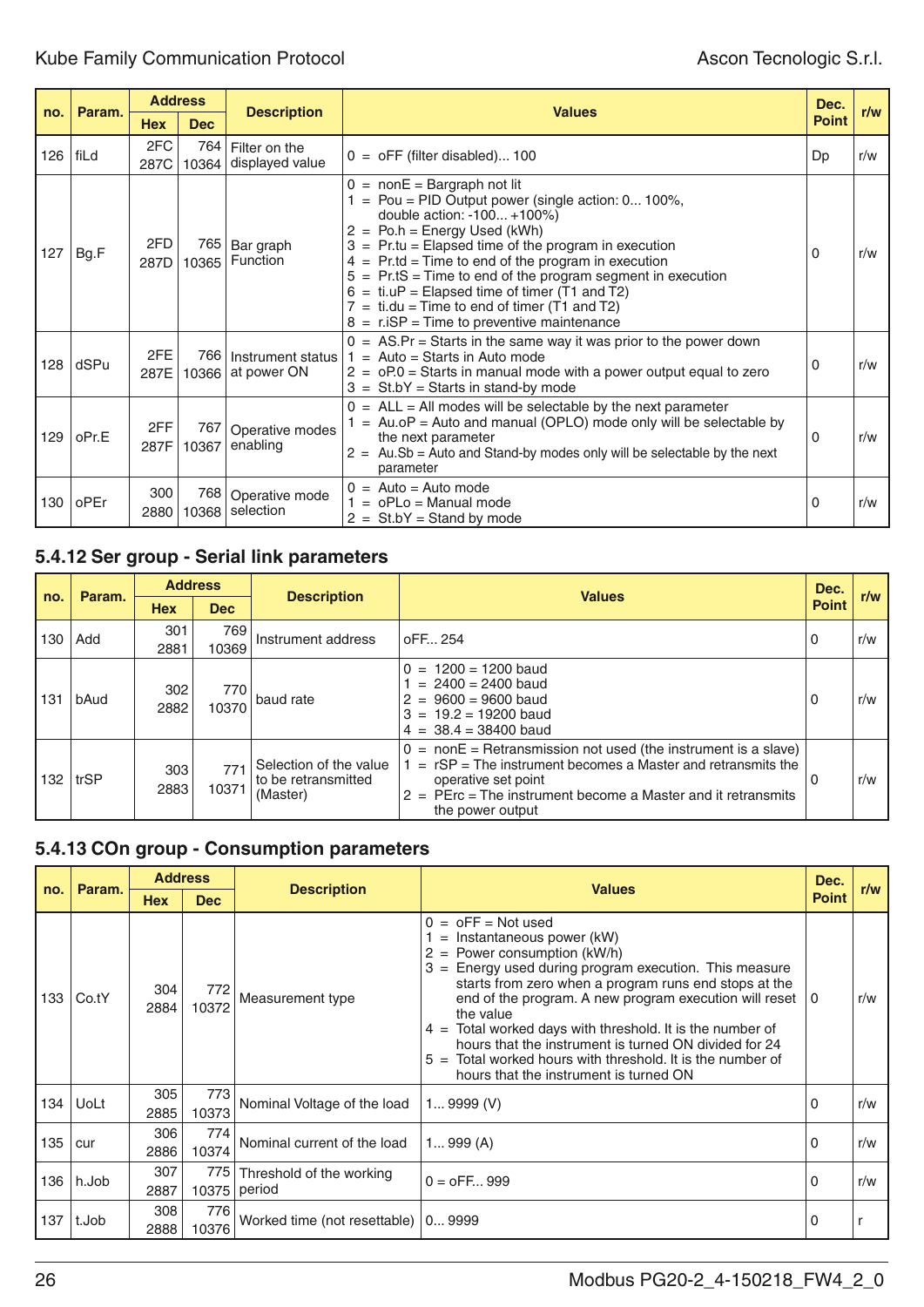| no. | Param. |             | <b>Address</b> |                                        |                                                                                                                                                                                                                                                                                                                                                                                                                                                                                                               |              |     |  |  |
|-----|--------|-------------|----------------|----------------------------------------|---------------------------------------------------------------------------------------------------------------------------------------------------------------------------------------------------------------------------------------------------------------------------------------------------------------------------------------------------------------------------------------------------------------------------------------------------------------------------------------------------------------|--------------|-----|--|--|
|     |        | <b>Hex</b>  | <b>Dec</b>     | <b>Description</b>                     | <b>Values</b>                                                                                                                                                                                                                                                                                                                                                                                                                                                                                                 | <b>Point</b> | r/w |  |  |
| 126 | ∣ fiLd | 2FC<br>287C | 764<br>10364   | Filter on the<br>displayed value       | $0 =$ oFF (filter disabled) 100                                                                                                                                                                                                                                                                                                                                                                                                                                                                               | Dp           | r/w |  |  |
| 127 | Bg.F   | 2FD<br>287D | 765<br>10365   | Bar graph<br>Function                  | $0 = \text{non}E = \text{Bargraph}$ not lit<br>$=$ Pou = PID Output power (single action: 0 100%,<br>double action: -100 +100%)<br>$2 = Po.h = Energy Used (kWh)$<br>$3 = Pr.tu = Elapsed time of the program in execution$<br>$4 = Pr$ .td = Time to end of the program in execution<br>$5 = Pr_tS = Time$ to end of the program segment in execution<br>$6 =$ ti.uP = Elapsed time of timer (T1 and T2)<br>$7 =$ ti.du = Time to end of timer (T1 and T2)<br>$8 = r$ . iSP = Time to preventive maintenance | $\Omega$     | r/w |  |  |
| 128 | dSPu   | 2FE<br>287E | 766            | Instrument status<br>10366 at power ON | $0 = AS.Pr = Stars$ in the same way it was prior to the power down<br>$1 =$ Auto = Starts in Auto mode<br>$2 = 0P.0$ = Starts in manual mode with a power output equal to zero<br>$3 = \text{St.bY} = \text{Starts}$ in stand-by mode                                                                                                                                                                                                                                                                         | 0            | r/w |  |  |
| 129 | oPr.E  | 2FF<br>287F | 767<br>10367   | Operative modes<br>enabling            | $0 = ALL = All$ modes will be selectable by the next parameter<br>$=$ Au.oP = Auto and manual (OPLO) mode only will be selectable by<br>the next parameter<br>$2 = Au.Sb = Auto and Stand-by modes only will be selected by the next$<br>parameter                                                                                                                                                                                                                                                            | $\Omega$     | r/w |  |  |
| 130 | l oPEr | 300<br>2880 | 768<br>10368   | Operative mode<br>selection            | $0 =$ Auto = Auto mode<br>$=$ oPLo = Manual mode<br>$2 = \text{St.bY} = \text{Stand by mode}$                                                                                                                                                                                                                                                                                                                                                                                                                 | 0            | r/w |  |  |

# **5.4.12 Ser group - Serial link parameters**

| no. |        | <b>Address</b> |              |                                                           | <b>Values</b>                                                                                                                                                                                                                                                | Dec.         |     |
|-----|--------|----------------|--------------|-----------------------------------------------------------|--------------------------------------------------------------------------------------------------------------------------------------------------------------------------------------------------------------------------------------------------------------|--------------|-----|
|     | Param. | <b>Hex</b>     | <b>Dec</b>   | <b>Description</b>                                        |                                                                                                                                                                                                                                                              | <b>Point</b> | r/w |
| 130 | Add    | 301<br>2881    | 769<br>10369 | Instrument address                                        | oFF 254                                                                                                                                                                                                                                                      | 0            | r/w |
| 131 | bAud   | 302<br>2882    | 770<br>10370 | baud rate                                                 | $0 = 1200 = 1200$ baud<br>$= 2400 = 2400$ baud<br>$2 = 9600 = 9600$ baud<br>$3 = 19.2 = 19200$ baud<br>$4 = 38.4 = 38400$ baud                                                                                                                               | 0            | r/w |
| 132 | trSP   | 303<br>2883    | 771<br>10371 | Selection of the value<br>to be retransmitted<br>(Master) | $0 = \text{non}E = \text{Retransmission not used}$ (the instrument is a slave)<br>$=$ rSP = The instrument becomes a Master and retransmits the<br>operative set point<br>$2 = PErc = The instrument become a Master and it retransmits$<br>the power output | 0            | r/w |

# **5.4.13 COn group - Consumption parameters**

|     | Param. |             | <b>Address</b> |                                       | <b>Values</b>                                                                                                                                                                                                                                                                                                                                                                                                                                                                                                                       | Dec.     | r/w |
|-----|--------|-------------|----------------|---------------------------------------|-------------------------------------------------------------------------------------------------------------------------------------------------------------------------------------------------------------------------------------------------------------------------------------------------------------------------------------------------------------------------------------------------------------------------------------------------------------------------------------------------------------------------------------|----------|-----|
| no. |        | <b>Hex</b>  | <b>Dec</b>     | <b>Description</b>                    |                                                                                                                                                                                                                                                                                                                                                                                                                                                                                                                                     |          |     |
| 133 | Co.tY  | 304<br>2884 | 772<br>10372   | Measurement type                      | $=$ oFF = Not used<br>0<br>Instantaneous power (kW)<br>$=$<br>Power consumption (kW/h)<br>$\equiv$<br>$3$ = Energy used during program execution. This measure<br>starts from zero when a program runs end stops at the<br>end of the program. A new program execution will reset<br>the value<br>$4 =$ Total worked days with threshold. It is the number of<br>hours that the instrument is turned ON divided for 24<br>Total worked hours with threshold. It is the number of<br>$5 =$<br>hours that the instrument is turned ON | l 0      | r/w |
| 134 | UoLt   | 305<br>2885 | 773<br>10373   | Nominal Voltage of the load           | 19999(V)                                                                                                                                                                                                                                                                                                                                                                                                                                                                                                                            | $\Omega$ | r/w |
| 135 | cur    | 306<br>2886 | 774<br>10374   | Nominal current of the load           | 1999(A)                                                                                                                                                                                                                                                                                                                                                                                                                                                                                                                             | $\Omega$ | r/w |
| 136 | h.Job  | 307<br>2887 | 775<br>10375   | Threshold of the working<br>period    | $0 = 0$ FF 999                                                                                                                                                                                                                                                                                                                                                                                                                                                                                                                      | $\Omega$ | r/w |
| 137 | t.Job  | 308<br>2888 | 776<br>10376   | Worked time (not resettable)   0 9999 |                                                                                                                                                                                                                                                                                                                                                                                                                                                                                                                                     | 0        |     |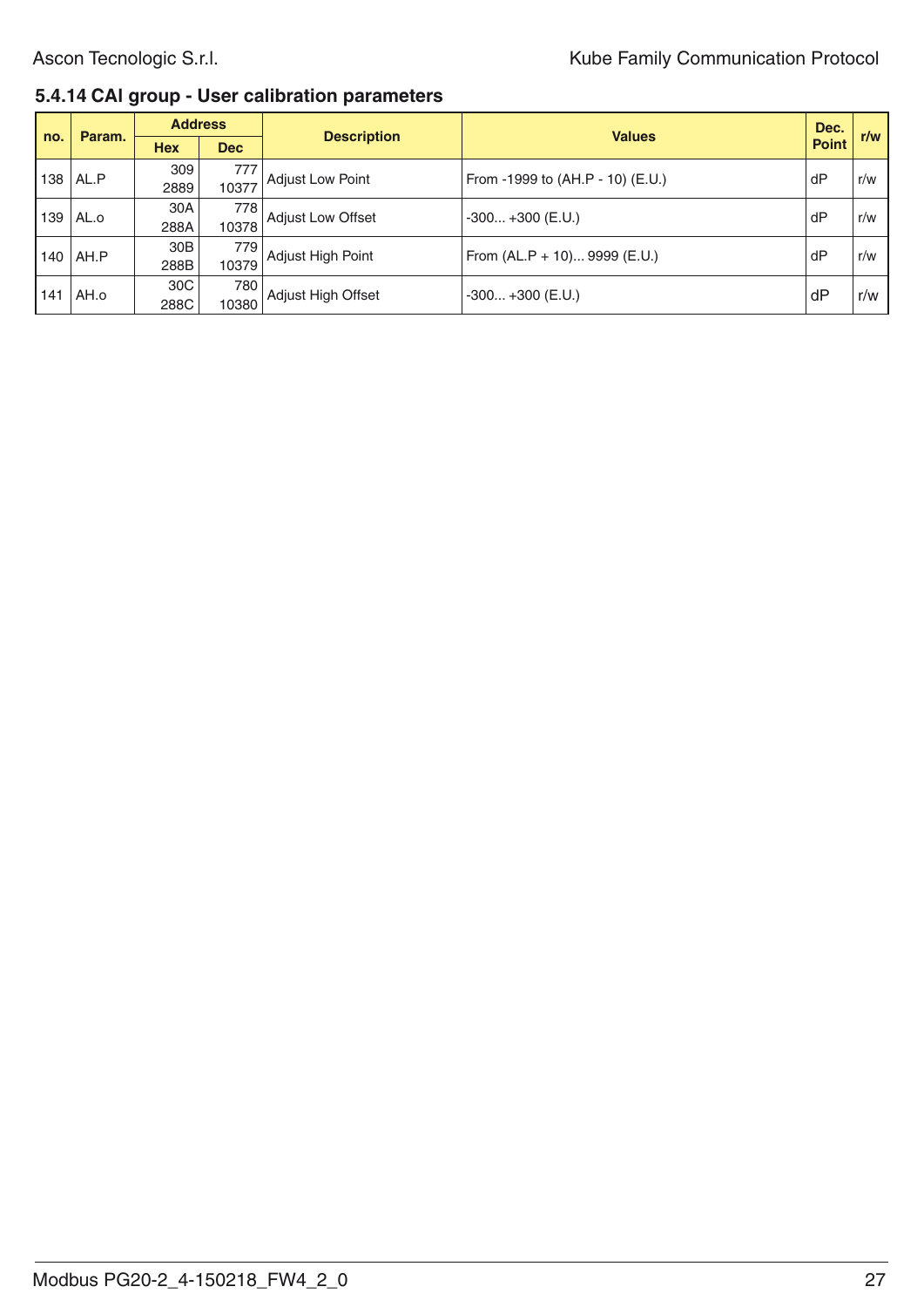#### **5.4.14 CAl group - User calibration parameters**

|     | Param.     |                         | <b>Address</b> |                         | <b>Values</b>                    | Dec.         | r/w |
|-----|------------|-------------------------|----------------|-------------------------|----------------------------------|--------------|-----|
| no. |            | <b>Hex</b>              | <b>Dec</b>     | <b>Description</b>      |                                  | <b>Point</b> |     |
| 138 | AL.P       | 309<br>2889             | 777<br>10377   | <b>Adjust Low Point</b> | From -1999 to (AH.P - 10) (E.U.) | dP           | r/w |
| 139 | AL.o       | 30A<br>288A             | 778<br>10378   | Adjust Low Offset       | $-300+300$ (E.U.)                | dP           | r/w |
|     | $140$ AH.P | 30B<br>288B             | 779<br>10379   | Adjust High Point       | From (AL.P + 10) 9999 (E.U.)     | dP           | r/w |
| 141 | AH.o       | 30 <sup>C</sup><br>288C | 780<br>10380   | Adjust High Offset      | $-300+300$ (E.U.)                | dF           | r/w |